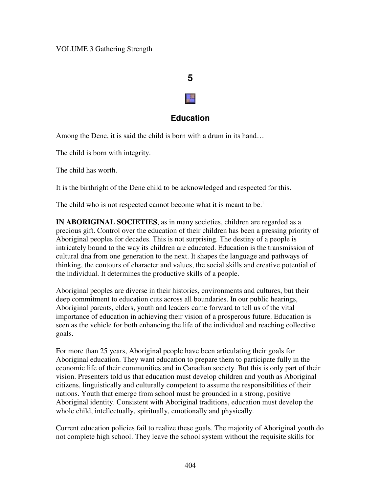# **5**

L.

# **Education**

Among the Dene, it is said the child is born with a drum in its hand…

The child is born with integrity.

The child has worth.

It is the birthright of the Dene child to be acknowledged and respected for this.

The child who is not respected cannot become what it is meant to be.<sup>1</sup>

**IN ABORIGINAL SOCIETIES**, as in many societies, children are regarded as a precious gift. Control over the education of their children has been a pressing priority of Aboriginal peoples for decades. This is not surprising. The destiny of a people is intricately bound to the way its children are educated. Education is the transmission of cultural dna from one generation to the next. It shapes the language and pathways of thinking, the contours of character and values, the social skills and creative potential of the individual. It determines the productive skills of a people.

Aboriginal peoples are diverse in their histories, environments and cultures, but their deep commitment to education cuts across all boundaries. In our public hearings, Aboriginal parents, elders, youth and leaders came forward to tell us of the vital importance of education in achieving their vision of a prosperous future. Education is seen as the vehicle for both enhancing the life of the individual and reaching collective goals.

For more than 25 years, Aboriginal people have been articulating their goals for Aboriginal education. They want education to prepare them to participate fully in the economic life of their communities and in Canadian society. But this is only part of their vision. Presenters told us that education must develop children and youth as Aboriginal citizens, linguistically and culturally competent to assume the responsibilities of their nations. Youth that emerge from school must be grounded in a strong, positive Aboriginal identity. Consistent with Aboriginal traditions, education must develop the whole child, intellectually, spiritually, emotionally and physically.

Current education policies fail to realize these goals. The majority of Aboriginal youth do not complete high school. They leave the school system without the requisite skills for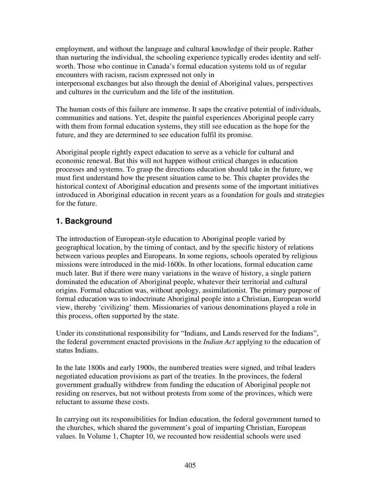employment, and without the language and cultural knowledge of their people. Rather than nurturing the individual, the schooling experience typically erodes identity and selfworth. Those who continue in Canada's formal education systems told us of regular encounters with racism, racism expressed not only in interpersonal exchanges but also through the denial of Aboriginal values, perspectives and cultures in the curriculum and the life of the institution.

The human costs of this failure are immense. It saps the creative potential of individuals, communities and nations. Yet, despite the painful experiences Aboriginal people carry with them from formal education systems, they still see education as the hope for the future, and they are determined to see education fulfil its promise.

Aboriginal people rightly expect education to serve as a vehicle for cultural and economic renewal. But this will not happen without critical changes in education processes and systems. To grasp the directions education should take in the future, we must first understand how the present situation came to be. This chapter provides the historical context of Aboriginal education and presents some of the important initiatives introduced in Aboriginal education in recent years as a foundation for goals and strategies for the future.

# **1. Background**

The introduction of European-style education to Aboriginal people varied by geographical location, by the timing of contact, and by the specific history of relations between various peoples and Europeans. In some regions, schools operated by religious missions were introduced in the mid-1600s. In other locations, formal education came much later. But if there were many variations in the weave of history, a single pattern dominated the education of Aboriginal people, whatever their territorial and cultural origins. Formal education was, without apology, assimilationist. The primary purpose of formal education was to indoctrinate Aboriginal people into a Christian, European world view, thereby 'civilizing' them. Missionaries of various denominations played a role in this process, often supported by the state.

Under its constitutional responsibility for "Indians, and Lands reserved for the Indians", the federal government enacted provisions in the *Indian Act* applying to the education of status Indians.

In the late 1800s and early 1900s, the numbered treaties were signed, and tribal leaders negotiated education provisions as part of the treaties. In the provinces, the federal government gradually withdrew from funding the education of Aboriginal people not residing on reserves, but not without protests from some of the provinces, which were reluctant to assume these costs.

In carrying out its responsibilities for Indian education, the federal government turned to the churches, which shared the government's goal of imparting Christian, European values. In Volume 1, Chapter 10, we recounted how residential schools were used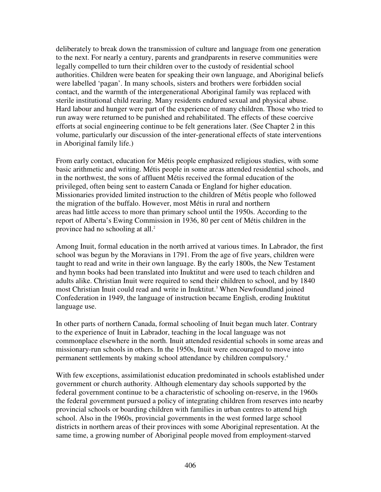deliberately to break down the transmission of culture and language from one generation to the next. For nearly a century, parents and grandparents in reserve communities were legally compelled to turn their children over to the custody of residential school authorities. Children were beaten for speaking their own language, and Aboriginal beliefs were labelled 'pagan'. In many schools, sisters and brothers were forbidden social contact, and the warmth of the intergenerational Aboriginal family was replaced with sterile institutional child rearing. Many residents endured sexual and physical abuse. Hard labour and hunger were part of the experience of many children. Those who tried to run away were returned to be punished and rehabilitated. The effects of these coercive efforts at social engineering continue to be felt generations later. (See Chapter 2 in this volume, particularly our discussion of the inter-generational effects of state interventions in Aboriginal family life.)

From early contact, education for Métis people emphasized religious studies, with some basic arithmetic and writing. Métis people in some areas attended residential schools, and in the northwest, the sons of affluent Métis received the formal education of the privileged, often being sent to eastern Canada or England for higher education. Missionaries provided limited instruction to the children of Métis people who followed the migration of the buffalo. However, most Métis in rural and northern areas had little access to more than primary school until the 1950s. According to the report of Alberta's Ewing Commission in 1936, 80 per cent of Métis children in the province had no schooling at all. 2

Among Inuit, formal education in the north arrived at various times. In Labrador, the first school was begun by the Moravians in 1791. From the age of five years, children were taught to read and write in their own language. By the early 1800s, the New Testament and hymn books had been translated into Inuktitut and were used to teach children and adults alike. Christian Inuit were required to send their children to school, and by 1840 most Christian Inuit could read and write in Inuktitut. <sup>3</sup> When Newfoundland joined Confederation in 1949, the language of instruction became English, eroding Inuktitut language use.

In other parts of northern Canada, formal schooling of Inuit began much later. Contrary to the experience of Inuit in Labrador, teaching in the local language was not commonplace elsewhere in the north. Inuit attended residential schools in some areas and missionary-run schools in others. In the 1950s, Inuit were encouraged to move into permanent settlements by making school attendance by children compulsory. 4

With few exceptions, assimilationist education predominated in schools established under government or church authority. Although elementary day schools supported by the federal government continue to be a characteristic of schooling on-reserve, in the 1960s the federal government pursued a policy of integrating children from reserves into nearby provincial schools or boarding children with families in urban centres to attend high school. Also in the 1960s, provincial governments in the west formed large school districts in northern areas of their provinces with some Aboriginal representation. At the same time, a growing number of Aboriginal people moved from employment-starved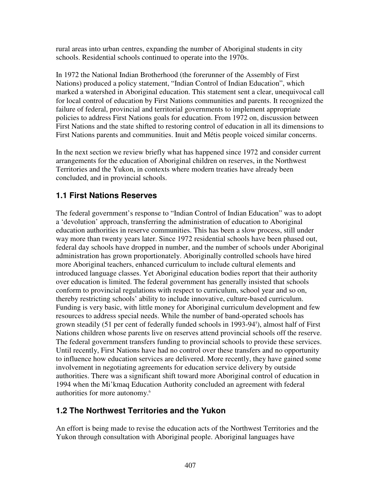rural areas into urban centres, expanding the number of Aboriginal students in city schools. Residential schools continued to operate into the 1970s.

In 1972 the National Indian Brotherhood (the forerunner of the Assembly of First Nations) produced a policy statement, "Indian Control of Indian Education", which marked a watershed in Aboriginal education. This statement sent a clear, unequivocal call for local control of education by First Nations communities and parents. It recognized the failure of federal, provincial and territorial governments to implement appropriate policies to address First Nations goals for education. From 1972 on, discussion between First Nations and the state shifted to restoring control of education in all its dimensions to First Nations parents and communities. Inuit and Métis people voiced similar concerns.

In the next section we review briefly what has happened since 1972 and consider current arrangements for the education of Aboriginal children on reserves, in the Northwest Territories and the Yukon, in contexts where modern treaties have already been concluded, and in provincial schools.

# **1.1 First Nations Reserves**

The federal government's response to "Indian Control of Indian Education" was to adopt a 'devolution' approach, transferring the administration of education to Aboriginal education authorities in reserve communities. This has been a slow process, still under way more than twenty years later. Since 1972 residential schools have been phased out, federal day schools have dropped in number, and the number of schools under Aboriginal administration has grown proportionately. Aboriginally controlled schools have hired more Aboriginal teachers, enhanced curriculum to include cultural elements and introduced language classes. Yet Aboriginal education bodies report that their authority over education is limited. The federal government has generally insisted that schools conform to provincial regulations with respect to curriculum, school year and so on, thereby restricting schools' ability to include innovative, culture-based curriculum. Funding is very basic, with little money for Aboriginal curriculum development and few resources to address special needs. While the number of band-operated schools has grown steadily (51 per cent of federally funded schools in 1993-94 5 ), almost half of First Nations children whose parents live on reserves attend provincial schools off the reserve. The federal government transfers funding to provincial schools to provide these services. Until recently, First Nations have had no control over these transfers and no opportunity to influence how education services are delivered. More recently, they have gained some involvement in negotiating agreements for education service delivery by outside authorities. There was a significant shift toward more Aboriginal control of education in 1994 when the Mi'kmaq Education Authority concluded an agreement with federal authorities for more autonomy. 6

# **1.2 The Northwest Territories and the Yukon**

An effort is being made to revise the education acts of the Northwest Territories and the Yukon through consultation with Aboriginal people. Aboriginal languages have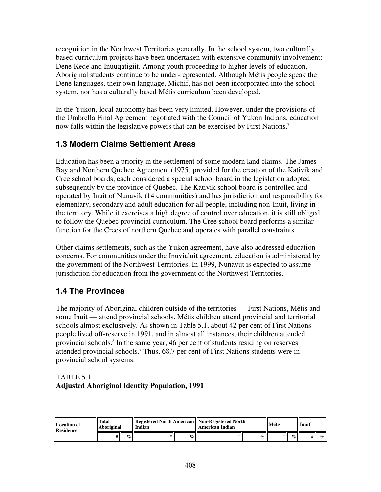recognition in the Northwest Territories generally. In the school system, two culturally based curriculum projects have been undertaken with extensive community involvement: Dene Kede and Inuuqatigiit. Among youth proceeding to higher levels of education, Aboriginal students continue to be under-represented. Although Métis people speak the Dene languages, their own language, Michif, has not been incorporated into the school system, nor has a culturally based Métis curriculum been developed.

In the Yukon, local autonomy has been very limited. However, under the provisions of the Umbrella Final Agreement negotiated with the Council of Yukon Indians, education now falls within the legislative powers that can be exercised by First Nations.<sup>7</sup>

# **1.3 Modern Claims Settlement Areas**

Education has been a priority in the settlement of some modern land claims. The James Bay and Northern Quebec Agreement (1975) provided for the creation of the Kativik and Cree school boards, each considered a special school board in the legislation adopted subsequently by the province of Quebec. The Kativik school board is controlled and operated by Inuit of Nunavik (14 communities) and has jurisdiction and responsibility for elementary, secondary and adult education for all people, including non-Inuit, living in the territory. While it exercises a high degree of control over education, it is still obliged to follow the Quebec provincial curriculum. The Cree school board performs a similar function for the Crees of northern Quebec and operates with parallel constraints.

Other claims settlements, such as the Yukon agreement, have also addressed education concerns. For communities under the Inuvialuit agreement, education is administered by the government of the Northwest Territories. In 1999, Nunavut is expected to assume jurisdiction for education from the government of the Northwest Territories.

# **1.4 The Provinces**

The majority of Aboriginal children outside of the territories — First Nations, Métis and some Inuit — attend provincial schools. Métis children attend provincial and territorial schools almost exclusively. As shown in Table 5.1, about 42 per cent of First Nations people lived off-reserve in 1991, and in almost all instances, their children attended provincial schools. 8 In the same year, 46 per cent of students residing on reserves attended provincial schools. <sup>9</sup> Thus, 68.7 per cent of First Nations students were in provincial school systems.

# TABLE 5.1 **Adjusted Aboriginal Identity Population, 1991**

| Location of<br><b>Residence</b> | Total<br><b>Aboriginal</b> |      | <b>Registered North American    Non-Registered North</b><br><b>Indian</b> |      | <b>American Indian</b> |      | <b>Métis</b> |      | $\mathbf{I}$ nuit <sup>3</sup> |      |
|---------------------------------|----------------------------|------|---------------------------------------------------------------------------|------|------------------------|------|--------------|------|--------------------------------|------|
|                                 |                            | $\%$ |                                                                           | $\%$ |                        | $\%$ | # II         | $\%$ | #1                             | $\%$ |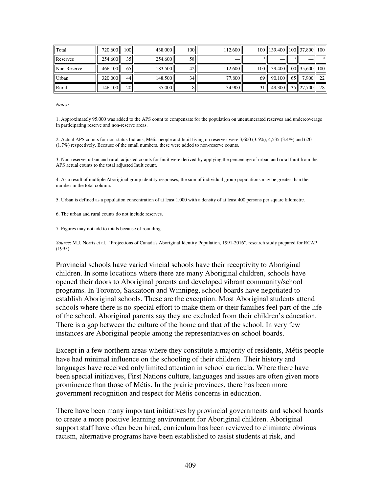| Total <sup>1</sup> | 720,600 | 100 <sup>II</sup> | 438,000 | 100             | 112,600 |      | 100   139,400   100   37,800   100 |      |           |    |
|--------------------|---------|-------------------|---------|-----------------|---------|------|------------------------------------|------|-----------|----|
| Reserves           | 254,600 | 35 <sub>1</sub>   | 254,600 | 58              |         |      |                                    |      |           |    |
| Non-Reserve        | 466,100 | 65h               | 183,500 | 42 <sub>1</sub> | 112,600 |      | 100   139,400   100   35,600   100 |      |           |    |
| <b>Urban</b>       | 320,000 | 44                | 148,500 | 34 <sup>l</sup> | 77.800  | 69 I | 90,100                             | 65 I | 7,900     | 22 |
| Rural              | 146.100 | <b>20</b>         | 35,000  |                 | 34,900  |      | 49,300                             |      | 35 27,700 | 78 |

*Notes:*

1. Approximately 95,000 was added to the APS count to compensate for the population on unenumerated reserves and undercoverage in participating reserve and non-reserve areas.

2. Actual APS counts for non-status Indians, Métis people and Inuit living on reserves were 3,600 (3.5%), 4,535 (3.4%) and 620 (1.7%) respectively. Because of the small numbers, these were added to non-reserve counts.

3. Non-reserve, urban and rural, adjusted counts for Inuit were derived by applying the percentage of urban and rural Inuit from the APS actual counts to the total adjusted Inuit count.

4. As a result of multiple Aboriginal group identity responses, the sum of individual group populations may be greater than the number in the total column.

5. Urban is defined as a population concentration of at least 1,000 with a density of at least 400 persons per square kilometre.

6. The urban and rural counts do not include reserves.

7. Figures may not add to totals because of rounding.

*Source*: M.J. Norris et al., "Projections of Canada's Aboriginal Identity Population, 1991-2016", research study prepared for RCAP (1995).

Provincial schools have varied vincial schools have their receptivity to Aboriginal children. In some locations where there are many Aboriginal children, schools have opened their doors to Aboriginal parents and developed vibrant community/school programs. In Toronto, Saskatoon and Winnipeg, school boards have negotiated to establish Aboriginal schools. These are the exception. Most Aboriginal students attend schools where there is no special effort to make them or their families feel part of the life of the school. Aboriginal parents say they are excluded from their children's education. There is a gap between the culture of the home and that of the school. In very few instances are Aboriginal people among the representatives on school boards.

Except in a few northern areas where they constitute a majority of residents, Métis people have had minimal influence on the schooling of their children. Their history and languages have received only limited attention in school curricula. Where there have been special initiatives, First Nations culture, languages and issues are often given more prominence than those of Métis. In the prairie provinces, there has been more government recognition and respect for Métis concerns in education.

There have been many important initiatives by provincial governments and school boards to create a more positive learning environment for Aboriginal children. Aboriginal support staff have often been hired, curriculum has been reviewed to eliminate obvious racism, alternative programs have been established to assist students at risk, and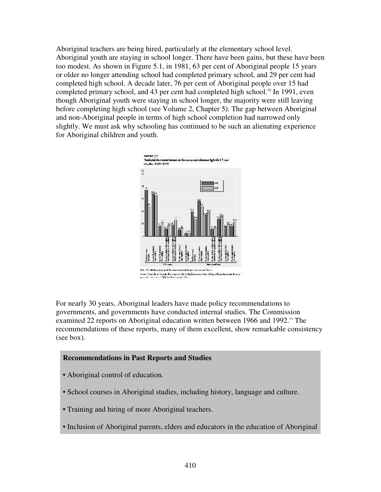Aboriginal teachers are being hired, particularly at the elementary school level. Aboriginal youth are staying in school longer. There have been gains, but these have been too modest. As shown in Figure 5.1, in 1981, 63 per cent of Aboriginal people 15 years or older no longer attending school had completed primary school, and 29 per cent had completed high school. A decade later, 76 per cent of Aboriginal people over 15 had completed primary school, and 43 per cent had completed high school.<sup>10</sup> In 1991, even though Aboriginal youth were staying in school longer, the majority were still leaving before completing high school (see Volume 2, Chapter 5). The gap between Aboriginal and non-Aboriginal people in terms of high school completion had narrowed only slightly. We must ask why schooling has continued to be such an alienating experience for Aboriginal children and youth.



For nearly 30 years, Aboriginal leaders have made policy recommendations to governments, and governments have conducted internal studies. The Commission examined 22 reports on Aboriginal education written between 1966 and 1992.<sup>11</sup> The recommendations of these reports, many of them excellent, show remarkable consistency (see box).

#### **Recommendations in Past Reports and Studies**

- Aboriginal control of education.
- School courses in Aboriginal studies, including history, language and culture.
- Training and hiring of more Aboriginal teachers.
- Inclusion of Aboriginal parents, elders and educators in the education of Aboriginal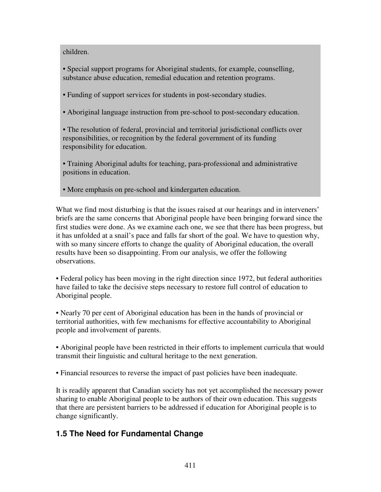### children.

• Special support programs for Aboriginal students, for example, counselling, substance abuse education, remedial education and retention programs.

• Funding of support services for students in post-secondary studies.

• Aboriginal language instruction from pre-school to post-secondary education.

• The resolution of federal, provincial and territorial jurisdictional conflicts over responsibilities, or recognition by the federal government of its funding responsibility for education.

• Training Aboriginal adults for teaching, para-professional and administrative positions in education.

• More emphasis on pre-school and kindergarten education.

What we find most disturbing is that the issues raised at our hearings and in interveners' briefs are the same concerns that Aboriginal people have been bringing forward since the first studies were done. As we examine each one, we see that there has been progress, but it has unfolded at a snail's pace and falls far short of the goal. We have to question why, with so many sincere efforts to change the quality of Aboriginal education, the overall results have been so disappointing. From our analysis, we offer the following observations.

• Federal policy has been moving in the right direction since 1972, but federal authorities have failed to take the decisive steps necessary to restore full control of education to Aboriginal people.

• Nearly 70 per cent of Aboriginal education has been in the hands of provincial or territorial authorities, with few mechanisms for effective accountability to Aboriginal people and involvement of parents.

• Aboriginal people have been restricted in their efforts to implement curricula that would transmit their linguistic and cultural heritage to the next generation.

• Financial resources to reverse the impact of past policies have been inadequate.

It is readily apparent that Canadian society has not yet accomplished the necessary power sharing to enable Aboriginal people to be authors of their own education. This suggests that there are persistent barriers to be addressed if education for Aboriginal people is to change significantly.

# **1.5 The Need for Fundamental Change**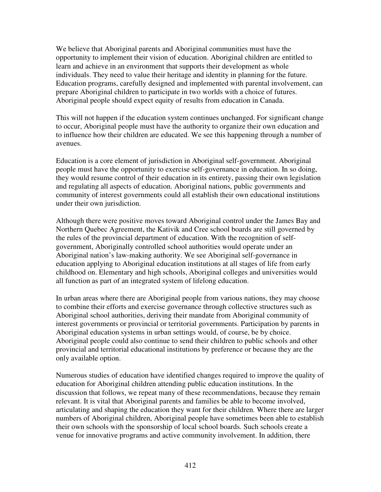We believe that Aboriginal parents and Aboriginal communities must have the opportunity to implement their vision of education. Aboriginal children are entitled to learn and achieve in an environment that supports their development as whole individuals. They need to value their heritage and identity in planning for the future. Education programs, carefully designed and implemented with parental involvement, can prepare Aboriginal children to participate in two worlds with a choice of futures. Aboriginal people should expect equity of results from education in Canada.

This will not happen if the education system continues unchanged. For significant change to occur, Aboriginal people must have the authority to organize their own education and to influence how their children are educated. We see this happening through a number of avenues.

Education is a core element of jurisdiction in Aboriginal self-government. Aboriginal people must have the opportunity to exercise self-governance in education. In so doing, they would resume control of their education in its entirety, passing their own legislation and regulating all aspects of education. Aboriginal nations, public governments and community of interest governments could all establish their own educational institutions under their own jurisdiction.

Although there were positive moves toward Aboriginal control under the James Bay and Northern Quebec Agreement, the Kativik and Cree school boards are still governed by the rules of the provincial department of education. With the recognition of selfgovernment, Aboriginally controlled school authorities would operate under an Aboriginal nation's law-making authority. We see Aboriginal self-governance in education applying to Aboriginal education institutions at all stages of life from early childhood on. Elementary and high schools, Aboriginal colleges and universities would all function as part of an integrated system of lifelong education.

In urban areas where there are Aboriginal people from various nations, they may choose to combine their efforts and exercise governance through collective structures such as Aboriginal school authorities, deriving their mandate from Aboriginal community of interest governments or provincial or territorial governments. Participation by parents in Aboriginal education systems in urban settings would, of course, be by choice. Aboriginal people could also continue to send their children to public schools and other provincial and territorial educational institutions by preference or because they are the only available option.

Numerous studies of education have identified changes required to improve the quality of education for Aboriginal children attending public education institutions. In the discussion that follows, we repeat many of these recommendations, because they remain relevant. It is vital that Aboriginal parents and families be able to become involved, articulating and shaping the education they want for their children. Where there are larger numbers of Aboriginal children, Aboriginal people have sometimes been able to establish their own schools with the sponsorship of local school boards. Such schools create a venue for innovative programs and active community involvement. In addition, there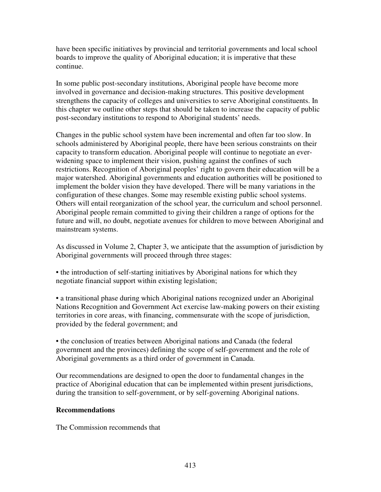have been specific initiatives by provincial and territorial governments and local school boards to improve the quality of Aboriginal education; it is imperative that these continue.

In some public post-secondary institutions, Aboriginal people have become more involved in governance and decision-making structures. This positive development strengthens the capacity of colleges and universities to serve Aboriginal constituents. In this chapter we outline other steps that should be taken to increase the capacity of public post-secondary institutions to respond to Aboriginal students' needs.

Changes in the public school system have been incremental and often far too slow. In schools administered by Aboriginal people, there have been serious constraints on their capacity to transform education. Aboriginal people will continue to negotiate an everwidening space to implement their vision, pushing against the confines of such restrictions. Recognition of Aboriginal peoples' right to govern their education will be a major watershed. Aboriginal governments and education authorities will be positioned to implement the bolder vision they have developed. There will be many variations in the configuration of these changes. Some may resemble existing public school systems. Others will entail reorganization of the school year, the curriculum and school personnel. Aboriginal people remain committed to giving their children a range of options for the future and will, no doubt, negotiate avenues for children to move between Aboriginal and mainstream systems.

As discussed in Volume 2, Chapter 3, we anticipate that the assumption of jurisdiction by Aboriginal governments will proceed through three stages:

• the introduction of self-starting initiatives by Aboriginal nations for which they negotiate financial support within existing legislation;

• a transitional phase during which Aboriginal nations recognized under an Aboriginal Nations Recognition and Government Act exercise law-making powers on their existing territories in core areas, with financing, commensurate with the scope of jurisdiction, provided by the federal government; and

• the conclusion of treaties between Aboriginal nations and Canada (the federal government and the provinces) defining the scope of self-government and the role of Aboriginal governments as a third order of government in Canada.

Our recommendations are designed to open the door to fundamental changes in the practice of Aboriginal education that can be implemented within present jurisdictions, during the transition to self-government, or by self-governing Aboriginal nations.

#### **Recommendations**

The Commission recommends that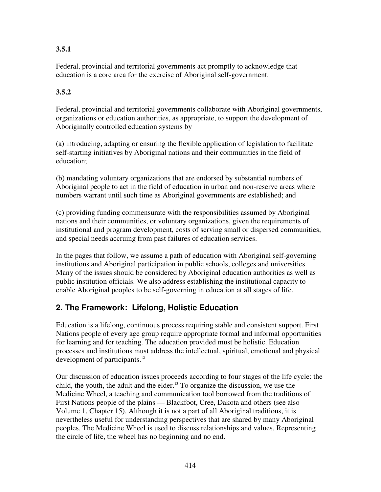# **3.5.1**

Federal, provincial and territorial governments act promptly to acknowledge that education is a core area for the exercise of Aboriginal self-government.

# **3.5.2**

Federal, provincial and territorial governments collaborate with Aboriginal governments, organizations or education authorities, as appropriate, to support the development of Aboriginally controlled education systems by

(a) introducing, adapting or ensuring the flexible application of legislation to facilitate self-starting initiatives by Aboriginal nations and their communities in the field of education;

(b) mandating voluntary organizations that are endorsed by substantial numbers of Aboriginal people to act in the field of education in urban and non-reserve areas where numbers warrant until such time as Aboriginal governments are established; and

(c) providing funding commensurate with the responsibilities assumed by Aboriginal nations and their communities, or voluntary organizations, given the requirements of institutional and program development, costs of serving small or dispersed communities, and special needs accruing from past failures of education services.

In the pages that follow, we assume a path of education with Aboriginal self-governing institutions and Aboriginal participation in public schools, colleges and universities. Many of the issues should be considered by Aboriginal education authorities as well as public institution officials. We also address establishing the institutional capacity to enable Aboriginal peoples to be self-governing in education at all stages of life.

# **2. The Framework: Lifelong, Holistic Education**

Education is a lifelong, continuous process requiring stable and consistent support. First Nations people of every age group require appropriate formal and informal opportunities for learning and for teaching. The education provided must be holistic. Education processes and institutions must address the intellectual, spiritual, emotional and physical development of participants. 12

Our discussion of education issues proceeds according to four stages of the life cycle: the child, the youth, the adult and the elder. <sup>13</sup> To organize the discussion, we use the Medicine Wheel, a teaching and communication tool borrowed from the traditions of First Nations people of the plains — Blackfoot, Cree, Dakota and others (see also Volume 1, Chapter 15). Although it is not a part of all Aboriginal traditions, it is nevertheless useful for understanding perspectives that are shared by many Aboriginal peoples. The Medicine Wheel is used to discuss relationships and values. Representing the circle of life, the wheel has no beginning and no end.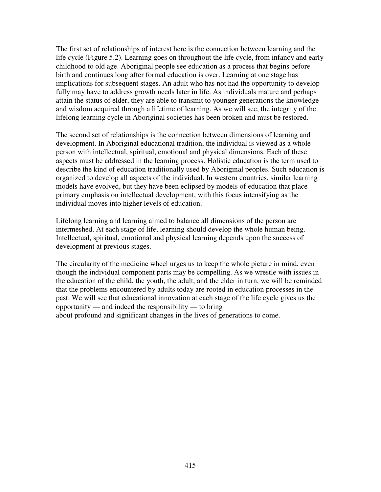The first set of relationships of interest here is the connection between learning and the life cycle (Figure 5.2). Learning goes on throughout the life cycle, from infancy and early childhood to old age. Aboriginal people see education as a process that begins before birth and continues long after formal education is over. Learning at one stage has implications for subsequent stages. An adult who has not had the opportunity to develop fully may have to address growth needs later in life. As individuals mature and perhaps attain the status of elder, they are able to transmit to younger generations the knowledge and wisdom acquired through a lifetime of learning. As we will see, the integrity of the lifelong learning cycle in Aboriginal societies has been broken and must be restored.

The second set of relationships is the connection between dimensions of learning and development. In Aboriginal educational tradition, the individual is viewed as a whole person with intellectual, spiritual, emotional and physical dimensions. Each of these aspects must be addressed in the learning process. Holistic education is the term used to describe the kind of education traditionally used by Aboriginal peoples. Such education is organized to develop all aspects of the individual. In western countries, similar learning models have evolved, but they have been eclipsed by models of education that place primary emphasis on intellectual development, with this focus intensifying as the individual moves into higher levels of education.

Lifelong learning and learning aimed to balance all dimensions of the person are intermeshed. At each stage of life, learning should develop the whole human being. Intellectual, spiritual, emotional and physical learning depends upon the success of development at previous stages.

The circularity of the medicine wheel urges us to keep the whole picture in mind, even though the individual component parts may be compelling. As we wrestle with issues in the education of the child, the youth, the adult, and the elder in turn, we will be reminded that the problems encountered by adults today are rooted in education processes in the past. We will see that educational innovation at each stage of the life cycle gives us the opportunity — and indeed the responsibility — to bring

about profound and significant changes in the lives of generations to come.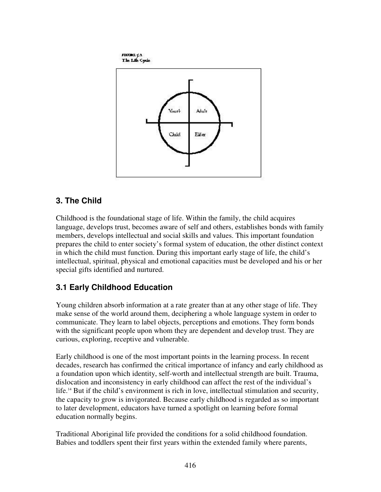

# **3. The Child**

Childhood is the foundational stage of life. Within the family, the child acquires language, develops trust, becomes aware of self and others, establishes bonds with family members, develops intellectual and social skills and values. This important foundation prepares the child to enter society's formal system of education, the other distinct context in which the child must function. During this important early stage of life, the child's intellectual, spiritual, physical and emotional capacities must be developed and his or her special gifts identified and nurtured.

# **3.1 Early Childhood Education**

Young children absorb information at a rate greater than at any other stage of life. They make sense of the world around them, deciphering a whole language system in order to communicate. They learn to label objects, perceptions and emotions. They form bonds with the significant people upon whom they are dependent and develop trust. They are curious, exploring, receptive and vulnerable.

Early childhood is one of the most important points in the learning process. In recent decades, research has confirmed the critical importance of infancy and early childhood as a foundation upon which identity, self-worth and intellectual strength are built. Trauma, dislocation and inconsistency in early childhood can affect the rest of the individual's life. <sup>14</sup> But if the child's environment is rich in love, intellectual stimulation and security, the capacity to grow is invigorated. Because early childhood is regarded as so important to later development, educators have turned a spotlight on learning before formal education normally begins.

Traditional Aboriginal life provided the conditions for a solid childhood foundation. Babies and toddlers spent their first years within the extended family where parents,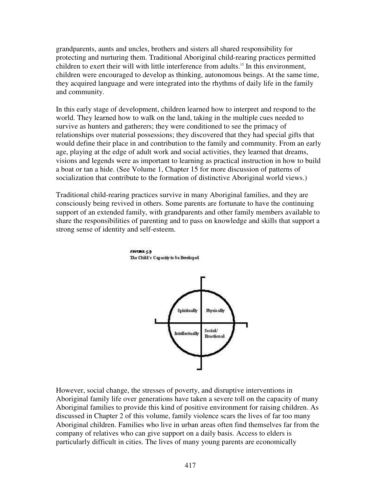grandparents, aunts and uncles, brothers and sisters all shared responsibility for protecting and nurturing them. Traditional Aboriginal child-rearing practices permitted children to exert their will with little interference from adults. 15 In this environment, children were encouraged to develop as thinking, autonomous beings. At the same time, they acquired language and were integrated into the rhythms of daily life in the family and community.

In this early stage of development, children learned how to interpret and respond to the world. They learned how to walk on the land, taking in the multiple cues needed to survive as hunters and gatherers; they were conditioned to see the primacy of relationships over material possessions; they discovered that they had special gifts that would define their place in and contribution to the family and community. From an early age, playing at the edge of adult work and social activities, they learned that dreams, visions and legends were as important to learning as practical instruction in how to build a boat or tan a hide. (See Volume 1, Chapter 15 for more discussion of patterns of socialization that contribute to the formation of distinctive Aboriginal world views.)

Traditional child-rearing practices survive in many Aboriginal families, and they are consciously being revived in others. Some parents are fortunate to have the continuing support of an extended family, with grandparents and other family members available to share the responsibilities of parenting and to pass on knowledge and skills that support a strong sense of identity and self-esteem.



However, social change, the stresses of poverty, and disruptive interventions in Aboriginal family life over generations have taken a severe toll on the capacity of many Aboriginal families to provide this kind of positive environment for raising children. As discussed in Chapter 2 of this volume, family violence scars the lives of far too many Aboriginal children. Families who live in urban areas often find themselves far from the company of relatives who can give support on a daily basis. Access to elders is particularly difficult in cities. The lives of many young parents are economically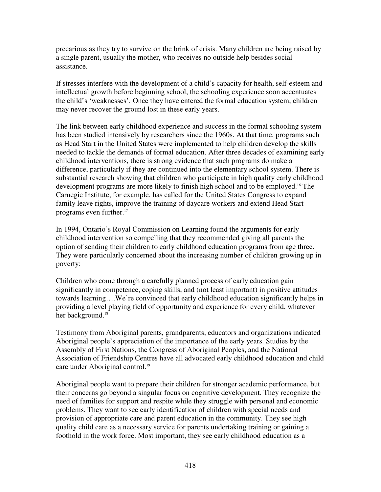precarious as they try to survive on the brink of crisis. Many children are being raised by a single parent, usually the mother, who receives no outside help besides social assistance.

If stresses interfere with the development of a child's capacity for health, self-esteem and intellectual growth before beginning school, the schooling experience soon accentuates the child's 'weaknesses'. Once they have entered the formal education system, children may never recover the ground lost in these early years.

The link between early childhood experience and success in the formal schooling system has been studied intensively by researchers since the 1960s. At that time, programs such as Head Start in the United States were implemented to help children develop the skills needed to tackle the demands of formal education. After three decades of examining early childhood interventions, there is strong evidence that such programs do make a difference, particularly if they are continued into the elementary school system. There is substantial research showing that children who participate in high quality early childhood development programs are more likely to finish high school and to be employed. <sup>16</sup> The Carnegie Institute, for example, has called for the United States Congress to expand family leave rights, improve the training of daycare workers and extend Head Start programs even further. 17

In 1994, Ontario's Royal Commission on Learning found the arguments for early childhood intervention so compelling that they recommended giving all parents the option of sending their children to early childhood education programs from age three. They were particularly concerned about the increasing number of children growing up in poverty:

Children who come through a carefully planned process of early education gain significantly in competence, coping skills, and (not least important) in positive attitudes towards learning….We're convinced that early childhood education significantly helps in providing a level playing field of opportunity and experience for every child, whatever her background.<sup>18</sup>

Testimony from Aboriginal parents, grandparents, educators and organizations indicated Aboriginal people's appreciation of the importance of the early years. Studies by the Assembly of First Nations, the Congress of Aboriginal Peoples, and the National Association of Friendship Centres have all advocated early childhood education and child care under Aboriginal control. 19

Aboriginal people want to prepare their children for stronger academic performance, but their concerns go beyond a singular focus on cognitive development. They recognize the need of families for support and respite while they struggle with personal and economic problems. They want to see early identification of children with special needs and provision of appropriate care and parent education in the community. They see high quality child care as a necessary service for parents undertaking training or gaining a foothold in the work force. Most important, they see early childhood education as a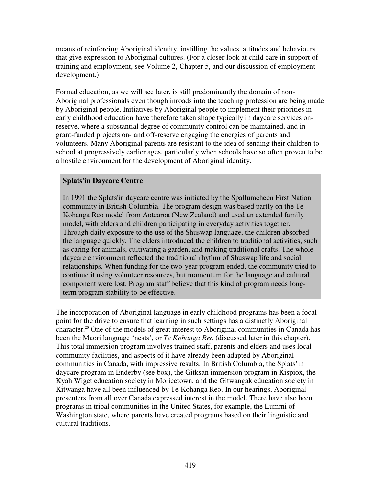means of reinforcing Aboriginal identity, instilling the values, attitudes and behaviours that give expression to Aboriginal cultures. (For a closer look at child care in support of training and employment, see Volume 2, Chapter 5, and our discussion of employment development.)

Formal education, as we will see later, is still predominantly the domain of non-Aboriginal professionals even though inroads into the teaching profession are being made by Aboriginal people. Initiatives by Aboriginal people to implement their priorities in early childhood education have therefore taken shape typically in daycare services onreserve, where a substantial degree of community control can be maintained, and in grant-funded projects on- and off-reserve engaging the energies of parents and volunteers. Many Aboriginal parents are resistant to the idea of sending their children to school at progressively earlier ages, particularly when schools have so often proven to be a hostile environment for the development of Aboriginal identity.

#### **Splats'in Daycare Centre**

In 1991 the Splats'in daycare centre was initiated by the Spallumcheen First Nation community in British Columbia. The program design was based partly on the Te Kohanga Reo model from Aotearoa (New Zealand) and used an extended family model, with elders and children participating in everyday activities together. Through daily exposure to the use of the Shuswap language, the children absorbed the language quickly. The elders introduced the children to traditional activities, such as caring for animals, cultivating a garden, and making traditional crafts. The whole daycare environment reflected the traditional rhythm of Shuswap life and social relationships. When funding for the two-year program ended, the community tried to continue it using volunteer resources, but momentum for the language and cultural component were lost. Program staff believe that this kind of program needs longterm program stability to be effective.

The incorporation of Aboriginal language in early childhood programs has been a focal point for the drive to ensure that learning in such settings has a distinctly Aboriginal character. <sup>20</sup> One of the models of great interest to Aboriginal communities in Canada has been the Maori language 'nests', or *Te Kohanga Reo* (discussed later in this chapter). This total immersion program involves trained staff, parents and elders and uses local community facilities, and aspects of it have already been adapted by Aboriginal communities in Canada, with impressive results. In British Columbia, the Splats'in daycare program in Enderby (see box), the Gitksan immersion program in Kispiox, the Kyah Wiget education society in Moricetown, and the Gitwangak education society in Kitwanga have all been influenced by Te Kohanga Reo. In our hearings, Aboriginal presenters from all over Canada expressed interest in the model. There have also been programs in tribal communities in the United States, for example, the Lummi of Washington state, where parents have created programs based on their linguistic and cultural traditions.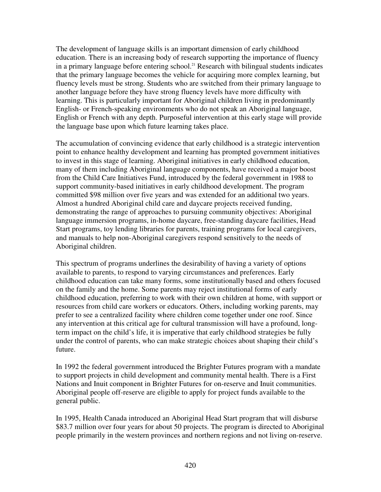The development of language skills is an important dimension of early childhood education. There is an increasing body of research supporting the importance of fluency in a primary language before entering school. <sup>21</sup> Research with bilingual students indicates that the primary language becomes the vehicle for acquiring more complex learning, but fluency levels must be strong. Students who are switched from their primary language to another language before they have strong fluency levels have more difficulty with learning. This is particularly important for Aboriginal children living in predominantly English- or French-speaking environments who do not speak an Aboriginal language, English or French with any depth. Purposeful intervention at this early stage will provide the language base upon which future learning takes place.

The accumulation of convincing evidence that early childhood is a strategic intervention point to enhance healthy development and learning has prompted government initiatives to invest in this stage of learning. Aboriginal initiatives in early childhood education, many of them including Aboriginal language components, have received a major boost from the Child Care Initiatives Fund, introduced by the federal government in 1988 to support community-based initiatives in early childhood development. The program committed \$98 million over five years and was extended for an additional two years. Almost a hundred Aboriginal child care and daycare projects received funding, demonstrating the range of approaches to pursuing community objectives: Aboriginal language immersion programs, in-home daycare, free-standing daycare facilities, Head Start programs, toy lending libraries for parents, training programs for local caregivers, and manuals to help non-Aboriginal caregivers respond sensitively to the needs of Aboriginal children.

This spectrum of programs underlines the desirability of having a variety of options available to parents, to respond to varying circumstances and preferences. Early childhood education can take many forms, some institutionally based and others focused on the family and the home. Some parents may reject institutional forms of early childhood education, preferring to work with their own children at home, with support or resources from child care workers or educators. Others, including working parents, may prefer to see a centralized facility where children come together under one roof. Since any intervention at this critical age for cultural transmission will have a profound, longterm impact on the child's life, it is imperative that early childhood strategies be fully under the control of parents, who can make strategic choices about shaping their child's future.

In 1992 the federal government introduced the Brighter Futures program with a mandate to support projects in child development and community mental health. There is a First Nations and Inuit component in Brighter Futures for on-reserve and Inuit communities. Aboriginal people off-reserve are eligible to apply for project funds available to the general public.

In 1995, Health Canada introduced an Aboriginal Head Start program that will disburse \$83.7 million over four years for about 50 projects. The program is directed to Aboriginal people primarily in the western provinces and northern regions and not living on-reserve.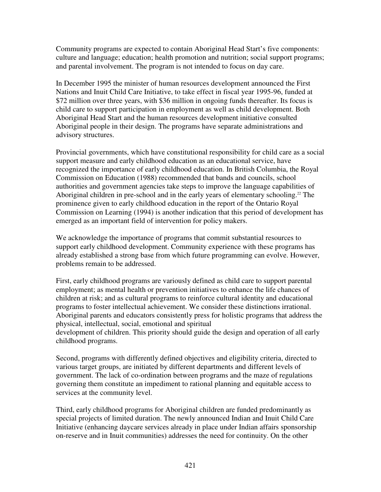Community programs are expected to contain Aboriginal Head Start's five components: culture and language; education; health promotion and nutrition; social support programs; and parental involvement. The program is not intended to focus on day care.

In December 1995 the minister of human resources development announced the First Nations and Inuit Child Care Initiative, to take effect in fiscal year 1995-96, funded at \$72 million over three years, with \$36 million in ongoing funds thereafter. Its focus is child care to support participation in employment as well as child development. Both Aboriginal Head Start and the human resources development initiative consulted Aboriginal people in their design. The programs have separate administrations and advisory structures.

Provincial governments, which have constitutional responsibility for child care as a social support measure and early childhood education as an educational service, have recognized the importance of early childhood education. In British Columbia, the Royal Commission on Education (1988) recommended that bands and councils, school authorities and government agencies take steps to improve the language capabilities of Aboriginal children in pre-school and in the early years of elementary schooling.<sup>22</sup> The prominence given to early childhood education in the report of the Ontario Royal Commission on Learning (1994) is another indication that this period of development has emerged as an important field of intervention for policy makers.

We acknowledge the importance of programs that commit substantial resources to support early childhood development. Community experience with these programs has already established a strong base from which future programming can evolve. However, problems remain to be addressed.

First, early childhood programs are variously defined as child care to support parental employment; as mental health or prevention initiatives to enhance the life chances of children at risk; and as cultural programs to reinforce cultural identity and educational programs to foster intellectual achievement. We consider these distinctions irrational. Aboriginal parents and educators consistently press for holistic programs that address the physical, intellectual, social, emotional and spiritual development of children. This priority should guide the design and operation of all early childhood programs.

Second, programs with differently defined objectives and eligibility criteria, directed to various target groups, are initiated by different departments and different levels of government. The lack of co-ordination between programs and the maze of regulations governing them constitute an impediment to rational planning and equitable access to services at the community level.

Third, early childhood programs for Aboriginal children are funded predominantly as special projects of limited duration. The newly announced Indian and Inuit Child Care Initiative (enhancing daycare services already in place under Indian affairs sponsorship on-reserve and in Inuit communities) addresses the need for continuity. On the other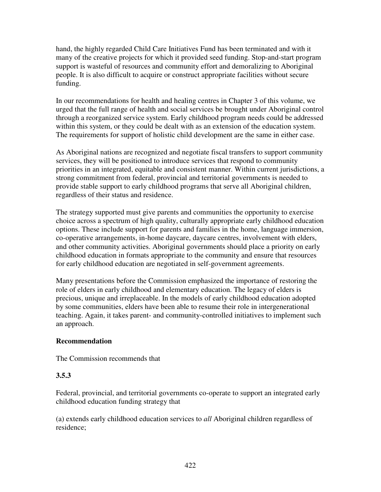hand, the highly regarded Child Care Initiatives Fund has been terminated and with it many of the creative projects for which it provided seed funding. Stop-and-start program support is wasteful of resources and community effort and demoralizing to Aboriginal people. It is also difficult to acquire or construct appropriate facilities without secure funding.

In our recommendations for health and healing centres in Chapter 3 of this volume, we urged that the full range of health and social services be brought under Aboriginal control through a reorganized service system. Early childhood program needs could be addressed within this system, or they could be dealt with as an extension of the education system. The requirements for support of holistic child development are the same in either case.

As Aboriginal nations are recognized and negotiate fiscal transfers to support community services, they will be positioned to introduce services that respond to community priorities in an integrated, equitable and consistent manner. Within current jurisdictions, a strong commitment from federal, provincial and territorial governments is needed to provide stable support to early childhood programs that serve all Aboriginal children, regardless of their status and residence.

The strategy supported must give parents and communities the opportunity to exercise choice across a spectrum of high quality, culturally appropriate early childhood education options. These include support for parents and families in the home, language immersion, co-operative arrangements, in-home daycare, daycare centres, involvement with elders, and other community activities. Aboriginal governments should place a priority on early childhood education in formats appropriate to the community and ensure that resources for early childhood education are negotiated in self-government agreements.

Many presentations before the Commission emphasized the importance of restoring the role of elders in early childhood and elementary education. The legacy of elders is precious, unique and irreplaceable. In the models of early childhood education adopted by some communities, elders have been able to resume their role in intergenerational teaching. Again, it takes parent- and community-controlled initiatives to implement such an approach.

### **Recommendation**

The Commission recommends that

### **3.5.3**

Federal, provincial, and territorial governments co-operate to support an integrated early childhood education funding strategy that

(a) extends early childhood education services to *all* Aboriginal children regardless of residence;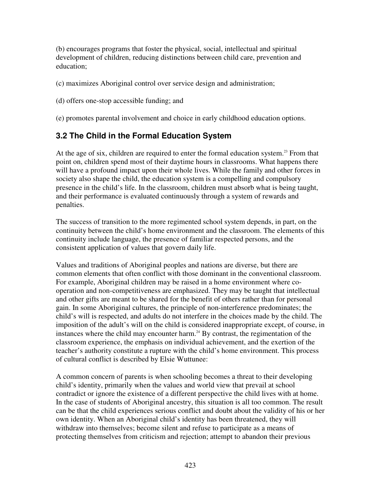(b) encourages programs that foster the physical, social, intellectual and spiritual development of children, reducing distinctions between child care, prevention and education;

(c) maximizes Aboriginal control over service design and administration;

(d) offers one-stop accessible funding; and

(e) promotes parental involvement and choice in early childhood education options.

# **3.2 The Child in the Formal Education System**

At the age of six, children are required to enter the formal education system.<sup>23</sup> From that point on, children spend most of their daytime hours in classrooms. What happens there will have a profound impact upon their whole lives. While the family and other forces in society also shape the child, the education system is a compelling and compulsory presence in the child's life. In the classroom, children must absorb what is being taught, and their performance is evaluated continuously through a system of rewards and penalties.

The success of transition to the more regimented school system depends, in part, on the continuity between the child's home environment and the classroom. The elements of this continuity include language, the presence of familiar respected persons, and the consistent application of values that govern daily life.

Values and traditions of Aboriginal peoples and nations are diverse, but there are common elements that often conflict with those dominant in the conventional classroom. For example, Aboriginal children may be raised in a home environment where cooperation and non-competitiveness are emphasized. They may be taught that intellectual and other gifts are meant to be shared for the benefit of others rather than for personal gain. In some Aboriginal cultures, the principle of non-interference predominates; the child's will is respected, and adults do not interfere in the choices made by the child. The imposition of the adult's will on the child is considered inappropriate except, of course, in instances where the child may encounter harm. <sup>24</sup> By contrast, the regimentation of the classroom experience, the emphasis on individual achievement, and the exertion of the teacher's authority constitute a rupture with the child's home environment. This process of cultural conflict is described by Elsie Wuttunee:

A common concern of parents is when schooling becomes a threat to their developing child's identity, primarily when the values and world view that prevail at school contradict or ignore the existence of a different perspective the child lives with at home. In the case of students of Aboriginal ancestry, this situation is all too common. The result can be that the child experiences serious conflict and doubt about the validity of his or her own identity. When an Aboriginal child's identity has been threatened, they will withdraw into themselves; become silent and refuse to participate as a means of protecting themselves from criticism and rejection; attempt to abandon their previous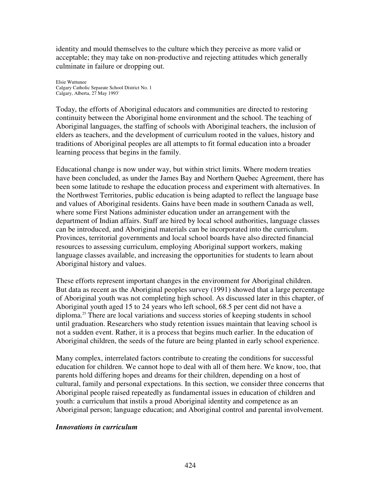identity and mould themselves to the culture which they perceive as more valid or acceptable; they may take on non-productive and rejecting attitudes which generally culminate in failure or dropping out.

Elsie Wuttunee Calgary Catholic Separate School District No. 1 Calgary, Alberta, 27 May 1993 \*

Today, the efforts of Aboriginal educators and communities are directed to restoring continuity between the Aboriginal home environment and the school. The teaching of Aboriginal languages, the staffing of schools with Aboriginal teachers, the inclusion of elders as teachers, and the development of curriculum rooted in the values, history and traditions of Aboriginal peoples are all attempts to fit formal education into a broader learning process that begins in the family.

Educational change is now under way, but within strict limits. Where modern treaties have been concluded, as under the James Bay and Northern Quebec Agreement, there has been some latitude to reshape the education process and experiment with alternatives. In the Northwest Territories, public education is being adapted to reflect the language base and values of Aboriginal residents. Gains have been made in southern Canada as well, where some First Nations administer education under an arrangement with the department of Indian affairs. Staff are hired by local school authorities, language classes can be introduced, and Aboriginal materials can be incorporated into the curriculum. Provinces, territorial governments and local school boards have also directed financial resources to assessing curriculum, employing Aboriginal support workers, making language classes available, and increasing the opportunities for students to learn about Aboriginal history and values.

These efforts represent important changes in the environment for Aboriginal children. But data as recent as the Aboriginal peoples survey (1991) showed that a large percentage of Aboriginal youth was not completing high school. As discussed later in this chapter, of Aboriginal youth aged 15 to 24 years who left school, 68.5 per cent did not have a diploma. <sup>25</sup> There are local variations and success stories of keeping students in school until graduation. Researchers who study retention issues maintain that leaving school is not a sudden event. Rather, it is a process that begins much earlier. In the education of Aboriginal children, the seeds of the future are being planted in early school experience.

Many complex, interrelated factors contribute to creating the conditions for successful education for children. We cannot hope to deal with all of them here. We know, too, that parents hold differing hopes and dreams for their children, depending on a host of cultural, family and personal expectations. In this section, we consider three concerns that Aboriginal people raised repeatedly as fundamental issues in education of children and youth: a curriculum that instils a proud Aboriginal identity and competence as an Aboriginal person; language education; and Aboriginal control and parental involvement.

### *Innovations in curriculum*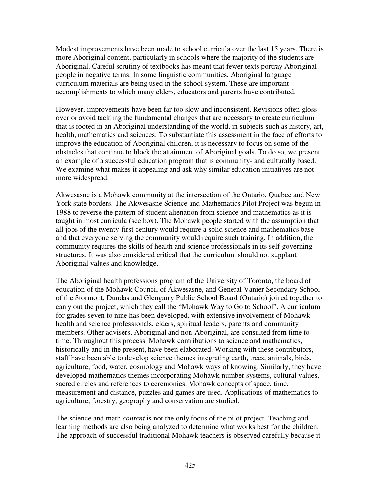Modest improvements have been made to school curricula over the last 15 years. There is more Aboriginal content, particularly in schools where the majority of the students are Aboriginal. Careful scrutiny of textbooks has meant that fewer texts portray Aboriginal people in negative terms. In some linguistic communities, Aboriginal language curriculum materials are being used in the school system. These are important accomplishments to which many elders, educators and parents have contributed.

However, improvements have been far too slow and inconsistent. Revisions often gloss over or avoid tackling the fundamental changes that are necessary to create curriculum that is rooted in an Aboriginal understanding of the world, in subjects such as history, art, health, mathematics and sciences. To substantiate this assessment in the face of efforts to improve the education of Aboriginal children, it is necessary to focus on some of the obstacles that continue to block the attainment of Aboriginal goals. To do so, we present an example of a successful education program that is community- and culturally based. We examine what makes it appealing and ask why similar education initiatives are not more widespread.

Akwesasne is a Mohawk community at the intersection of the Ontario, Quebec and New York state borders. The Akwesasne Science and Mathematics Pilot Project was begun in 1988 to reverse the pattern of student alienation from science and mathematics as it is taught in most curricula (see box). The Mohawk people started with the assumption that all jobs of the twenty-first century would require a solid science and mathematics base and that everyone serving the community would require such training. In addition, the community requires the skills of health and science professionals in its self-governing structures. It was also considered critical that the curriculum should not supplant Aboriginal values and knowledge.

The Aboriginal health professions program of the University of Toronto, the board of education of the Mohawk Council of Akwesasne, and General Vanier Secondary School of the Stormont, Dundas and Glengarry Public School Board (Ontario) joined together to carry out the project, which they call the "Mohawk Way to Go to School". A curriculum for grades seven to nine has been developed, with extensive involvement of Mohawk health and science professionals, elders, spiritual leaders, parents and community members. Other advisers, Aboriginal and non-Aboriginal, are consulted from time to time. Throughout this process, Mohawk contributions to science and mathematics, historically and in the present, have been elaborated. Working with these contributors, staff have been able to develop science themes integrating earth, trees, animals, birds, agriculture, food, water, cosmology and Mohawk ways of knowing. Similarly, they have developed mathematics themes incorporating Mohawk number systems, cultural values, sacred circles and references to ceremonies. Mohawk concepts of space, time, measurement and distance, puzzles and games are used. Applications of mathematics to agriculture, forestry, geography and conservation are studied.

The science and math *content* is not the only focus of the pilot project. Teaching and learning methods are also being analyzed to determine what works best for the children. The approach of successful traditional Mohawk teachers is observed carefully because it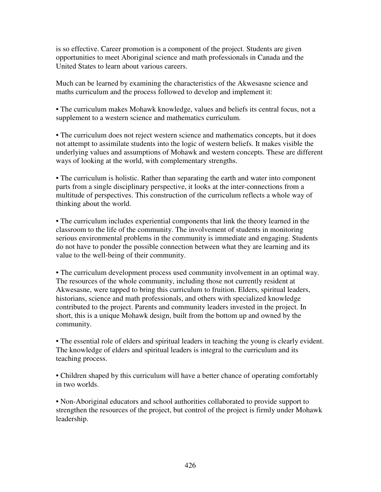is so effective. Career promotion is a component of the project. Students are given opportunities to meet Aboriginal science and math professionals in Canada and the United States to learn about various careers.

Much can be learned by examining the characteristics of the Akwesasne science and maths curriculum and the process followed to develop and implement it:

• The curriculum makes Mohawk knowledge, values and beliefs its central focus, not a supplement to a western science and mathematics curriculum.

• The curriculum does not reject western science and mathematics concepts, but it does not attempt to assimilate students into the logic of western beliefs. It makes visible the underlying values and assumptions of Mohawk and western concepts. These are different ways of looking at the world, with complementary strengths.

• The curriculum is holistic. Rather than separating the earth and water into component parts from a single disciplinary perspective, it looks at the inter-connections from a multitude of perspectives. This construction of the curriculum reflects a whole way of thinking about the world.

• The curriculum includes experiential components that link the theory learned in the classroom to the life of the community. The involvement of students in monitoring serious environmental problems in the community is immediate and engaging. Students do not have to ponder the possible connection between what they are learning and its value to the well-being of their community.

• The curriculum development process used community involvement in an optimal way. The resources of the whole community, including those not currently resident at Akwesasne, were tapped to bring this curriculum to fruition. Elders, spiritual leaders, historians, science and math professionals, and others with specialized knowledge contributed to the project. Parents and community leaders invested in the project. In short, this is a unique Mohawk design, built from the bottom up and owned by the community.

• The essential role of elders and spiritual leaders in teaching the young is clearly evident. The knowledge of elders and spiritual leaders is integral to the curriculum and its teaching process.

• Children shaped by this curriculum will have a better chance of operating comfortably in two worlds.

• Non-Aboriginal educators and school authorities collaborated to provide support to strengthen the resources of the project, but control of the project is firmly under Mohawk leadership.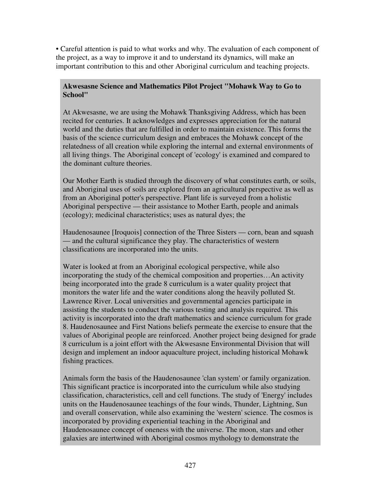• Careful attention is paid to what works and why. The evaluation of each component of the project, as a way to improve it and to understand its dynamics, will make an important contribution to this and other Aboriginal curriculum and teaching projects.

### **Akwesasne Science and Mathematics Pilot Project "Mohawk Way to Go to School"**

At Akwesasne, we are using the Mohawk Thanksgiving Address, which has been recited for centuries. It acknowledges and expresses appreciation for the natural world and the duties that are fulfilled in order to maintain existence. This forms the basis of the science curriculum design and embraces the Mohawk concept of the relatedness of all creation while exploring the internal and external environments of all living things. The Aboriginal concept of 'ecology'is examined and compared to the dominant culture theories.

Our Mother Earth is studied through the discovery of what constitutes earth, or soils, and Aboriginal uses of soils are explored from an agricultural perspective as well as from an Aboriginal potter's perspective. Plant life is surveyed from a holistic Aboriginal perspective — their assistance to Mother Earth, people and animals (ecology); medicinal characteristics; uses as natural dyes; the

Haudenosaunee [Iroquois] connection of the Three Sisters — corn, bean and squash — and the cultural significance they play. The characteristics of western classifications are incorporated into the units.

Water is looked at from an Aboriginal ecological perspective, while also incorporating the study of the chemical composition and properties…An activity being incorporated into the grade 8 curriculum is a water quality project that monitors the water life and the water conditions along the heavily polluted St. Lawrence River. Local universities and governmental agencies participate in assisting the students to conduct the various testing and analysis required. This activity is incorporated into the draft mathematics and science curriculum for grade 8. Haudenosaunee and First Nations beliefs permeate the exercise to ensure that the values of Aboriginal people are reinforced. Another project being designed for grade 8 curriculum is a joint effort with the Akwesasne Environmental Division that will design and implement an indoor aquaculture project, including historical Mohawk fishing practices.

Animals form the basis of the Haudenosaunee 'clan system'or family organization. This significant practice is incorporated into the curriculum while also studying classification, characteristics, cell and cell functions. The study of 'Energy'includes units on the Haudenosaunee teachings of the four winds, Thunder, Lightning, Sun and overall conservation, while also examining the 'western'science. The cosmos is incorporated by providing experiential teaching in the Aboriginal and Haudenosaunee concept of oneness with the universe. The moon, stars and other galaxies are intertwined with Aboriginal cosmos mythology to demonstrate the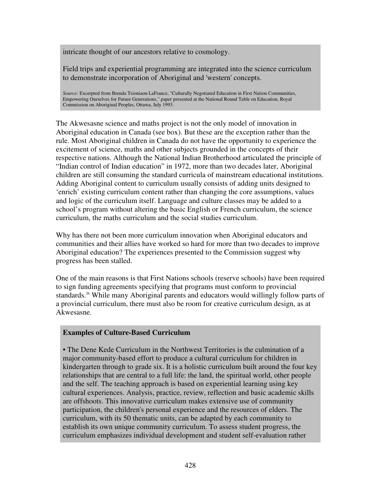intricate thought of our ancestors relative to cosmology.

Field trips and experiential programming are integrated into the science curriculum to demonstrate incorporation of Aboriginal and 'western'concepts.

*Source:* Excerpted from Brenda Tsioniaon LaFrance, "Culturally Negotiated Education in First Nation Communities, Empowering Ourselves for Future Generations," paper presented at the National Round Table on Education, Royal Commission on Aboriginal Peoples, Ottawa, July 1993.

The Akwesasne science and maths project is not the only model of innovation in Aboriginal education in Canada (see box). But these are the exception rather than the rule. Most Aboriginal children in Canada do not have the opportunity to experience the excitement of science, maths and other subjects grounded in the concepts of their respective nations. Although the National Indian Brotherhood articulated the principle of "Indian control of Indian education" in 1972, more than two decades later, Aboriginal children are still consuming the standard curricula of mainstream educational institutions. Adding Aboriginal content to curriculum usually consists of adding units designed to 'enrich' existing curriculum content rather than changing the core assumptions, values and logic of the curriculum itself. Language and culture classes may be added to a school's program without altering the basic English or French curriculum, the science curriculum, the maths curriculum and the social studies curriculum.

Why has there not been more curriculum innovation when Aboriginal educators and communities and their allies have worked so hard for more than two decades to improve Aboriginal education? The experiences presented to the Commission suggest why progress has been stalled.

One of the main reasons is that First Nations schools (reserve schools) have been required to sign funding agreements specifying that programs must conform to provincial standards. <sup>26</sup> While many Aboriginal parents and educators would willingly follow parts of a provincial curriculum, there must also be room for creative curriculum design, as at Akwesasne.

#### **Examples of Culture-Based Curriculum**

• The Dene Kede Curriculum in the Northwest Territories is the culmination of a major community-based effort to produce a cultural curriculum for children in kindergarten through to grade six. It is a holistic curriculum built around the four key relationships that are central to a full life: the land, the spiritual world, other people and the self. The teaching approach is based on experiential learning using key cultural experiences. Analysis, practice, review, reflection and basic academic skills are offshoots. This innovative curriculum makes extensive use of community participation, the children's personal experience and the resources of elders. The curriculum, with its 50 thematic units, can be adapted by each community to establish its own unique community curriculum. To assess student progress, the curriculum emphasizes individual development and student self-evaluation rather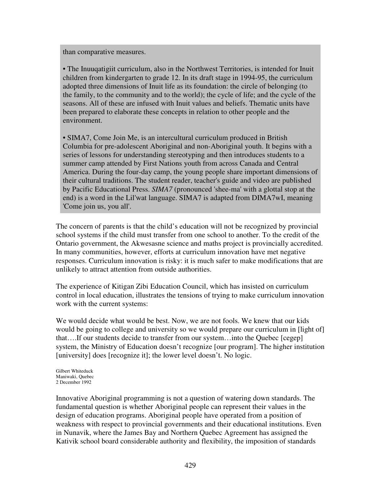than comparative measures.

• The Inuuqatigiit curriculum, also in the Northwest Territories, is intended for Inuit children from kindergarten to grade 12. In its draft stage in 1994-95, the curriculum adopted three dimensions of Inuit life as its foundation: the circle of belonging (to the family, to the community and to the world); the cycle of life; and the cycle of the seasons. All of these are infused with Inuit values and beliefs. Thematic units have been prepared to elaborate these concepts in relation to other people and the environment.

• SIMA7, Come Join Me, is an intercultural curriculum produced in British Columbia for pre-adolescent Aboriginal and non-Aboriginal youth. It begins with a series of lessons for understanding stereotyping and then introduces students to a summer camp attended by First Nations youth from across Canada and Central America. During the four-day camp, the young people share important dimensions of their cultural traditions. The student reader, teacher's guide and video are published by Pacific Educational Press. *SIMA7* (pronounced 'shee-ma'with a glottal stop at the end) is a word in the Lil'wat language. SIMA7 is adapted from DIMA7wI, meaning 'Come join us, you all'.

The concern of parents is that the child's education will not be recognized by provincial school systems if the child must transfer from one school to another. To the credit of the Ontario government, the Akwesasne science and maths project is provincially accredited. In many communities, however, efforts at curriculum innovation have met negative responses. Curriculum innovation is risky: it is much safer to make modifications that are unlikely to attract attention from outside authorities.

The experience of Kitigan Zibi Education Council, which has insisted on curriculum control in local education, illustrates the tensions of trying to make curriculum innovation work with the current systems:

We would decide what would be best. Now, we are not fools. We knew that our kids would be going to college and university so we would prepare our curriculum in [light of] that….If our students decide to transfer from our system…into the Quebec [cegep] system, the Ministry of Education doesn't recognize [our program]. The higher institution [university] does [recognize it]; the lower level doesn't. No logic.

Gilbert Whiteduck Maniwaki, Quebec 2 December 1992

Innovative Aboriginal programming is not a question of watering down standards. The fundamental question is whether Aboriginal people can represent their values in the design of education programs. Aboriginal people have operated from a position of weakness with respect to provincial governments and their educational institutions. Even in Nunavik, where the James Bay and Northern Quebec Agreement has assigned the Kativik school board considerable authority and flexibility, the imposition of standards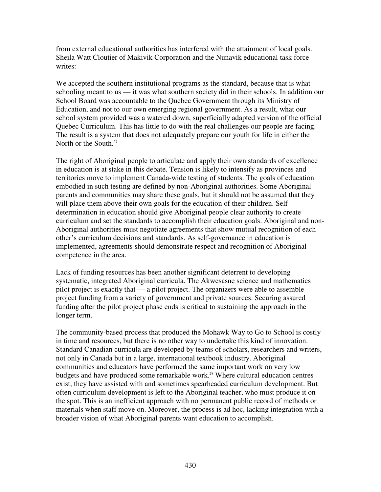from external educational authorities has interfered with the attainment of local goals. Sheila Watt Cloutier of Makivik Corporation and the Nunavik educational task force writes:

We accepted the southern institutional programs as the standard, because that is what schooling meant to us — it was what southern society did in their schools. In addition our School Board was accountable to the Quebec Government through its Ministry of Education, and not to our own emerging regional government. As a result, what our school system provided was a watered down, superficially adapted version of the official Quebec Curriculum. This has little to do with the real challenges our people are facing. The result is a system that does not adequately prepare our youth for life in either the North or the South.<sup>27</sup>

The right of Aboriginal people to articulate and apply their own standards of excellence in education is at stake in this debate. Tension is likely to intensify as provinces and territories move to implement Canada-wide testing of students. The goals of education embodied in such testing are defined by non-Aboriginal authorities. Some Aboriginal parents and communities may share these goals, but it should not be assumed that they will place them above their own goals for the education of their children. Selfdetermination in education should give Aboriginal people clear authority to create curriculum and set the standards to accomplish their education goals. Aboriginal and non-Aboriginal authorities must negotiate agreements that show mutual recognition of each other's curriculum decisions and standards. As self-governance in education is implemented, agreements should demonstrate respect and recognition of Aboriginal competence in the area.

Lack of funding resources has been another significant deterrent to developing systematic, integrated Aboriginal curricula. The Akwesasne science and mathematics pilot project is exactly that — a pilot project. The organizers were able to assemble project funding from a variety of government and private sources. Securing assured funding after the pilot project phase ends is critical to sustaining the approach in the longer term.

The community-based process that produced the Mohawk Way to Go to School is costly in time and resources, but there is no other way to undertake this kind of innovation. Standard Canadian curricula are developed by teams of scholars, researchers and writers, not only in Canada but in a large, international textbook industry. Aboriginal communities and educators have performed the same important work on very low budgets and have produced some remarkable work. <sup>28</sup> Where cultural education centres exist, they have assisted with and sometimes spearheaded curriculum development. But often curriculum development is left to the Aboriginal teacher, who must produce it on the spot. This is an inefficient approach with no permanent public record of methods or materials when staff move on. Moreover, the process is ad hoc, lacking integration with a broader vision of what Aboriginal parents want education to accomplish.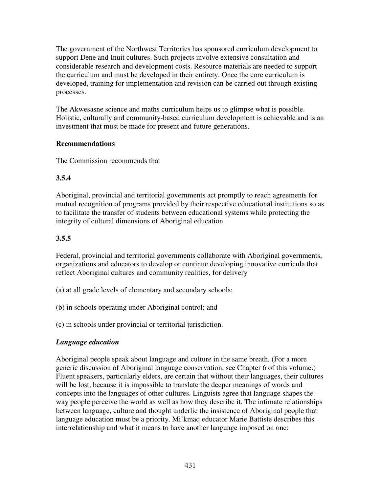The government of the Northwest Territories has sponsored curriculum development to support Dene and Inuit cultures. Such projects involve extensive consultation and considerable research and development costs. Resource materials are needed to support the curriculum and must be developed in their entirety. Once the core curriculum is developed, training for implementation and revision can be carried out through existing processes.

The Akwesasne science and maths curriculum helps us to glimpse what is possible. Holistic, culturally and community-based curriculum development is achievable and is an investment that must be made for present and future generations.

### **Recommendations**

The Commission recommends that

### **3.5.4**

Aboriginal, provincial and territorial governments act promptly to reach agreements for mutual recognition of programs provided by their respective educational institutions so as to facilitate the transfer of students between educational systems while protecting the integrity of cultural dimensions of Aboriginal education

### **3.5.5**

Federal, provincial and territorial governments collaborate with Aboriginal governments, organizations and educators to develop or continue developing innovative curricula that reflect Aboriginal cultures and community realities, for delivery

- (a) at all grade levels of elementary and secondary schools;
- (b) in schools operating under Aboriginal control; and
- (c) in schools under provincial or territorial jurisdiction.

### *Language education*

Aboriginal people speak about language and culture in the same breath. (For a more generic discussion of Aboriginal language conservation, see Chapter 6 of this volume.) Fluent speakers, particularly elders, are certain that without their languages, their cultures will be lost, because it is impossible to translate the deeper meanings of words and concepts into the languages of other cultures. Linguists agree that language shapes the way people perceive the world as well as how they describe it. The intimate relationships between language, culture and thought underlie the insistence of Aboriginal people that language education must be a priority. Mi'kmaq educator Marie Battiste describes this interrelationship and what it means to have another language imposed on one: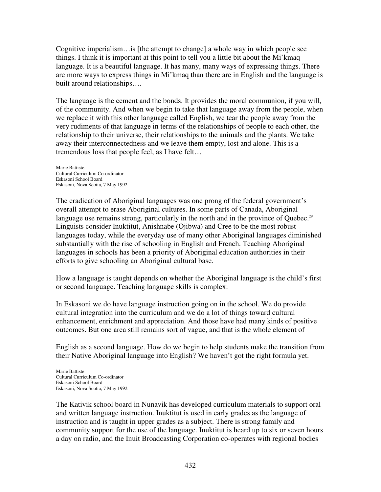Cognitive imperialism…is [the attempt to change] a whole way in which people see things. I think it is important at this point to tell you a little bit about the Mi'kmaq language. It is a beautiful language. It has many, many ways of expressing things. There are more ways to express things in Mi'kmaq than there are in English and the language is built around relationships….

The language is the cement and the bonds. It provides the moral communion, if you will, of the community. And when we begin to take that language away from the people, when we replace it with this other language called English, we tear the people away from the very rudiments of that language in terms of the relationships of people to each other, the relationship to their universe, their relationships to the animals and the plants. We take away their interconnectedness and we leave them empty, lost and alone. This is a tremendous loss that people feel, as I have felt…

Marie Battiste Cultural Curriculum Co-ordinator Eskasoni School Board Eskasoni, Nova Scotia, 7 May 1992

The eradication of Aboriginal languages was one prong of the federal government's overall attempt to erase Aboriginal cultures. In some parts of Canada, Aboriginal language use remains strong, particularly in the north and in the province of Quebec.<sup>29</sup> Linguists consider Inuktitut, Anishnabe (Ojibwa) and Cree to be the most robust languages today, while the everyday use of many other Aboriginal languages diminished substantially with the rise of schooling in English and French. Teaching Aboriginal languages in schools has been a priority of Aboriginal education authorities in their efforts to give schooling an Aboriginal cultural base.

How a language is taught depends on whether the Aboriginal language is the child's first or second language. Teaching language skills is complex:

In Eskasoni we do have language instruction going on in the school. We do provide cultural integration into the curriculum and we do a lot of things toward cultural enhancement, enrichment and appreciation. And those have had many kinds of positive outcomes. But one area still remains sort of vague, and that is the whole element of

English as a second language. How do we begin to help students make the transition from their Native Aboriginal language into English? We haven't got the right formula yet.

Marie Battiste Cultural Curriculum Co-ordinator Eskasoni School Board Eskasoni, Nova Scotia, 7 May 1992

The Kativik school board in Nunavik has developed curriculum materials to support oral and written language instruction. Inuktitut is used in early grades as the language of instruction and is taught in upper grades as a subject. There is strong family and community support for the use of the language. Inuktitut is heard up to six or seven hours a day on radio, and the Inuit Broadcasting Corporation co-operates with regional bodies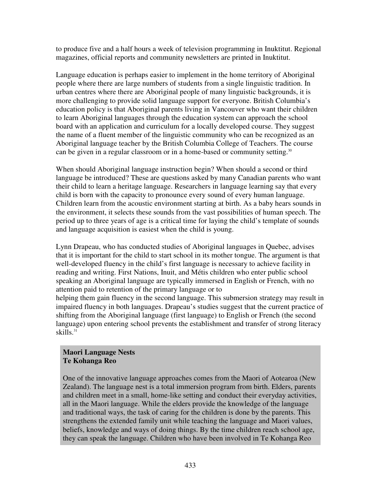to produce five and a half hours a week of television programming in Inuktitut. Regional magazines, official reports and community newsletters are printed in Inuktitut.

Language education is perhaps easier to implement in the home territory of Aboriginal people where there are large numbers of students from a single linguistic tradition. In urban centres where there are Aboriginal people of many linguistic backgrounds, it is more challenging to provide solid language support for everyone. British Columbia's education policy is that Aboriginal parents living in Vancouver who want their children to learn Aboriginal languages through the education system can approach the school board with an application and curriculum for a locally developed course. They suggest the name of a fluent member of the linguistic community who can be recognized as an Aboriginal language teacher by the British Columbia College of Teachers. The course can be given in a regular classroom or in a home-based or community setting.<sup>30</sup>

When should Aboriginal language instruction begin? When should a second or third language be introduced? These are questions asked by many Canadian parents who want their child to learn a heritage language. Researchers in language learning say that every child is born with the capacity to pronounce every sound of every human language. Children learn from the acoustic environment starting at birth. As a baby hears sounds in the environment, it selects these sounds from the vast possibilities of human speech. The period up to three years of age is a critical time for laying the child's template of sounds and language acquisition is easiest when the child is young.

Lynn Drapeau, who has conducted studies of Aboriginal languages in Quebec, advises that it is important for the child to start school in its mother tongue. The argument is that well-developed fluency in the child's first language is necessary to achieve facility in reading and writing. First Nations, Inuit, and Métis children who enter public school speaking an Aboriginal language are typically immersed in English or French, with no attention paid to retention of the primary language or to

helping them gain fluency in the second language. This submersion strategy may result in impaired fluency in both languages. Drapeau's studies suggest that the current practice of shifting from the Aboriginal language (first language) to English or French (the second language) upon entering school prevents the establishment and transfer of strong literacy skills. 31

#### **Maori Language Nests Te Kohanga Reo**

One of the innovative language approaches comes from the Maori of Aotearoa (New Zealand). The language nest is a total immersion program from birth. Elders, parents and children meet in a small, home-like setting and conduct their everyday activities, all in the Maori language. While the elders provide the knowledge of the language and traditional ways, the task of caring for the children is done by the parents. This strengthens the extended family unit while teaching the language and Maori values, beliefs, knowledge and ways of doing things. By the time children reach school age, they can speak the language. Children who have been involved in Te Kohanga Reo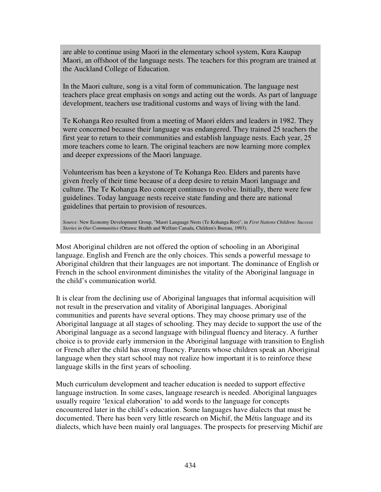are able to continue using Maori in the elementary school system, Kura Kaupap Maori, an offshoot of the language nests. The teachers for this program are trained at the Auckland College of Education.

In the Maori culture, song is a vital form of communication. The language nest teachers place great emphasis on songs and acting out the words. As part of language development, teachers use traditional customs and ways of living with the land.

Te Kohanga Reo resulted from a meeting of Maori elders and leaders in 1982. They were concerned because their language was endangered. They trained 25 teachers the first year to return to their communities and establish language nests. Each year, 25 more teachers come to learn. The original teachers are now learning more complex and deeper expressions of the Maori language.

Volunteerism has been a keystone of Te Kohanga Reo. Elders and parents have given freely of their time because of a deep desire to retain Maori language and culture. The Te Kohanga Reo concept continues to evolve. Initially, there were few guidelines. Today language nests receive state funding and there are national guidelines that pertain to provision of resources.

*Source:* New Economy Development Group, "Maori Language Nests (Te Kohanga Reo)", in *First Nations Children: Success Stories in Our Communities* (Ottawa: Health and Welfare Canada, Children's Bureau, 1993).

Most Aboriginal children are not offered the option of schooling in an Aboriginal language. English and French are the only choices. This sends a powerful message to Aboriginal children that their languages are not important. The dominance of English or French in the school environment diminishes the vitality of the Aboriginal language in the child's communication world.

It is clear from the declining use of Aboriginal languages that informal acquisition will not result in the preservation and vitality of Aboriginal languages. Aboriginal communities and parents have several options. They may choose primary use of the Aboriginal language at all stages of schooling. They may decide to support the use of the Aboriginal language as a second language with bilingual fluency and literacy. A further choice is to provide early immersion in the Aboriginal language with transition to English or French after the child has strong fluency. Parents whose children speak an Aboriginal language when they start school may not realize how important it is to reinforce these language skills in the first years of schooling.

Much curriculum development and teacher education is needed to support effective language instruction. In some cases, language research is needed. Aboriginal languages usually require 'lexical elaboration' to add words to the language for concepts encountered later in the child's education. Some languages have dialects that must be documented. There has been very little research on Michif, the Métis language and its dialects, which have been mainly oral languages. The prospects for preserving Michif are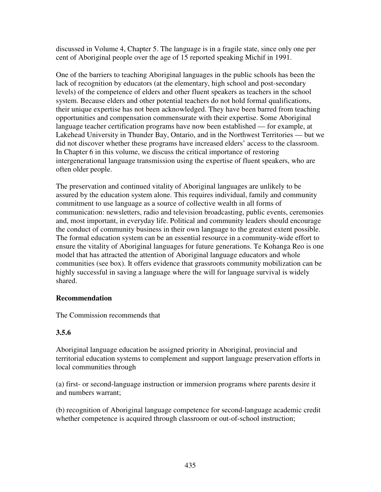discussed in Volume 4, Chapter 5. The language is in a fragile state, since only one per cent of Aboriginal people over the age of 15 reported speaking Michif in 1991.

One of the barriers to teaching Aboriginal languages in the public schools has been the lack of recognition by educators (at the elementary, high school and post-secondary levels) of the competence of elders and other fluent speakers as teachers in the school system. Because elders and other potential teachers do not hold formal qualifications, their unique expertise has not been acknowledged. They have been barred from teaching opportunities and compensation commensurate with their expertise. Some Aboriginal language teacher certification programs have now been established — for example, at Lakehead University in Thunder Bay, Ontario, and in the Northwest Territories — but we did not discover whether these programs have increased elders' access to the classroom. In Chapter 6 in this volume, we discuss the critical importance of restoring intergenerational language transmission using the expertise of fluent speakers, who are often older people.

The preservation and continued vitality of Aboriginal languages are unlikely to be assured by the education system alone. This requires individual, family and community commitment to use language as a source of collective wealth in all forms of communication: newsletters, radio and television broadcasting, public events, ceremonies and, most important, in everyday life. Political and community leaders should encourage the conduct of community business in their own language to the greatest extent possible. The formal education system can be an essential resource in a community-wide effort to ensure the vitality of Aboriginal languages for future generations. Te Kohanga Reo is one model that has attracted the attention of Aboriginal language educators and whole communities (see box). It offers evidence that grassroots community mobilization can be highly successful in saving a language where the will for language survival is widely shared.

### **Recommendation**

The Commission recommends that

### **3.5.6**

Aboriginal language education be assigned priority in Aboriginal, provincial and territorial education systems to complement and support language preservation efforts in local communities through

(a) first- or second-language instruction or immersion programs where parents desire it and numbers warrant;

(b) recognition of Aboriginal language competence for second-language academic credit whether competence is acquired through classroom or out-of-school instruction;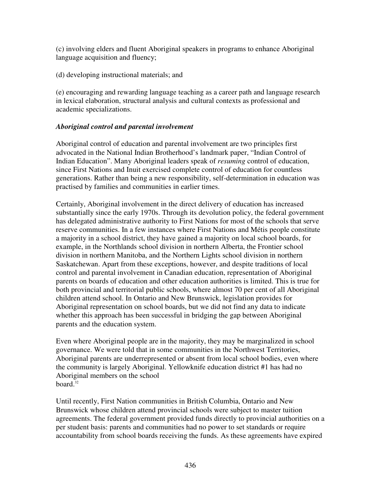(c) involving elders and fluent Aboriginal speakers in programs to enhance Aboriginal language acquisition and fluency;

(d) developing instructional materials; and

(e) encouraging and rewarding language teaching as a career path and language research in lexical elaboration, structural analysis and cultural contexts as professional and academic specializations.

### *Aboriginal control and parental involvement*

Aboriginal control of education and parental involvement are two principles first advocated in the National Indian Brotherhood's landmark paper, "Indian Control of Indian Education". Many Aboriginal leaders speak of *resuming* control of education, since First Nations and Inuit exercised complete control of education for countless generations. Rather than being a new responsibility, self-determination in education was practised by families and communities in earlier times.

Certainly, Aboriginal involvement in the direct delivery of education has increased substantially since the early 1970s. Through its devolution policy, the federal government has delegated administrative authority to First Nations for most of the schools that serve reserve communities. In a few instances where First Nations and Métis people constitute a majority in a school district, they have gained a majority on local school boards, for example, in the Northlands school division in northern Alberta, the Frontier school division in northern Manitoba, and the Northern Lights school division in northern Saskatchewan. Apart from these exceptions, however, and despite traditions of local control and parental involvement in Canadian education, representation of Aboriginal parents on boards of education and other education authorities is limited. This is true for both provincial and territorial public schools, where almost 70 per cent of all Aboriginal children attend school. In Ontario and New Brunswick, legislation provides for Aboriginal representation on school boards, but we did not find any data to indicate whether this approach has been successful in bridging the gap between Aboriginal parents and the education system.

Even where Aboriginal people are in the majority, they may be marginalized in school governance. We were told that in some communities in the Northwest Territories, Aboriginal parents are underrepresented or absent from local school bodies, even where the community is largely Aboriginal. Yellowknife education district #1 has had no Aboriginal members on the school board. 32

Until recently, First Nation communities in British Columbia, Ontario and New Brunswick whose children attend provincial schools were subject to master tuition agreements. The federal government provided funds directly to provincial authorities on a per student basis: parents and communities had no power to set standards or require accountability from school boards receiving the funds. As these agreements have expired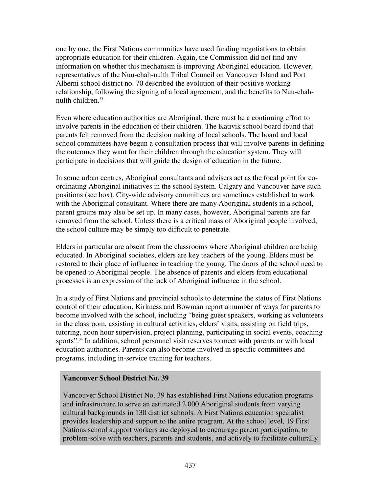one by one, the First Nations communities have used funding negotiations to obtain appropriate education for their children. Again, the Commission did not find any information on whether this mechanism is improving Aboriginal education. However, representatives of the Nuu-chah-nulth Tribal Council on Vancouver Island and Port Alberni school district no. 70 described the evolution of their positive working relationship, following the signing of a local agreement, and the benefits to Nuu-chahnulth children. 33

Even where education authorities are Aboriginal, there must be a continuing effort to involve parents in the education of their children. The Kativik school board found that parents felt removed from the decision making of local schools. The board and local school committees have begun a consultation process that will involve parents in defining the outcomes they want for their children through the education system. They will participate in decisions that will guide the design of education in the future.

In some urban centres, Aboriginal consultants and advisers act as the focal point for coordinating Aboriginal initiatives in the school system. Calgary and Vancouver have such positions (see box). City-wide advisory committees are sometimes established to work with the Aboriginal consultant. Where there are many Aboriginal students in a school, parent groups may also be set up. In many cases, however, Aboriginal parents are far removed from the school. Unless there is a critical mass of Aboriginal people involved, the school culture may be simply too difficult to penetrate.

Elders in particular are absent from the classrooms where Aboriginal children are being educated. In Aboriginal societies, elders are key teachers of the young. Elders must be restored to their place of influence in teaching the young. The doors of the school need to be opened to Aboriginal people. The absence of parents and elders from educational processes is an expression of the lack of Aboriginal influence in the school.

In a study of First Nations and provincial schools to determine the status of First Nations control of their education, Kirkness and Bowman report a number of ways for parents to become involved with the school, including "being guest speakers, working as volunteers in the classroom, assisting in cultural activities, elders' visits, assisting on field trips, tutoring, noon hour supervision, project planning, participating in social events, coaching sports".<sup>34</sup> In addition, school personnel visit reserves to meet with parents or with local education authorities. Parents can also become involved in specific committees and programs, including in-service training for teachers.

### **Vancouver School District No. 39**

Vancouver School District No. 39 has established First Nations education programs and infrastructure to serve an estimated 2,000 Aboriginal students from varying cultural backgrounds in 130 district schools. A First Nations education specialist provides leadership and support to the entire program. At the school level, 19 First Nations school support workers are deployed to encourage parent participation, to problem-solve with teachers, parents and students, and actively to facilitate culturally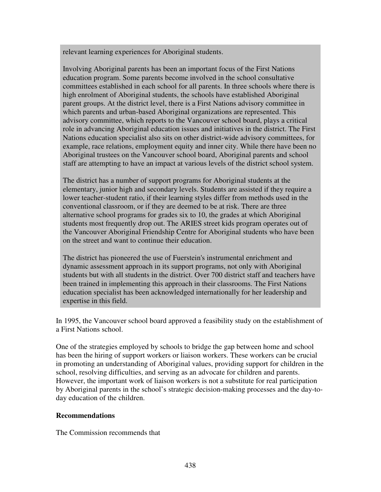relevant learning experiences for Aboriginal students.

Involving Aboriginal parents has been an important focus of the First Nations education program. Some parents become involved in the school consultative committees established in each school for all parents. In three schools where there is high enrolment of Aboriginal students, the schools have established Aboriginal parent groups. At the district level, there is a First Nations advisory committee in which parents and urban-based Aboriginal organizations are represented. This advisory committee, which reports to the Vancouver school board, plays a critical role in advancing Aboriginal education issues and initiatives in the district. The First Nations education specialist also sits on other district-wide advisory committees, for example, race relations, employment equity and inner city. While there have been no Aboriginal trustees on the Vancouver school board, Aboriginal parents and school staff are attempting to have an impact at various levels of the district school system.

The district has a number of support programs for Aboriginal students at the elementary, junior high and secondary levels. Students are assisted if they require a lower teacher-student ratio, if their learning styles differ from methods used in the conventional classroom, or if they are deemed to be at risk. There are three alternative school programs for grades six to 10, the grades at which Aboriginal students most frequently drop out. The ARIES street kids program operates out of the Vancouver Aboriginal Friendship Centre for Aboriginal students who have been on the street and want to continue their education.

The district has pioneered the use of Fuerstein's instrumental enrichment and dynamic assessment approach in its support programs, not only with Aboriginal students but with all students in the district. Over 700 district staff and teachers have been trained in implementing this approach in their classrooms. The First Nations education specialist has been acknowledged internationally for her leadership and expertise in this field.

In 1995, the Vancouver school board approved a feasibility study on the establishment of a First Nations school.

One of the strategies employed by schools to bridge the gap between home and school has been the hiring of support workers or liaison workers. These workers can be crucial in promoting an understanding of Aboriginal values, providing support for children in the school, resolving difficulties, and serving as an advocate for children and parents. However, the important work of liaison workers is not a substitute for real participation by Aboriginal parents in the school's strategic decision-making processes and the day-today education of the children.

### **Recommendations**

The Commission recommends that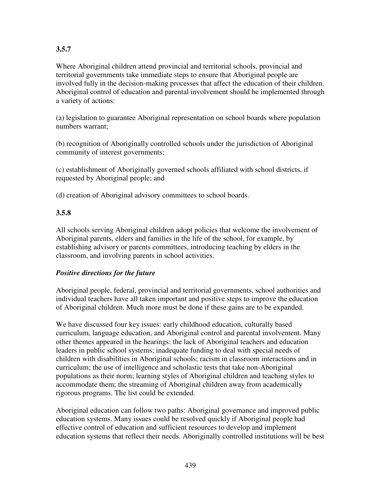# **3.5.7**

Where Aboriginal children attend provincial and territorial schools, provincial and territorial governments take immediate steps to ensure that Aboriginal people are involved fully in the decision-making processes that affect the education of their children. Aboriginal control of education and parental involvement should be implemented through a variety of actions:

(a) legislation to guarantee Aboriginal representation on school boards where population numbers warrant;

(b) recognition of Aboriginally controlled schools under the jurisdiction of Aboriginal community of interest governments;

(c) establishment of Aboriginally governed schools affiliated with school districts, if requested by Aboriginal people; and

(d) creation of Aboriginal advisory committees to school boards.

### **3.5.8**

All schools serving Aboriginal children adopt policies that welcome the involvement of Aboriginal parents, elders and families in the life of the school, for example, by establishing advisory or parents committees, introducing teaching by elders in the classroom, and involving parents in school activities.

### *Positive directions for the future*

Aboriginal people, federal, provincial and territorial governments, school authorities and individual teachers have all taken important and positive steps to improve the education of Aboriginal children. Much more must be done if these gains are to be expanded.

We have discussed four key issues: early childhood education, culturally based curriculum, language education, and Aboriginal control and parental involvement. Many other themes appeared in the hearings: the lack of Aboriginal teachers and education leaders in public school systems; inadequate funding to deal with special needs of children with disabilities in Aboriginal schools; racism in classroom interactions and in curriculum; the use of intelligence and scholastic tests that take non-Aboriginal populations as their norm; learning styles of Aboriginal children and teaching styles to accommodate them; the streaming of Aboriginal children away from academically rigorous programs. The list could be extended.

Aboriginal education can follow two paths: Aboriginal governance and improved public education systems. Many issues could be resolved quickly if Aboriginal people had effective control of education and sufficient resources to develop and implement education systems that reflect their needs. Aboriginally controlled institutions will be best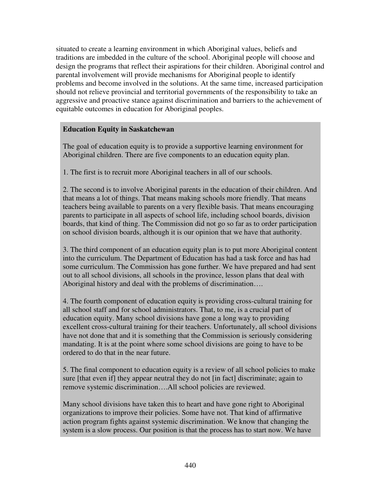situated to create a learning environment in which Aboriginal values, beliefs and traditions are imbedded in the culture of the school. Aboriginal people will choose and design the programs that reflect their aspirations for their children. Aboriginal control and parental involvement will provide mechanisms for Aboriginal people to identify problems and become involved in the solutions. At the same time, increased participation should not relieve provincial and territorial governments of the responsibility to take an aggressive and proactive stance against discrimination and barriers to the achievement of equitable outcomes in education for Aboriginal peoples.

#### **Education Equity in Saskatchewan**

The goal of education equity is to provide a supportive learning environment for Aboriginal children. There are five components to an education equity plan.

1. The first is to recruit more Aboriginal teachers in all of our schools.

2. The second is to involve Aboriginal parents in the education of their children. And that means a lot of things. That means making schools more friendly. That means teachers being available to parents on a very flexible basis. That means encouraging parents to participate in all aspects of school life, including school boards, division boards, that kind of thing. The Commission did not go so far as to order participation on school division boards, although it is our opinion that we have that authority.

3. The third component of an education equity plan is to put more Aboriginal content into the curriculum. The Department of Education has had a task force and has had some curriculum. The Commission has gone further. We have prepared and had sent out to all school divisions, all schools in the province, lesson plans that deal with Aboriginal history and deal with the problems of discrimination….

4. The fourth component of education equity is providing cross-cultural training for all school staff and for school administrators. That, to me, is a crucial part of education equity. Many school divisions have gone a long way to providing excellent cross-cultural training for their teachers. Unfortunately, all school divisions have not done that and it is something that the Commission is seriously considering mandating. It is at the point where some school divisions are going to have to be ordered to do that in the near future.

5. The final component to education equity is a review of all school policies to make sure [that even if] they appear neutral they do not [in fact] discriminate; again to remove systemic discrimination….All school policies are reviewed.

Many school divisions have taken this to heart and have gone right to Aboriginal organizations to improve their policies. Some have not. That kind of affirmative action program fights against systemic discrimination. We know that changing the system is a slow process. Our position is that the process has to start now. We have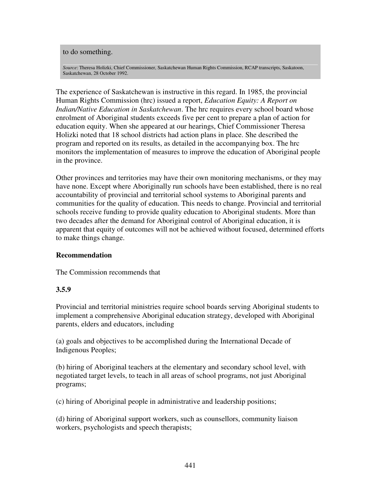to do something.

*Source*: Theresa Holizki, Chief Commissioner, Saskatchewan Human Rights Commission, RCAP transcripts, Saskatoon, Saskatchewan, 28 October 1992.

The experience of Saskatchewan is instructive in this regard. In 1985, the provincial Human Rights Commission (hrc) issued a report, *Education Equity: A Report on Indian/Native Education in Saskatchewan*. The hrc requires every school board whose enrolment of Aboriginal students exceeds five per cent to prepare a plan of action for education equity. When she appeared at our hearings, Chief Commissioner Theresa Holizki noted that 18 school districts had action plans in place. She described the program and reported on its results, as detailed in the accompanying box. The hrc monitors the implementation of measures to improve the education of Aboriginal people in the province.

Other provinces and territories may have their own monitoring mechanisms, or they may have none. Except where Aboriginally run schools have been established, there is no real accountability of provincial and territorial school systems to Aboriginal parents and communities for the quality of education. This needs to change. Provincial and territorial schools receive funding to provide quality education to Aboriginal students. More than two decades after the demand for Aboriginal control of Aboriginal education, it is apparent that equity of outcomes will not be achieved without focused, determined efforts to make things change.

#### **Recommendation**

The Commission recommends that

#### **3.5.9**

Provincial and territorial ministries require school boards serving Aboriginal students to implement a comprehensive Aboriginal education strategy, developed with Aboriginal parents, elders and educators, including

(a) goals and objectives to be accomplished during the International Decade of Indigenous Peoples;

(b) hiring of Aboriginal teachers at the elementary and secondary school level, with negotiated target levels, to teach in all areas of school programs, not just Aboriginal programs;

(c) hiring of Aboriginal people in administrative and leadership positions;

(d) hiring of Aboriginal support workers, such as counsellors, community liaison workers, psychologists and speech therapists;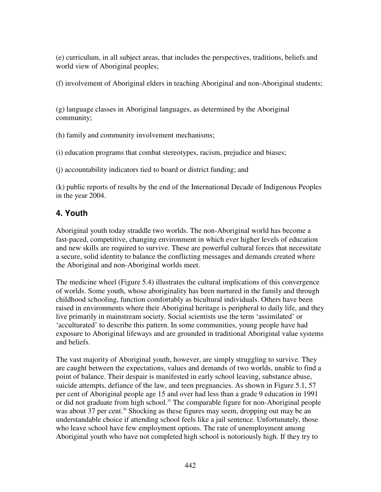(e) curriculum, in all subject areas, that includes the perspectives, traditions, beliefs and world view of Aboriginal peoples;

(f) involvement of Aboriginal elders in teaching Aboriginal and non-Aboriginal students;

(g) language classes in Aboriginal languages, as determined by the Aboriginal community;

(h) family and community involvement mechanisms;

(i) education programs that combat stereotypes, racism, prejudice and biases;

(j) accountability indicators tied to board or district funding; and

(k) public reports of results by the end of the International Decade of Indigenous Peoples in the year 2004.

# **4. Youth**

Aboriginal youth today straddle two worlds. The non-Aboriginal world has become a fast-paced, competitive, changing environment in which ever higher levels of education and new skills are required to survive. These are powerful cultural forces that necessitate a secure, solid identity to balance the conflicting messages and demands created where the Aboriginal and non-Aboriginal worlds meet.

The medicine wheel (Figure 5.4) illustrates the cultural implications of this convergence of worlds. Some youth, whose aboriginality has been nurtured in the family and through childhood schooling, function comfortably as bicultural individuals. Others have been raised in environments where their Aboriginal heritage is peripheral to daily life, and they live primarily in mainstream society. Social scientists use the term 'assimilated' or 'acculturated' to describe this pattern. In some communities, young people have had exposure to Aboriginal lifeways and are grounded in traditional Aboriginal value systems and beliefs.

The vast majority of Aboriginal youth, however, are simply struggling to survive. They are caught between the expectations, values and demands of two worlds, unable to find a point of balance. Their despair is manifested in early school leaving, substance abuse, suicide attempts, defiance of the law, and teen pregnancies. As shown in Figure 5.1, 57 per cent of Aboriginal people age 15 and over had less than a grade 9 education in 1991 or did not graduate from high school. <sup>35</sup> The comparable figure for non-Aboriginal people was about 37 per cent.<sup>36</sup> Shocking as these figures may seem, dropping out may be an understandable choice if attending school feels like a jail sentence. Unfortunately, those who leave school have few employment options. The rate of unemployment among Aboriginal youth who have not completed high school is notoriously high. If they try to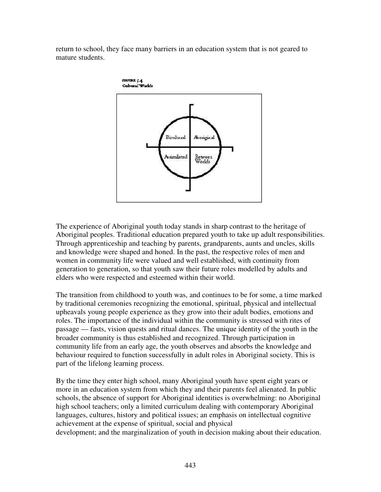return to school, they face many barriers in an education system that is not geared to mature students.



The experience of Aboriginal youth today stands in sharp contrast to the heritage of Aboriginal peoples. Traditional education prepared youth to take up adult responsibilities. Through apprenticeship and teaching by parents, grandparents, aunts and uncles, skills and knowledge were shaped and honed. In the past, the respective roles of men and women in community life were valued and well established, with continuity from generation to generation, so that youth saw their future roles modelled by adults and elders who were respected and esteemed within their world.

The transition from childhood to youth was, and continues to be for some, a time marked by traditional ceremonies recognizing the emotional, spiritual, physical and intellectual upheavals young people experience as they grow into their adult bodies, emotions and roles. The importance of the individual within the community is stressed with rites of passage — fasts, vision quests and ritual dances. The unique identity of the youth in the broader community is thus established and recognized. Through participation in community life from an early age, the youth observes and absorbs the knowledge and behaviour required to function successfully in adult roles in Aboriginal society. This is part of the lifelong learning process.

By the time they enter high school, many Aboriginal youth have spent eight years or more in an education system from which they and their parents feel alienated. In public schools, the absence of support for Aboriginal identities is overwhelming: no Aboriginal high school teachers; only a limited curriculum dealing with contemporary Aboriginal languages, cultures, history and political issues; an emphasis on intellectual cognitive achievement at the expense of spiritual, social and physical development; and the marginalization of youth in decision making about their education.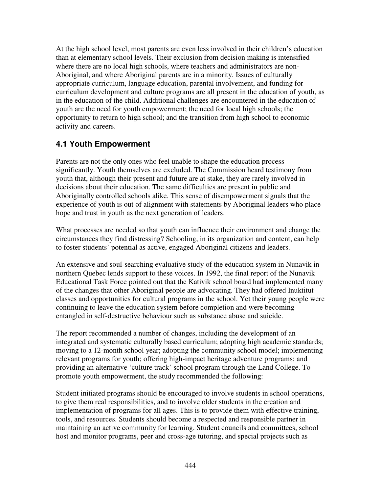At the high school level, most parents are even less involved in their children's education than at elementary school levels. Their exclusion from decision making is intensified where there are no local high schools, where teachers and administrators are non-Aboriginal, and where Aboriginal parents are in a minority. Issues of culturally appropriate curriculum, language education, parental involvement, and funding for curriculum development and culture programs are all present in the education of youth, as in the education of the child. Additional challenges are encountered in the education of youth are the need for youth empowerment; the need for local high schools; the opportunity to return to high school; and the transition from high school to economic activity and careers.

## **4.1 Youth Empowerment**

Parents are not the only ones who feel unable to shape the education process significantly. Youth themselves are excluded. The Commission heard testimony from youth that, although their present and future are at stake, they are rarely involved in decisions about their education. The same difficulties are present in public and Aboriginally controlled schools alike. This sense of disempowerment signals that the experience of youth is out of alignment with statements by Aboriginal leaders who place hope and trust in youth as the next generation of leaders.

What processes are needed so that youth can influence their environment and change the circumstances they find distressing? Schooling, in its organization and content, can help to foster students' potential as active, engaged Aboriginal citizens and leaders.

An extensive and soul-searching evaluative study of the education system in Nunavik in northern Quebec lends support to these voices. In 1992, the final report of the Nunavik Educational Task Force pointed out that the Kativik school board had implemented many of the changes that other Aboriginal people are advocating. They had offered Inuktitut classes and opportunities for cultural programs in the school. Yet their young people were continuing to leave the education system before completion and were becoming entangled in self-destructive behaviour such as substance abuse and suicide.

The report recommended a number of changes, including the development of an integrated and systematic culturally based curriculum; adopting high academic standards; moving to a 12-month school year; adopting the community school model; implementing relevant programs for youth; offering high-impact heritage adventure programs; and providing an alternative 'culture track' school program through the Land College. To promote youth empowerment, the study recommended the following:

Student initiated programs should be encouraged to involve students in school operations, to give them real responsibilities, and to involve older students in the creation and implementation of programs for all ages. This is to provide them with effective training, tools, and resources. Students should become a respected and responsible partner in maintaining an active community for learning. Student councils and committees, school host and monitor programs, peer and cross-age tutoring, and special projects such as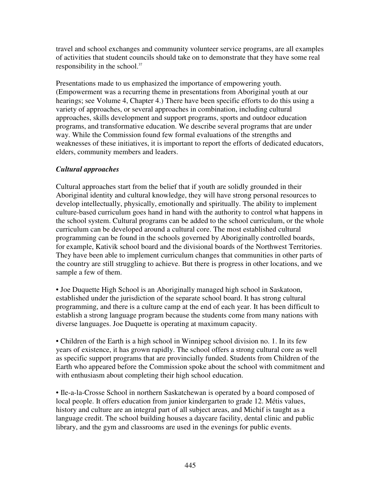travel and school exchanges and community volunteer service programs, are all examples of activities that student councils should take on to demonstrate that they have some real responsibility in the school. 37

Presentations made to us emphasized the importance of empowering youth. (Empowerment was a recurring theme in presentations from Aboriginal youth at our hearings; see Volume 4, Chapter 4.) There have been specific efforts to do this using a variety of approaches, or several approaches in combination, including cultural approaches, skills development and support programs, sports and outdoor education programs, and transformative education. We describe several programs that are under way. While the Commission found few formal evaluations of the strengths and weaknesses of these initiatives, it is important to report the efforts of dedicated educators, elders, community members and leaders.

### *Cultural approaches*

Cultural approaches start from the belief that if youth are solidly grounded in their Aboriginal identity and cultural knowledge, they will have strong personal resources to develop intellectually, physically, emotionally and spiritually. The ability to implement culture-based curriculum goes hand in hand with the authority to control what happens in the school system. Cultural programs can be added to the school curriculum, or the whole curriculum can be developed around a cultural core. The most established cultural programming can be found in the schools governed by Aboriginally controlled boards, for example, Kativik school board and the divisional boards of the Northwest Territories. They have been able to implement curriculum changes that communities in other parts of the country are still struggling to achieve. But there is progress in other locations, and we sample a few of them.

• Joe Duquette High School is an Aboriginally managed high school in Saskatoon, established under the jurisdiction of the separate school board. It has strong cultural programming, and there is a culture camp at the end of each year. It has been difficult to establish a strong language program because the students come from many nations with diverse languages. Joe Duquette is operating at maximum capacity.

• Children of the Earth is a high school in Winnipeg school division no. 1. In its few years of existence, it has grown rapidly. The school offers a strong cultural core as well as specific support programs that are provincially funded. Students from Children of the Earth who appeared before the Commission spoke about the school with commitment and with enthusiasm about completing their high school education.

• Ile-a-la-Crosse School in northern Saskatchewan is operated by a board composed of local people. It offers education from junior kindergarten to grade 12. Métis values, history and culture are an integral part of all subject areas, and Michif is taught as a language credit. The school building houses a daycare facility, dental clinic and public library, and the gym and classrooms are used in the evenings for public events.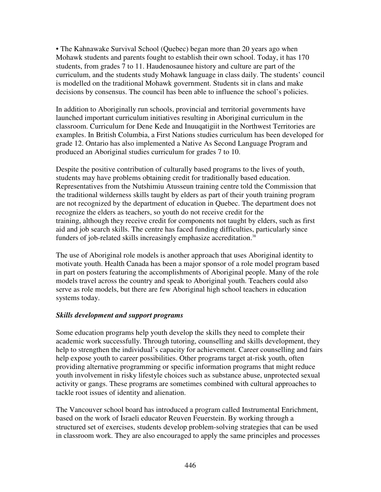• The Kahnawake Survival School (Quebec) began more than 20 years ago when Mohawk students and parents fought to establish their own school. Today, it has 170 students, from grades 7 to 11. Haudenosaunee history and culture are part of the curriculum, and the students study Mohawk language in class daily. The students' council is modelled on the traditional Mohawk government. Students sit in clans and make decisions by consensus. The council has been able to influence the school's policies.

In addition to Aboriginally run schools, provincial and territorial governments have launched important curriculum initiatives resulting in Aboriginal curriculum in the classroom. Curriculum for Dene Kede and Inuuqatigiit in the Northwest Territories are examples. In British Columbia, a First Nations studies curriculum has been developed for grade 12. Ontario has also implemented a Native As Second Language Program and produced an Aboriginal studies curriculum for grades 7 to 10.

Despite the positive contribution of culturally based programs to the lives of youth, students may have problems obtaining credit for traditionally based education. Representatives from the Nutshimiu Atusseun training centre told the Commission that the traditional wilderness skills taught by elders as part of their youth training program are not recognized by the department of education in Quebec. The department does not recognize the elders as teachers, so youth do not receive credit for the training, although they receive credit for components not taught by elders, such as first aid and job search skills. The centre has faced funding difficulties, particularly since funders of job-related skills increasingly emphasize accreditation.<sup>38</sup>

The use of Aboriginal role models is another approach that uses Aboriginal identity to motivate youth. Health Canada has been a major sponsor of a role model program based in part on posters featuring the accomplishments of Aboriginal people. Many of the role models travel across the country and speak to Aboriginal youth. Teachers could also serve as role models, but there are few Aboriginal high school teachers in education systems today.

#### *Skills development and support programs*

Some education programs help youth develop the skills they need to complete their academic work successfully. Through tutoring, counselling and skills development, they help to strengthen the individual's capacity for achievement. Career counselling and fairs help expose youth to career possibilities. Other programs target at-risk youth, often providing alternative programming or specific information programs that might reduce youth involvement in risky lifestyle choices such as substance abuse, unprotected sexual activity or gangs. These programs are sometimes combined with cultural approaches to tackle root issues of identity and alienation.

The Vancouver school board has introduced a program called Instrumental Enrichment, based on the work of Israeli educator Reuven Feuerstein. By working through a structured set of exercises, students develop problem-solving strategies that can be used in classroom work. They are also encouraged to apply the same principles and processes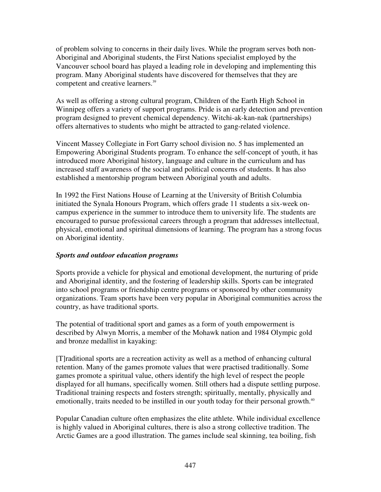of problem solving to concerns in their daily lives. While the program serves both non-Aboriginal and Aboriginal students, the First Nations specialist employed by the Vancouver school board has played a leading role in developing and implementing this program. Many Aboriginal students have discovered for themselves that they are competent and creative learners. 39

As well as offering a strong cultural program, Children of the Earth High School in Winnipeg offers a variety of support programs. Pride is an early detection and prevention program designed to prevent chemical dependency. Witchi-ak-kan-nak (partnerships) offers alternatives to students who might be attracted to gang-related violence.

Vincent Massey Collegiate in Fort Garry school division no. 5 has implemented an Empowering Aboriginal Students program. To enhance the self-concept of youth, it has introduced more Aboriginal history, language and culture in the curriculum and has increased staff awareness of the social and political concerns of students. It has also established a mentorship program between Aboriginal youth and adults.

In 1992 the First Nations House of Learning at the University of British Columbia initiated the Synala Honours Program, which offers grade 11 students a six-week oncampus experience in the summer to introduce them to university life. The students are encouraged to pursue professional careers through a program that addresses intellectual, physical, emotional and spiritual dimensions of learning. The program has a strong focus on Aboriginal identity.

#### *Sports and outdoor education programs*

Sports provide a vehicle for physical and emotional development, the nurturing of pride and Aboriginal identity, and the fostering of leadership skills. Sports can be integrated into school programs or friendship centre programs or sponsored by other community organizations. Team sports have been very popular in Aboriginal communities across the country, as have traditional sports.

The potential of traditional sport and games as a form of youth empowerment is described by Alwyn Morris, a member of the Mohawk nation and 1984 Olympic gold and bronze medallist in kayaking:

[T]raditional sports are a recreation activity as well as a method of enhancing cultural retention. Many of the games promote values that were practised traditionally. Some games promote a spiritual value, others identify the high level of respect the people displayed for all humans, specifically women. Still others had a dispute settling purpose. Traditional training respects and fosters strength; spiritually, mentally, physically and emotionally, traits needed to be instilled in our youth today for their personal growth.<sup>40</sup>

Popular Canadian culture often emphasizes the elite athlete. While individual excellence is highly valued in Aboriginal cultures, there is also a strong collective tradition. The Arctic Games are a good illustration. The games include seal skinning, tea boiling, fish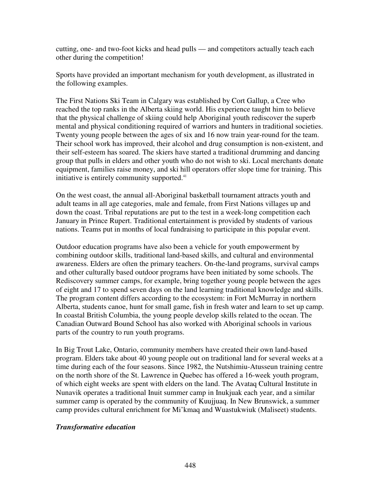cutting, one- and two-foot kicks and head pulls — and competitors actually teach each other during the competition!

Sports have provided an important mechanism for youth development, as illustrated in the following examples.

The First Nations Ski Team in Calgary was established by Cort Gallup, a Cree who reached the top ranks in the Alberta skiing world. His experience taught him to believe that the physical challenge of skiing could help Aboriginal youth rediscover the superb mental and physical conditioning required of warriors and hunters in traditional societies. Twenty young people between the ages of six and 16 now train year-round for the team. Their school work has improved, their alcohol and drug consumption is non-existent, and their self-esteem has soared. The skiers have started a traditional drumming and dancing group that pulls in elders and other youth who do not wish to ski. Local merchants donate equipment, families raise money, and ski hill operators offer slope time for training. This initiative is entirely community supported.<sup>41</sup>

On the west coast, the annual all-Aboriginal basketball tournament attracts youth and adult teams in all age categories, male and female, from First Nations villages up and down the coast. Tribal reputations are put to the test in a week-long competition each January in Prince Rupert. Traditional entertainment is provided by students of various nations. Teams put in months of local fundraising to participate in this popular event.

Outdoor education programs have also been a vehicle for youth empowerment by combining outdoor skills, traditional land-based skills, and cultural and environmental awareness. Elders are often the primary teachers. On-the-land programs, survival camps and other culturally based outdoor programs have been initiated by some schools. The Rediscovery summer camps, for example, bring together young people between the ages of eight and 17 to spend seven days on the land learning traditional knowledge and skills. The program content differs according to the ecosystem: in Fort McMurray in northern Alberta, students canoe, hunt for small game, fish in fresh water and learn to set up camp. In coastal British Columbia, the young people develop skills related to the ocean. The Canadian Outward Bound School has also worked with Aboriginal schools in various parts of the country to run youth programs.

In Big Trout Lake, Ontario, community members have created their own land-based program. Elders take about 40 young people out on traditional land for several weeks at a time during each of the four seasons. Since 1982, the Nutshimiu-Atusseun training centre on the north shore of the St. Lawrence in Quebec has offered a 16-week youth program, of which eight weeks are spent with elders on the land. The Avataq Cultural Institute in Nunavik operates a traditional Inuit summer camp in Inukjuak each year, and a similar summer camp is operated by the community of Kuujjuaq. In New Brunswick, a summer camp provides cultural enrichment for Mi'kmaq and Wuastukwiuk (Maliseet) students.

#### *Transformative education*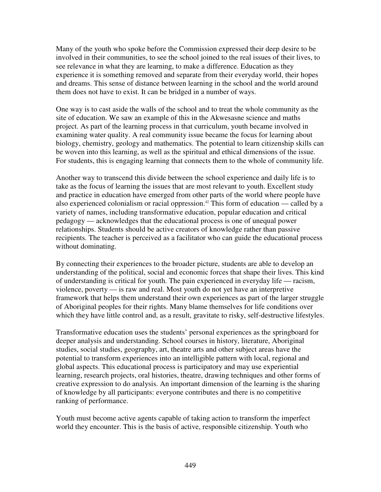Many of the youth who spoke before the Commission expressed their deep desire to be involved in their communities, to see the school joined to the real issues of their lives, to see relevance in what they are learning, to make a difference. Education as they experience it is something removed and separate from their everyday world, their hopes and dreams. This sense of distance between learning in the school and the world around them does not have to exist. It can be bridged in a number of ways.

One way is to cast aside the walls of the school and to treat the whole community as the site of education. We saw an example of this in the Akwesasne science and maths project. As part of the learning process in that curriculum, youth became involved in examining water quality. A real community issue became the focus for learning about biology, chemistry, geology and mathematics. The potential to learn citizenship skills can be woven into this learning, as well as the spiritual and ethical dimensions of the issue. For students, this is engaging learning that connects them to the whole of community life.

Another way to transcend this divide between the school experience and daily life is to take as the focus of learning the issues that are most relevant to youth. Excellent study and practice in education have emerged from other parts of the world where people have also experienced colonialism or racial oppression. <sup>42</sup> This form of education — called by a variety of names, including transformative education, popular education and critical pedagogy — acknowledges that the educational process is one of unequal power relationships. Students should be active creators of knowledge rather than passive recipients. The teacher is perceived as a facilitator who can guide the educational process without dominating.

By connecting their experiences to the broader picture, students are able to develop an understanding of the political, social and economic forces that shape their lives. This kind of understanding is critical for youth. The pain experienced in everyday life — racism, violence, poverty — is raw and real. Most youth do not yet have an interpretive framework that helps them understand their own experiences as part of the larger struggle of Aboriginal peoples for their rights. Many blame themselves for life conditions over which they have little control and, as a result, gravitate to risky, self-destructive lifestyles.

Transformative education uses the students' personal experiences as the springboard for deeper analysis and understanding. School courses in history, literature, Aboriginal studies, social studies, geography, art, theatre arts and other subject areas have the potential to transform experiences into an intelligible pattern with local, regional and global aspects. This educational process is participatory and may use experiential learning, research projects, oral histories, theatre, drawing techniques and other forms of creative expression to do analysis. An important dimension of the learning is the sharing of knowledge by all participants: everyone contributes and there is no competitive ranking of performance.

Youth must become active agents capable of taking action to transform the imperfect world they encounter. This is the basis of active, responsible citizenship. Youth who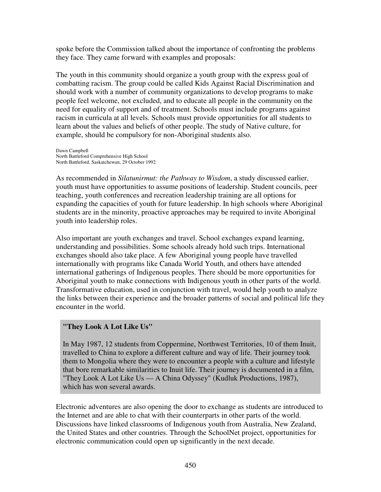spoke before the Commission talked about the importance of confronting the problems they face. They came forward with examples and proposals:

The youth in this community should organize a youth group with the express goal of combatting racism. The group could be called Kids Against Racial Discrimination and should work with a number of community organizations to develop programs to make people feel welcome, not excluded, and to educate all people in the community on the need for equality of support and of treatment. Schools must include programs against racism in curricula at all levels. Schools must provide opportunities for all students to learn about the values and beliefs of other people. The study of Native culture, for example, should be compulsory for non-Aboriginal students also.

Dawn Campbell North Battleford Comprehensive High School North Battleford, Saskatchewan, 29 October 1992

As recommended in *Silatunirmut: the Pathway to Wisdom*, a study discussed earlier, youth must have opportunities to assume positions of leadership. Student councils, peer teaching, youth conferences and recreation leadership training are all options for expanding the capacities of youth for future leadership. In high schools where Aboriginal students are in the minority, proactive approaches may be required to invite Aboriginal youth into leadership roles.

Also important are youth exchanges and travel. School exchanges expand learning, understanding and possibilities. Some schools already hold such trips. International exchanges should also take place. A few Aboriginal young people have travelled internationally with programs like Canada World Youth, and others have attended international gatherings of Indigenous peoples. There should be more opportunities for Aboriginal youth to make connections with Indigenous youth in other parts of the world. Transformative education, used in conjunction with travel, would help youth to analyze the links between their experience and the broader patterns of social and political life they encounter in the world.

#### **"They Look A Lot Like Us"**

In May 1987, 12 students from Coppermine, Northwest Territories, 10 of them Inuit, travelled to China to explore a different culture and way of life. Their journey took them to Mongolia where they were to encounter a people with a culture and lifestyle that bore remarkable similarities to Inuit life. Their journey is documented in a film, "They Look A Lot Like Us — A China Odyssey" (Kudluk Productions, 1987), which has won several awards.

Electronic adventures are also opening the door to exchange as students are introduced to the Internet and are able to chat with their counterparts in other parts of the world. Discussions have linked classrooms of Indigenous youth from Australia, New Zealand, the United States and other countries. Through the SchoolNet project, opportunities for electronic communication could open up significantly in the next decade.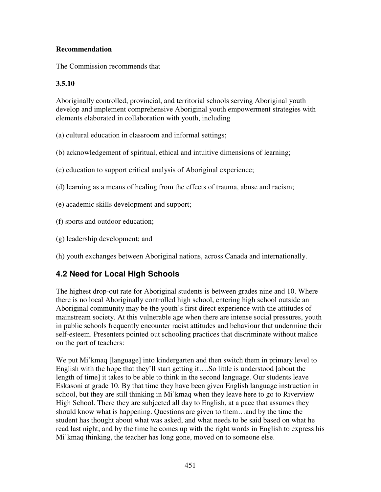#### **Recommendation**

The Commission recommends that

### **3.5.10**

Aboriginally controlled, provincial, and territorial schools serving Aboriginal youth develop and implement comprehensive Aboriginal youth empowerment strategies with elements elaborated in collaboration with youth, including

(a) cultural education in classroom and informal settings;

- (b) acknowledgement of spiritual, ethical and intuitive dimensions of learning;
- (c) education to support critical analysis of Aboriginal experience;
- (d) learning as a means of healing from the effects of trauma, abuse and racism;
- (e) academic skills development and support;
- (f) sports and outdoor education;
- (g) leadership development; and
- (h) youth exchanges between Aboriginal nations, across Canada and internationally.

# **4.2 Need for Local High Schools**

The highest drop-out rate for Aboriginal students is between grades nine and 10. Where there is no local Aboriginally controlled high school, entering high school outside an Aboriginal community may be the youth's first direct experience with the attitudes of mainstream society. At this vulnerable age when there are intense social pressures, youth in public schools frequently encounter racist attitudes and behaviour that undermine their self-esteem. Presenters pointed out schooling practices that discriminate without malice on the part of teachers:

We put Mi'kmaq [language] into kindergarten and then switch them in primary level to English with the hope that they'll start getting it….So little is understood [about the length of time] it takes to be able to think in the second language. Our students leave Eskasoni at grade 10. By that time they have been given English language instruction in school, but they are still thinking in Mi'kmaq when they leave here to go to Riverview High School. There they are subjected all day to English, at a pace that assumes they should know what is happening. Questions are given to them…and by the time the student has thought about what was asked, and what needs to be said based on what he read last night, and by the time he comes up with the right words in English to express his Mi'kmaq thinking, the teacher has long gone, moved on to someone else.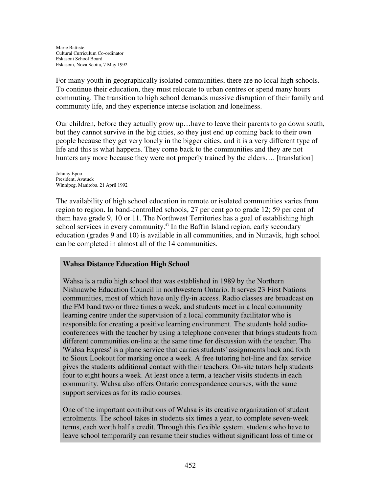Marie Battiste Cultural Curriculum Co-ordinator Eskasoni School Board Eskasoni, Nova Scotia, 7 May 1992

For many youth in geographically isolated communities, there are no local high schools. To continue their education, they must relocate to urban centres or spend many hours commuting. The transition to high school demands massive disruption of their family and community life, and they experience intense isolation and loneliness.

Our children, before they actually grow up…have to leave their parents to go down south, but they cannot survive in the big cities, so they just end up coming back to their own people because they get very lonely in the bigger cities, and it is a very different type of life and this is what happens. They come back to the communities and they are not hunters any more because they were not properly trained by the elders.... [translation]

Johnny Epoo President, Avatuck Winnipeg, Manitoba, 21 April 1992

The availability of high school education in remote or isolated communities varies from region to region. In band-controlled schools, 27 per cent go to grade 12; 59 per cent of them have grade 9, 10 or 11. The Northwest Territories has a goal of establishing high school services in every community.<sup>43</sup> In the Baffin Island region, early secondary education (grades 9 and 10) is available in all communities, and in Nunavik, high school can be completed in almost all of the 14 communities.

#### **Wahsa Distance Education High School**

Wahsa is a radio high school that was established in 1989 by the Northern Nishnawbe Education Council in northwestern Ontario. It serves 23 First Nations communities, most of which have only fly-in access. Radio classes are broadcast on the FM band two or three times a week, and students meet in a local community learning centre under the supervision of a local community facilitator who is responsible for creating a positive learning environment. The students hold audioconferences with the teacher by using a telephone convener that brings students from different communities on-line at the same time for discussion with the teacher. The 'Wahsa Express'is a plane service that carries students'assignments back and forth to Sioux Lookout for marking once a week. A free tutoring hot-line and fax service gives the students additional contact with their teachers. On-site tutors help students four to eight hours a week. At least once a term, a teacher visits students in each community. Wahsa also offers Ontario correspondence courses, with the same support services as for its radio courses.

One of the important contributions of Wahsa is its creative organization of student enrolments. The school takes in students six times a year, to complete seven-week terms, each worth half a credit. Through this flexible system, students who have to leave school temporarily can resume their studies without significant loss of time or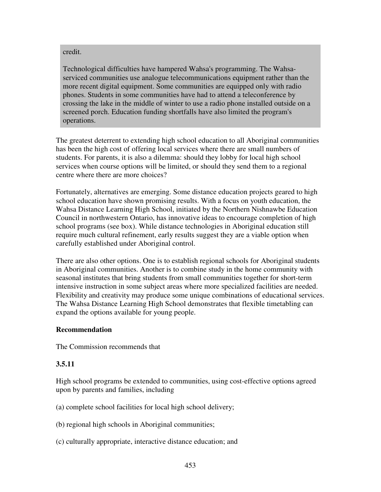#### credit.

Technological difficulties have hampered Wahsa's programming. The Wahsaserviced communities use analogue telecommunications equipment rather than the more recent digital equipment. Some communities are equipped only with radio phones. Students in some communities have had to attend a teleconference by crossing the lake in the middle of winter to use a radio phone installed outside on a screened porch. Education funding shortfalls have also limited the program's operations.

The greatest deterrent to extending high school education to all Aboriginal communities has been the high cost of offering local services where there are small numbers of students. For parents, it is also a dilemma: should they lobby for local high school services when course options will be limited, or should they send them to a regional centre where there are more choices?

Fortunately, alternatives are emerging. Some distance education projects geared to high school education have shown promising results. With a focus on youth education, the Wahsa Distance Learning High School, initiated by the Northern Nishnawbe Education Council in northwestern Ontario, has innovative ideas to encourage completion of high school programs (see box). While distance technologies in Aboriginal education still require much cultural refinement, early results suggest they are a viable option when carefully established under Aboriginal control.

There are also other options. One is to establish regional schools for Aboriginal students in Aboriginal communities. Another is to combine study in the home community with seasonal institutes that bring students from small communities together for short-term intensive instruction in some subject areas where more specialized facilities are needed. Flexibility and creativity may produce some unique combinations of educational services. The Wahsa Distance Learning High School demonstrates that flexible timetabling can expand the options available for young people.

#### **Recommendation**

The Commission recommends that

#### **3.5.11**

High school programs be extended to communities, using cost-effective options agreed upon by parents and families, including

(a) complete school facilities for local high school delivery;

(b) regional high schools in Aboriginal communities;

(c) culturally appropriate, interactive distance education; and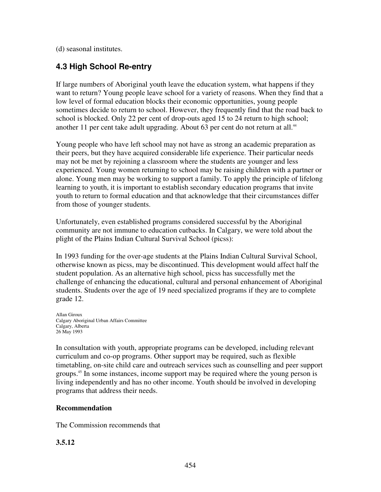(d) seasonal institutes.

# **4.3 High School Re-entry**

If large numbers of Aboriginal youth leave the education system, what happens if they want to return? Young people leave school for a variety of reasons. When they find that a low level of formal education blocks their economic opportunities, young people sometimes decide to return to school. However, they frequently find that the road back to school is blocked. Only 22 per cent of drop-outs aged 15 to 24 return to high school; another 11 per cent take adult upgrading. About 63 per cent do not return at all.<sup>44</sup>

Young people who have left school may not have as strong an academic preparation as their peers, but they have acquired considerable life experience. Their particular needs may not be met by rejoining a classroom where the students are younger and less experienced. Young women returning to school may be raising children with a partner or alone. Young men may be working to support a family. To apply the principle of lifelong learning to youth, it is important to establish secondary education programs that invite youth to return to formal education and that acknowledge that their circumstances differ from those of younger students.

Unfortunately, even established programs considered successful by the Aboriginal community are not immune to education cutbacks. In Calgary, we were told about the plight of the Plains Indian Cultural Survival School (picss):

In 1993 funding for the over-age students at the Plains Indian Cultural Survival School, otherwise known as picss, may be discontinued. This development would affect half the student population. As an alternative high school, picss has successfully met the challenge of enhancing the educational, cultural and personal enhancement of Aboriginal students. Students over the age of 19 need specialized programs if they are to complete grade 12.

Allan Giroux Calgary Aboriginal Urban Affairs Committee Calgary, Alberta 26 May 1993

In consultation with youth, appropriate programs can be developed, including relevant curriculum and co-op programs. Other support may be required, such as flexible timetabling, on-site child care and outreach services such as counselling and peer support groups. 45 In some instances, income support may be required where the young person is living independently and has no other income. Youth should be involved in developing programs that address their needs.

## **Recommendation**

The Commission recommends that

## **3.5.12**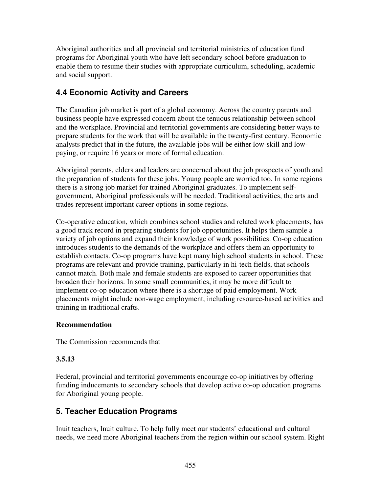Aboriginal authorities and all provincial and territorial ministries of education fund programs for Aboriginal youth who have left secondary school before graduation to enable them to resume their studies with appropriate curriculum, scheduling, academic and social support.

# **4.4 Economic Activity and Careers**

The Canadian job market is part of a global economy. Across the country parents and business people have expressed concern about the tenuous relationship between school and the workplace. Provincial and territorial governments are considering better ways to prepare students for the work that will be available in the twenty-first century. Economic analysts predict that in the future, the available jobs will be either low-skill and lowpaying, or require 16 years or more of formal education.

Aboriginal parents, elders and leaders are concerned about the job prospects of youth and the preparation of students for these jobs. Young people are worried too. In some regions there is a strong job market for trained Aboriginal graduates. To implement selfgovernment, Aboriginal professionals will be needed. Traditional activities, the arts and trades represent important career options in some regions.

Co-operative education, which combines school studies and related work placements, has a good track record in preparing students for job opportunities. It helps them sample a variety of job options and expand their knowledge of work possibilities. Co-op education introduces students to the demands of the workplace and offers them an opportunity to establish contacts. Co-op programs have kept many high school students in school. These programs are relevant and provide training, particularly in hi-tech fields, that schools cannot match. Both male and female students are exposed to career opportunities that broaden their horizons. In some small communities, it may be more difficult to implement co-op education where there is a shortage of paid employment. Work placements might include non-wage employment, including resource-based activities and training in traditional crafts.

#### **Recommendation**

The Commission recommends that

## **3.5.13**

Federal, provincial and territorial governments encourage co-op initiatives by offering funding inducements to secondary schools that develop active co-op education programs for Aboriginal young people.

# **5. Teacher Education Programs**

Inuit teachers, Inuit culture. To help fully meet our students' educational and cultural needs, we need more Aboriginal teachers from the region within our school system. Right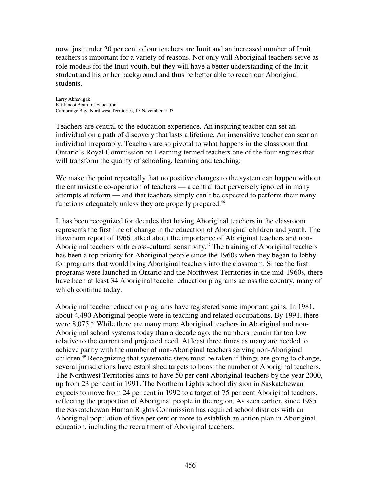now, just under 20 per cent of our teachers are Inuit and an increased number of Inuit teachers is important for a variety of reasons. Not only will Aboriginal teachers serve as role models for the Inuit youth, but they will have a better understanding of the Inuit student and his or her background and thus be better able to reach our Aboriginal students.

Larry Aknavigak Kitikmeot Board of Education Cambridge Bay, Northwest Territories, 17 November 1993

Teachers are central to the education experience. An inspiring teacher can set an individual on a path of discovery that lasts a lifetime. An insensitive teacher can scar an individual irreparably. Teachers are so pivotal to what happens in the classroom that Ontario's Royal Commission on Learning termed teachers one of the four engines that will transform the quality of schooling, learning and teaching:

We make the point repeatedly that no positive changes to the system can happen without the enthusiastic co-operation of teachers — a central fact perversely ignored in many attempts at reform — and that teachers simply can't be expected to perform their many functions adequately unless they are properly prepared.<sup>46</sup>

It has been recognized for decades that having Aboriginal teachers in the classroom represents the first line of change in the education of Aboriginal children and youth. The Hawthorn report of 1966 talked about the importance of Aboriginal teachers and non-Aboriginal teachers with cross-cultural sensitivity. <sup>47</sup> The training of Aboriginal teachers has been a top priority for Aboriginal people since the 1960s when they began to lobby for programs that would bring Aboriginal teachers into the classroom. Since the first programs were launched in Ontario and the Northwest Territories in the mid-1960s, there have been at least 34 Aboriginal teacher education programs across the country, many of which continue today.

Aboriginal teacher education programs have registered some important gains. In 1981, about 4,490 Aboriginal people were in teaching and related occupations. By 1991, there were 8,075.<sup>48</sup> While there are many more Aboriginal teachers in Aboriginal and non-Aboriginal school systems today than a decade ago, the numbers remain far too low relative to the current and projected need. At least three times as many are needed to achieve parity with the number of non-Aboriginal teachers serving non-Aboriginal children. <sup>49</sup> Recognizing that systematic steps must be taken if things are going to change, several jurisdictions have established targets to boost the number of Aboriginal teachers. The Northwest Territories aims to have 50 per cent Aboriginal teachers by the year 2000, up from 23 per cent in 1991. The Northern Lights school division in Saskatchewan expects to move from 24 per cent in 1992 to a target of 75 per cent Aboriginal teachers, reflecting the proportion of Aboriginal people in the region. As seen earlier, since 1985 the Saskatchewan Human Rights Commission has required school districts with an Aboriginal population of five per cent or more to establish an action plan in Aboriginal education, including the recruitment of Aboriginal teachers.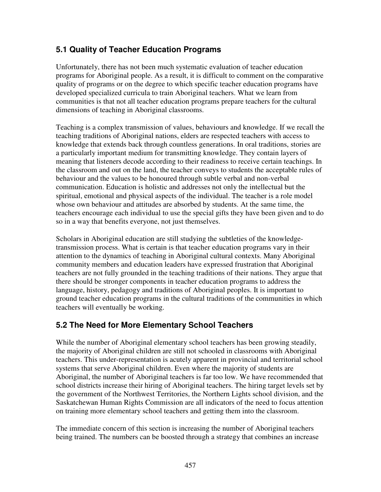## **5.1 Quality of Teacher Education Programs**

Unfortunately, there has not been much systematic evaluation of teacher education programs for Aboriginal people. As a result, it is difficult to comment on the comparative quality of programs or on the degree to which specific teacher education programs have developed specialized curricula to train Aboriginal teachers. What we learn from communities is that not all teacher education programs prepare teachers for the cultural dimensions of teaching in Aboriginal classrooms.

Teaching is a complex transmission of values, behaviours and knowledge. If we recall the teaching traditions of Aboriginal nations, elders are respected teachers with access to knowledge that extends back through countless generations. In oral traditions, stories are a particularly important medium for transmitting knowledge. They contain layers of meaning that listeners decode according to their readiness to receive certain teachings. In the classroom and out on the land, the teacher conveys to students the acceptable rules of behaviour and the values to be honoured through subtle verbal and non-verbal communication. Education is holistic and addresses not only the intellectual but the spiritual, emotional and physical aspects of the individual. The teacher is a role model whose own behaviour and attitudes are absorbed by students. At the same time, the teachers encourage each individual to use the special gifts they have been given and to do so in a way that benefits everyone, not just themselves.

Scholars in Aboriginal education are still studying the subtleties of the knowledgetransmission process. What is certain is that teacher education programs vary in their attention to the dynamics of teaching in Aboriginal cultural contexts. Many Aboriginal community members and education leaders have expressed frustration that Aboriginal teachers are not fully grounded in the teaching traditions of their nations. They argue that there should be stronger components in teacher education programs to address the language, history, pedagogy and traditions of Aboriginal peoples. It is important to ground teacher education programs in the cultural traditions of the communities in which teachers will eventually be working.

## **5.2 The Need for More Elementary School Teachers**

While the number of Aboriginal elementary school teachers has been growing steadily, the majority of Aboriginal children are still not schooled in classrooms with Aboriginal teachers. This under-representation is acutely apparent in provincial and territorial school systems that serve Aboriginal children. Even where the majority of students are Aboriginal, the number of Aboriginal teachers is far too low. We have recommended that school districts increase their hiring of Aboriginal teachers. The hiring target levels set by the government of the Northwest Territories, the Northern Lights school division, and the Saskatchewan Human Rights Commission are all indicators of the need to focus attention on training more elementary school teachers and getting them into the classroom.

The immediate concern of this section is increasing the number of Aboriginal teachers being trained. The numbers can be boosted through a strategy that combines an increase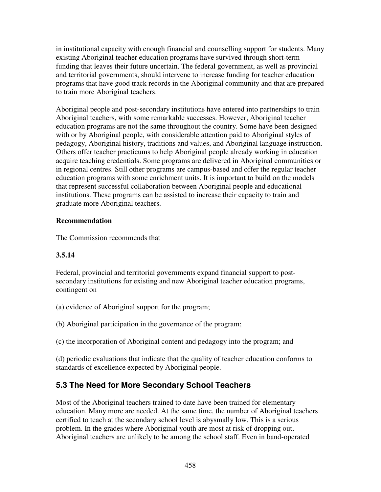in institutional capacity with enough financial and counselling support for students. Many existing Aboriginal teacher education programs have survived through short-term funding that leaves their future uncertain. The federal government, as well as provincial and territorial governments, should intervene to increase funding for teacher education programs that have good track records in the Aboriginal community and that are prepared to train more Aboriginal teachers.

Aboriginal people and post-secondary institutions have entered into partnerships to train Aboriginal teachers, with some remarkable successes. However, Aboriginal teacher education programs are not the same throughout the country. Some have been designed with or by Aboriginal people, with considerable attention paid to Aboriginal styles of pedagogy, Aboriginal history, traditions and values, and Aboriginal language instruction. Others offer teacher practicums to help Aboriginal people already working in education acquire teaching credentials. Some programs are delivered in Aboriginal communities or in regional centres. Still other programs are campus-based and offer the regular teacher education programs with some enrichment units. It is important to build on the models that represent successful collaboration between Aboriginal people and educational institutions. These programs can be assisted to increase their capacity to train and graduate more Aboriginal teachers.

### **Recommendation**

The Commission recommends that

## **3.5.14**

Federal, provincial and territorial governments expand financial support to postsecondary institutions for existing and new Aboriginal teacher education programs, contingent on

(a) evidence of Aboriginal support for the program;

(b) Aboriginal participation in the governance of the program;

(c) the incorporation of Aboriginal content and pedagogy into the program; and

(d) periodic evaluations that indicate that the quality of teacher education conforms to standards of excellence expected by Aboriginal people.

# **5.3 The Need for More Secondary School Teachers**

Most of the Aboriginal teachers trained to date have been trained for elementary education. Many more are needed. At the same time, the number of Aboriginal teachers certified to teach at the secondary school level is abysmally low. This is a serious problem. In the grades where Aboriginal youth are most at risk of dropping out, Aboriginal teachers are unlikely to be among the school staff. Even in band-operated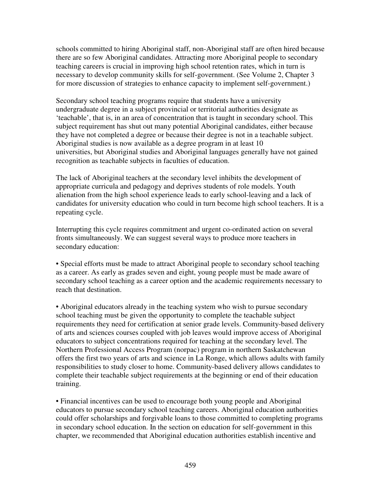schools committed to hiring Aboriginal staff, non-Aboriginal staff are often hired because there are so few Aboriginal candidates. Attracting more Aboriginal people to secondary teaching careers is crucial in improving high school retention rates, which in turn is necessary to develop community skills for self-government. (See Volume 2, Chapter 3 for more discussion of strategies to enhance capacity to implement self-government.)

Secondary school teaching programs require that students have a university undergraduate degree in a subject provincial or territorial authorities designate as 'teachable', that is, in an area of concentration that is taught in secondary school. This subject requirement has shut out many potential Aboriginal candidates, either because they have not completed a degree or because their degree is not in a teachable subject. Aboriginal studies is now available as a degree program in at least 10 universities, but Aboriginal studies and Aboriginal languages generally have not gained recognition as teachable subjects in faculties of education.

The lack of Aboriginal teachers at the secondary level inhibits the development of appropriate curricula and pedagogy and deprives students of role models. Youth alienation from the high school experience leads to early school-leaving and a lack of candidates for university education who could in turn become high school teachers. It is a repeating cycle.

Interrupting this cycle requires commitment and urgent co-ordinated action on several fronts simultaneously. We can suggest several ways to produce more teachers in secondary education:

• Special efforts must be made to attract Aboriginal people to secondary school teaching as a career. As early as grades seven and eight, young people must be made aware of secondary school teaching as a career option and the academic requirements necessary to reach that destination.

• Aboriginal educators already in the teaching system who wish to pursue secondary school teaching must be given the opportunity to complete the teachable subject requirements they need for certification at senior grade levels. Community-based delivery of arts and sciences courses coupled with job leaves would improve access of Aboriginal educators to subject concentrations required for teaching at the secondary level. The Northern Professional Access Program (norpac) program in northern Saskatchewan offers the first two years of arts and science in La Ronge, which allows adults with family responsibilities to study closer to home. Community-based delivery allows candidates to complete their teachable subject requirements at the beginning or end of their education training.

• Financial incentives can be used to encourage both young people and Aboriginal educators to pursue secondary school teaching careers. Aboriginal education authorities could offer scholarships and forgivable loans to those committed to completing programs in secondary school education. In the section on education for self-government in this chapter, we recommended that Aboriginal education authorities establish incentive and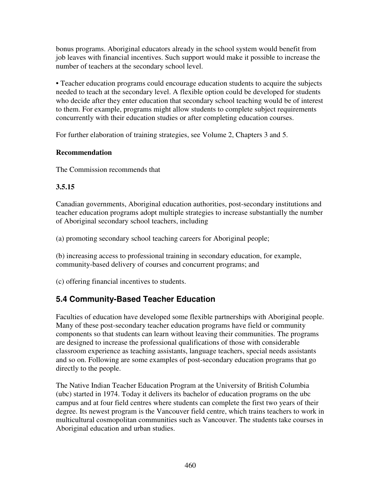bonus programs. Aboriginal educators already in the school system would benefit from job leaves with financial incentives. Such support would make it possible to increase the number of teachers at the secondary school level.

• Teacher education programs could encourage education students to acquire the subjects needed to teach at the secondary level. A flexible option could be developed for students who decide after they enter education that secondary school teaching would be of interest to them. For example, programs might allow students to complete subject requirements concurrently with their education studies or after completing education courses.

For further elaboration of training strategies, see Volume 2, Chapters 3 and 5.

## **Recommendation**

The Commission recommends that

### **3.5.15**

Canadian governments, Aboriginal education authorities, post-secondary institutions and teacher education programs adopt multiple strategies to increase substantially the number of Aboriginal secondary school teachers, including

(a) promoting secondary school teaching careers for Aboriginal people;

(b) increasing access to professional training in secondary education, for example, community-based delivery of courses and concurrent programs; and

(c) offering financial incentives to students.

# **5.4 Community-Based Teacher Education**

Faculties of education have developed some flexible partnerships with Aboriginal people. Many of these post-secondary teacher education programs have field or community components so that students can learn without leaving their communities. The programs are designed to increase the professional qualifications of those with considerable classroom experience as teaching assistants, language teachers, special needs assistants and so on. Following are some examples of post-secondary education programs that go directly to the people.

The Native Indian Teacher Education Program at the University of British Columbia (ubc) started in 1974. Today it delivers its bachelor of education programs on the ubc campus and at four field centres where students can complete the first two years of their degree. Its newest program is the Vancouver field centre, which trains teachers to work in multicultural cosmopolitan communities such as Vancouver. The students take courses in Aboriginal education and urban studies.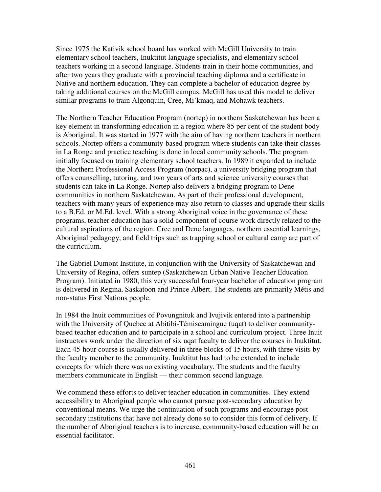Since 1975 the Kativik school board has worked with McGill University to train elementary school teachers, Inuktitut language specialists, and elementary school teachers working in a second language. Students train in their home communities, and after two years they graduate with a provincial teaching diploma and a certificate in Native and northern education. They can complete a bachelor of education degree by taking additional courses on the McGill campus. McGill has used this model to deliver similar programs to train Algonquin, Cree, Mi'kmaq, and Mohawk teachers.

The Northern Teacher Education Program (nortep) in northern Saskatchewan has been a key element in transforming education in a region where 85 per cent of the student body is Aboriginal. It was started in 1977 with the aim of having northern teachers in northern schools. Nortep offers a community-based program where students can take their classes in La Ronge and practice teaching is done in local community schools. The program initially focused on training elementary school teachers. In 1989 it expanded to include the Northern Professional Access Program (norpac), a university bridging program that offers counselling, tutoring, and two years of arts and science university courses that students can take in La Ronge. Nortep also delivers a bridging program to Dene communities in northern Saskatchewan. As part of their professional development, teachers with many years of experience may also return to classes and upgrade their skills to a B.Ed. or M.Ed. level. With a strong Aboriginal voice in the governance of these programs, teacher education has a solid component of course work directly related to the cultural aspirations of the region. Cree and Dene languages, northern essential learnings, Aboriginal pedagogy, and field trips such as trapping school or cultural camp are part of the curriculum.

The Gabriel Dumont Institute, in conjunction with the University of Saskatchewan and University of Regina, offers suntep (Saskatchewan Urban Native Teacher Education Program). Initiated in 1980, this very successful four-year bachelor of education program is delivered in Regina, Saskatoon and Prince Albert. The students are primarily Métis and non-status First Nations people.

In 1984 the Inuit communities of Povungnituk and Ivujivik entered into a partnership with the University of Quebec at Abitibi-Témiscamingue (uqat) to deliver communitybased teacher education and to participate in a school and curriculum project. Three Inuit instructors work under the direction of six uqat faculty to deliver the courses in Inuktitut. Each 45-hour course is usually delivered in three blocks of 15 hours, with three visits by the faculty member to the community. Inuktitut has had to be extended to include concepts for which there was no existing vocabulary. The students and the faculty members communicate in English — their common second language.

We commend these efforts to deliver teacher education in communities. They extend accessibility to Aboriginal people who cannot pursue post-secondary education by conventional means. We urge the continuation of such programs and encourage postsecondary institutions that have not already done so to consider this form of delivery. If the number of Aboriginal teachers is to increase, community-based education will be an essential facilitator.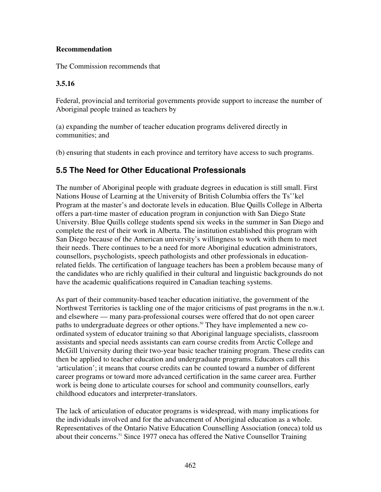#### **Recommendation**

The Commission recommends that

#### **3.5.16**

Federal, provincial and territorial governments provide support to increase the number of Aboriginal people trained as teachers by

(a) expanding the number of teacher education programs delivered directly in communities; and

(b) ensuring that students in each province and territory have access to such programs.

## **5.5 The Need for Other Educational Professionals**

The number of Aboriginal people with graduate degrees in education is still small. First Nations House of Learning at the University of British Columbia offers the Ts''kel Program at the master's and doctorate levels in education. Blue Quills College in Alberta offers a part-time master of education program in conjunction with San Diego State University. Blue Quills college students spend six weeks in the summer in San Diego and complete the rest of their work in Alberta. The institution established this program with San Diego because of the American university's willingness to work with them to meet their needs. There continues to be a need for more Aboriginal education administrators, counsellors, psychologists, speech pathologists and other professionals in educationrelated fields. The certification of language teachers has been a problem because many of the candidates who are richly qualified in their cultural and linguistic backgrounds do not have the academic qualifications required in Canadian teaching systems.

As part of their community-based teacher education initiative, the government of the Northwest Territories is tackling one of the major criticisms of past programs in the n.w.t. and elsewhere — many para-professional courses were offered that do not open career paths to undergraduate degrees or other options. <sup>50</sup> They have implemented a new coordinated system of educator training so that Aboriginal language specialists, classroom assistants and special needs assistants can earn course credits from Arctic College and McGill University during their two-year basic teacher training program. These credits can then be applied to teacher education and undergraduate programs. Educators call this 'articulation'; it means that course credits can be counted toward a number of different career programs or toward more advanced certification in the same career area. Further work is being done to articulate courses for school and community counsellors, early childhood educators and interpreter-translators.

The lack of articulation of educator programs is widespread, with many implications for the individuals involved and for the advancement of Aboriginal education as a whole. Representatives of the Ontario Native Education Counselling Association (oneca) told us about their concerns. <sup>51</sup> Since 1977 oneca has offered the Native Counsellor Training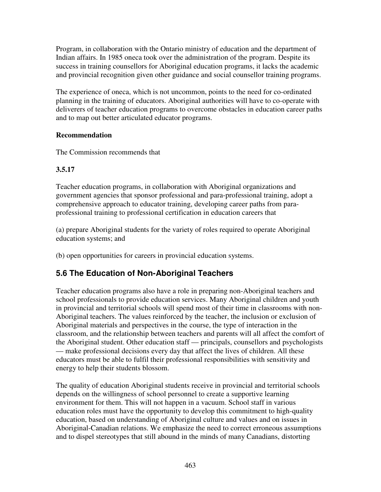Program, in collaboration with the Ontario ministry of education and the department of Indian affairs. In 1985 oneca took over the administration of the program. Despite its success in training counsellors for Aboriginal education programs, it lacks the academic and provincial recognition given other guidance and social counsellor training programs.

The experience of oneca, which is not uncommon, points to the need for co-ordinated planning in the training of educators. Aboriginal authorities will have to co-operate with deliverers of teacher education programs to overcome obstacles in education career paths and to map out better articulated educator programs.

### **Recommendation**

The Commission recommends that

## **3.5.17**

Teacher education programs, in collaboration with Aboriginal organizations and government agencies that sponsor professional and para-professional training, adopt a comprehensive approach to educator training, developing career paths from paraprofessional training to professional certification in education careers that

(a) prepare Aboriginal students for the variety of roles required to operate Aboriginal education systems; and

(b) open opportunities for careers in provincial education systems.

# **5.6 The Education of Non-Aboriginal Teachers**

Teacher education programs also have a role in preparing non-Aboriginal teachers and school professionals to provide education services. Many Aboriginal children and youth in provincial and territorial schools will spend most of their time in classrooms with non-Aboriginal teachers. The values reinforced by the teacher, the inclusion or exclusion of Aboriginal materials and perspectives in the course, the type of interaction in the classroom, and the relationship between teachers and parents will all affect the comfort of the Aboriginal student. Other education staff — principals, counsellors and psychologists — make professional decisions every day that affect the lives of children. All these educators must be able to fulfil their professional responsibilities with sensitivity and energy to help their students blossom.

The quality of education Aboriginal students receive in provincial and territorial schools depends on the willingness of school personnel to create a supportive learning environment for them. This will not happen in a vacuum. School staff in various education roles must have the opportunity to develop this commitment to high-quality education, based on understanding of Aboriginal culture and values and on issues in Aboriginal-Canadian relations. We emphasize the need to correct erroneous assumptions and to dispel stereotypes that still abound in the minds of many Canadians, distorting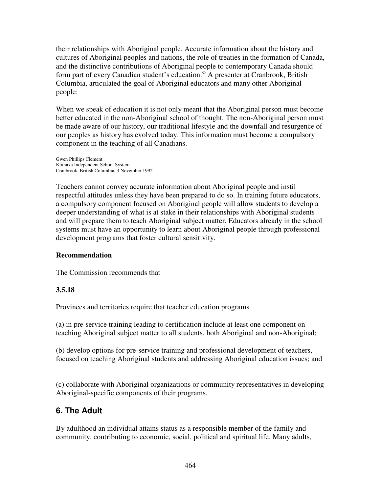their relationships with Aboriginal people. Accurate information about the history and cultures of Aboriginal peoples and nations, the role of treaties in the formation of Canada, and the distinctive contributions of Aboriginal people to contemporary Canada should form part of every Canadian student's education. <sup>52</sup> A presenter at Cranbrook, British Columbia, articulated the goal of Aboriginal educators and many other Aboriginal people:

When we speak of education it is not only meant that the Aboriginal person must become better educated in the non-Aboriginal school of thought. The non-Aboriginal person must be made aware of our history, our traditional lifestyle and the downfall and resurgence of our peoples as history has evolved today. This information must become a compulsory component in the teaching of all Canadians.

Gwen Phillips Clement Ktunaxa Independent School System Cranbrook, British Columbia, 3 November 1992

Teachers cannot convey accurate information about Aboriginal people and instil respectful attitudes unless they have been prepared to do so. In training future educators, a compulsory component focused on Aboriginal people will allow students to develop a deeper understanding of what is at stake in their relationships with Aboriginal students and will prepare them to teach Aboriginal subject matter. Educators already in the school systems must have an opportunity to learn about Aboriginal people through professional development programs that foster cultural sensitivity.

#### **Recommendation**

The Commission recommends that

#### **3.5.18**

Provinces and territories require that teacher education programs

(a) in pre-service training leading to certification include at least one component on teaching Aboriginal subject matter to all students, both Aboriginal and non-Aboriginal;

(b) develop options for pre-service training and professional development of teachers, focused on teaching Aboriginal students and addressing Aboriginal education issues; and

(c) collaborate with Aboriginal organizations or community representatives in developing Aboriginal-specific components of their programs.

## **6. The Adult**

By adulthood an individual attains status as a responsible member of the family and community, contributing to economic, social, political and spiritual life. Many adults,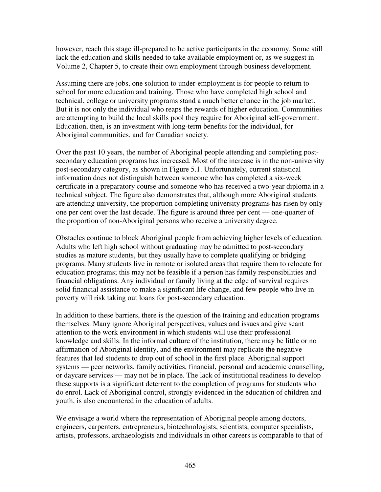however, reach this stage ill-prepared to be active participants in the economy. Some still lack the education and skills needed to take available employment or, as we suggest in Volume 2, Chapter 5, to create their own employment through business development.

Assuming there are jobs, one solution to under-employment is for people to return to school for more education and training. Those who have completed high school and technical, college or university programs stand a much better chance in the job market. But it is not only the individual who reaps the rewards of higher education. Communities are attempting to build the local skills pool they require for Aboriginal self-government. Education, then, is an investment with long-term benefits for the individual, for Aboriginal communities, and for Canadian society.

Over the past 10 years, the number of Aboriginal people attending and completing postsecondary education programs has increased. Most of the increase is in the non-university post-secondary category, as shown in Figure 5.1. Unfortunately, current statistical information does not distinguish between someone who has completed a six-week certificate in a preparatory course and someone who has received a two-year diploma in a technical subject. The figure also demonstrates that, although more Aboriginal students are attending university, the proportion completing university programs has risen by only one per cent over the last decade. The figure is around three per cent — one-quarter of the proportion of non-Aboriginal persons who receive a university degree.

Obstacles continue to block Aboriginal people from achieving higher levels of education. Adults who left high school without graduating may be admitted to post-secondary studies as mature students, but they usually have to complete qualifying or bridging programs. Many students live in remote or isolated areas that require them to relocate for education programs; this may not be feasible if a person has family responsibilities and financial obligations. Any individual or family living at the edge of survival requires solid financial assistance to make a significant life change, and few people who live in poverty will risk taking out loans for post-secondary education.

In addition to these barriers, there is the question of the training and education programs themselves. Many ignore Aboriginal perspectives, values and issues and give scant attention to the work environment in which students will use their professional knowledge and skills. In the informal culture of the institution, there may be little or no affirmation of Aboriginal identity, and the environment may replicate the negative features that led students to drop out of school in the first place. Aboriginal support systems — peer networks, family activities, financial, personal and academic counselling, or daycare services — may not be in place. The lack of institutional readiness to develop these supports is a significant deterrent to the completion of programs for students who do enrol. Lack of Aboriginal control, strongly evidenced in the education of children and youth, is also encountered in the education of adults.

We envisage a world where the representation of Aboriginal people among doctors, engineers, carpenters, entrepreneurs, biotechnologists, scientists, computer specialists, artists, professors, archaeologists and individuals in other careers is comparable to that of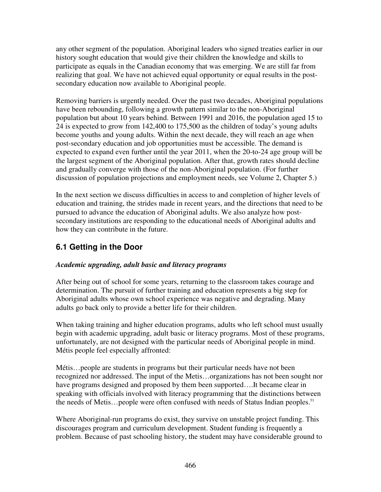any other segment of the population. Aboriginal leaders who signed treaties earlier in our history sought education that would give their children the knowledge and skills to participate as equals in the Canadian economy that was emerging. We are still far from realizing that goal. We have not achieved equal opportunity or equal results in the postsecondary education now available to Aboriginal people.

Removing barriers is urgently needed. Over the past two decades, Aboriginal populations have been rebounding, following a growth pattern similar to the non-Aboriginal population but about 10 years behind. Between 1991 and 2016, the population aged 15 to 24 is expected to grow from 142,400 to 175,500 as the children of today's young adults become youths and young adults. Within the next decade, they will reach an age when post-secondary education and job opportunities must be accessible. The demand is expected to expand even further until the year 2011, when the 20-to-24 age group will be the largest segment of the Aboriginal population. After that, growth rates should decline and gradually converge with those of the non-Aboriginal population. (For further discussion of population projections and employment needs, see Volume 2, Chapter 5.)

In the next section we discuss difficulties in access to and completion of higher levels of education and training, the strides made in recent years, and the directions that need to be pursued to advance the education of Aboriginal adults. We also analyze how postsecondary institutions are responding to the educational needs of Aboriginal adults and how they can contribute in the future.

# **6.1 Getting in the Door**

## *Academic upgrading, adult basic and literacy programs*

After being out of school for some years, returning to the classroom takes courage and determination. The pursuit of further training and education represents a big step for Aboriginal adults whose own school experience was negative and degrading. Many adults go back only to provide a better life for their children.

When taking training and higher education programs, adults who left school must usually begin with academic upgrading, adult basic or literacy programs. Most of these programs, unfortunately, are not designed with the particular needs of Aboriginal people in mind. Métis people feel especially affronted:

Métis…people are students in programs but their particular needs have not been recognized nor addressed. The input of the Metis…organizations has not been sought nor have programs designed and proposed by them been supported….It became clear in speaking with officials involved with literacy programming that the distinctions between the needs of Metis...people were often confused with needs of Status Indian peoples.<sup>53</sup>

Where Aboriginal-run programs do exist, they survive on unstable project funding. This discourages program and curriculum development. Student funding is frequently a problem. Because of past schooling history, the student may have considerable ground to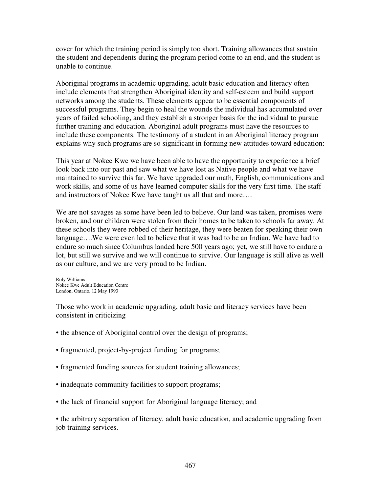cover for which the training period is simply too short. Training allowances that sustain the student and dependents during the program period come to an end, and the student is unable to continue.

Aboriginal programs in academic upgrading, adult basic education and literacy often include elements that strengthen Aboriginal identity and self-esteem and build support networks among the students. These elements appear to be essential components of successful programs. They begin to heal the wounds the individual has accumulated over years of failed schooling, and they establish a stronger basis for the individual to pursue further training and education. Aboriginal adult programs must have the resources to include these components. The testimony of a student in an Aboriginal literacy program explains why such programs are so significant in forming new attitudes toward education:

This year at Nokee Kwe we have been able to have the opportunity to experience a brief look back into our past and saw what we have lost as Native people and what we have maintained to survive this far. We have upgraded our math, English, communications and work skills, and some of us have learned computer skills for the very first time. The staff and instructors of Nokee Kwe have taught us all that and more….

We are not savages as some have been led to believe. Our land was taken, promises were broken, and our children were stolen from their homes to be taken to schools far away. At these schools they were robbed of their heritage, they were beaten for speaking their own language….We were even led to believe that it was bad to be an Indian. We have had to endure so much since Columbus landed here 500 years ago; yet, we still have to endure a lot, but still we survive and we will continue to survive. Our language is still alive as well as our culture, and we are very proud to be Indian.

Roly Williams Nokee Kwe Adult Education Centre London, Ontario, 12 May 1993

Those who work in academic upgrading, adult basic and literacy services have been consistent in criticizing

- the absence of Aboriginal control over the design of programs;
- fragmented, project-by-project funding for programs;
- fragmented funding sources for student training allowances;
- inadequate community facilities to support programs;
- the lack of financial support for Aboriginal language literacy; and

• the arbitrary separation of literacy, adult basic education, and academic upgrading from job training services.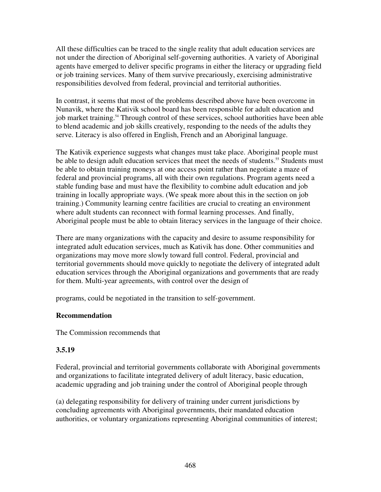All these difficulties can be traced to the single reality that adult education services are not under the direction of Aboriginal self-governing authorities. A variety of Aboriginal agents have emerged to deliver specific programs in either the literacy or upgrading field or job training services. Many of them survive precariously, exercising administrative responsibilities devolved from federal, provincial and territorial authorities.

In contrast, it seems that most of the problems described above have been overcome in Nunavik, where the Kativik school board has been responsible for adult education and job market training. <sup>54</sup> Through control of these services, school authorities have been able to blend academic and job skills creatively, responding to the needs of the adults they serve. Literacy is also offered in English, French and an Aboriginal language.

The Kativik experience suggests what changes must take place. Aboriginal people must be able to design adult education services that meet the needs of students.<sup>55</sup> Students must be able to obtain training moneys at one access point rather than negotiate a maze of federal and provincial programs, all with their own regulations. Program agents need a stable funding base and must have the flexibility to combine adult education and job training in locally appropriate ways. (We speak more about this in the section on job training.) Community learning centre facilities are crucial to creating an environment where adult students can reconnect with formal learning processes. And finally, Aboriginal people must be able to obtain literacy services in the language of their choice.

There are many organizations with the capacity and desire to assume responsibility for integrated adult education services, much as Kativik has done. Other communities and organizations may move more slowly toward full control. Federal, provincial and territorial governments should move quickly to negotiate the delivery of integrated adult education services through the Aboriginal organizations and governments that are ready for them. Multi-year agreements, with control over the design of

programs, could be negotiated in the transition to self-government.

## **Recommendation**

The Commission recommends that

## **3.5.19**

Federal, provincial and territorial governments collaborate with Aboriginal governments and organizations to facilitate integrated delivery of adult literacy, basic education, academic upgrading and job training under the control of Aboriginal people through

(a) delegating responsibility for delivery of training under current jurisdictions by concluding agreements with Aboriginal governments, their mandated education authorities, or voluntary organizations representing Aboriginal communities of interest;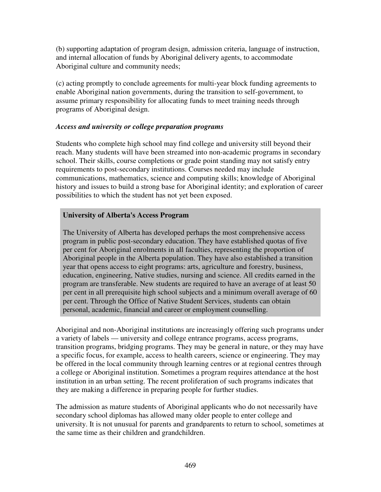(b) supporting adaptation of program design, admission criteria, language of instruction, and internal allocation of funds by Aboriginal delivery agents, to accommodate Aboriginal culture and community needs;

(c) acting promptly to conclude agreements for multi-year block funding agreements to enable Aboriginal nation governments, during the transition to self-government, to assume primary responsibility for allocating funds to meet training needs through programs of Aboriginal design.

#### *Access and university or college preparation programs*

Students who complete high school may find college and university still beyond their reach. Many students will have been streamed into non-academic programs in secondary school. Their skills, course completions or grade point standing may not satisfy entry requirements to post-secondary institutions. Courses needed may include communications, mathematics, science and computing skills; knowledge of Aboriginal history and issues to build a strong base for Aboriginal identity; and exploration of career possibilities to which the student has not yet been exposed.

## **University of Alberta's Access Program**

The University of Alberta has developed perhaps the most comprehensive access program in public post-secondary education. They have established quotas of five per cent for Aboriginal enrolments in all faculties, representing the proportion of Aboriginal people in the Alberta population. They have also established a transition year that opens access to eight programs: arts, agriculture and forestry, business, education, engineering, Native studies, nursing and science. All credits earned in the program are transferable. New students are required to have an average of at least 50 per cent in all prerequisite high school subjects and a minimum overall average of 60 per cent. Through the Office of Native Student Services, students can obtain personal, academic, financial and career or employment counselling.

Aboriginal and non-Aboriginal institutions are increasingly offering such programs under a variety of labels — university and college entrance programs, access programs, transition programs, bridging programs. They may be general in nature, or they may have a specific focus, for example, access to health careers, science or engineering. They may be offered in the local community through learning centres or at regional centres through a college or Aboriginal institution. Sometimes a program requires attendance at the host institution in an urban setting. The recent proliferation of such programs indicates that they are making a difference in preparing people for further studies.

The admission as mature students of Aboriginal applicants who do not necessarily have secondary school diplomas has allowed many older people to enter college and university. It is not unusual for parents and grandparents to return to school, sometimes at the same time as their children and grandchildren.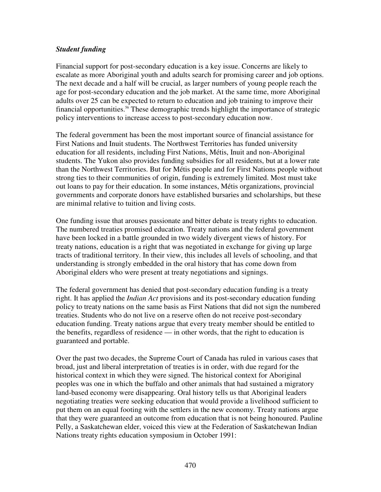#### *Student funding*

Financial support for post-secondary education is a key issue. Concerns are likely to escalate as more Aboriginal youth and adults search for promising career and job options. The next decade and a half will be crucial, as larger numbers of young people reach the age for post-secondary education and the job market. At the same time, more Aboriginal adults over 25 can be expected to return to education and job training to improve their financial opportunities. <sup>56</sup> These demographic trends highlight the importance of strategic policy interventions to increase access to post-secondary education now.

The federal government has been the most important source of financial assistance for First Nations and Inuit students. The Northwest Territories has funded university education for all residents, including First Nations, Métis, Inuit and non-Aboriginal students. The Yukon also provides funding subsidies for all residents, but at a lower rate than the Northwest Territories. But for Métis people and for First Nations people without strong ties to their communities of origin, funding is extremely limited. Most must take out loans to pay for their education. In some instances, Métis organizations, provincial governments and corporate donors have established bursaries and scholarships, but these are minimal relative to tuition and living costs.

One funding issue that arouses passionate and bitter debate is treaty rights to education. The numbered treaties promised education. Treaty nations and the federal government have been locked in a battle grounded in two widely divergent views of history. For treaty nations, education is a right that was negotiated in exchange for giving up large tracts of traditional territory. In their view, this includes all levels of schooling, and that understanding is strongly embedded in the oral history that has come down from Aboriginal elders who were present at treaty negotiations and signings.

The federal government has denied that post-secondary education funding is a treaty right. It has applied the *Indian Act* provisions and its post-secondary education funding policy to treaty nations on the same basis as First Nations that did not sign the numbered treaties. Students who do not live on a reserve often do not receive post-secondary education funding. Treaty nations argue that every treaty member should be entitled to the benefits, regardless of residence — in other words, that the right to education is guaranteed and portable.

Over the past two decades, the Supreme Court of Canada has ruled in various cases that broad, just and liberal interpretation of treaties is in order, with due regard for the historical context in which they were signed. The historical context for Aboriginal peoples was one in which the buffalo and other animals that had sustained a migratory land-based economy were disappearing. Oral history tells us that Aboriginal leaders negotiating treaties were seeking education that would provide a livelihood sufficient to put them on an equal footing with the settlers in the new economy. Treaty nations argue that they were guaranteed an outcome from education that is not being honoured. Pauline Pelly, a Saskatchewan elder, voiced this view at the Federation of Saskatchewan Indian Nations treaty rights education symposium in October 1991: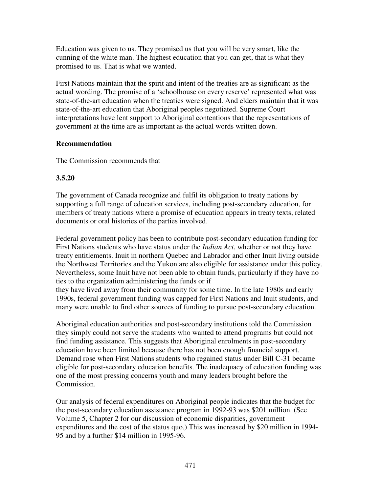Education was given to us. They promised us that you will be very smart, like the cunning of the white man. The highest education that you can get, that is what they promised to us. That is what we wanted.

First Nations maintain that the spirit and intent of the treaties are as significant as the actual wording. The promise of a 'schoolhouse on every reserve' represented what was state-of-the-art education when the treaties were signed. And elders maintain that it was state-of-the-art education that Aboriginal peoples negotiated. Supreme Court interpretations have lent support to Aboriginal contentions that the representations of government at the time are as important as the actual words written down.

#### **Recommendation**

The Commission recommends that

### **3.5.20**

The government of Canada recognize and fulfil its obligation to treaty nations by supporting a full range of education services, including post-secondary education, for members of treaty nations where a promise of education appears in treaty texts, related documents or oral histories of the parties involved.

Federal government policy has been to contribute post-secondary education funding for First Nations students who have status under the *Indian Act*, whether or not they have treaty entitlements. Inuit in northern Quebec and Labrador and other Inuit living outside the Northwest Territories and the Yukon are also eligible for assistance under this policy. Nevertheless, some Inuit have not been able to obtain funds, particularly if they have no ties to the organization administering the funds or if

they have lived away from their community for some time. In the late 1980s and early 1990s, federal government funding was capped for First Nations and Inuit students, and many were unable to find other sources of funding to pursue post-secondary education.

Aboriginal education authorities and post-secondary institutions told the Commission they simply could not serve the students who wanted to attend programs but could not find funding assistance. This suggests that Aboriginal enrolments in post-secondary education have been limited because there has not been enough financial support. Demand rose when First Nations students who regained status under Bill C-31 became eligible for post-secondary education benefits. The inadequacy of education funding was one of the most pressing concerns youth and many leaders brought before the Commission.

Our analysis of federal expenditures on Aboriginal people indicates that the budget for the post-secondary education assistance program in 1992-93 was \$201 million. (See Volume 5, Chapter 2 for our discussion of economic disparities, government expenditures and the cost of the status quo.) This was increased by \$20 million in 1994- 95 and by a further \$14 million in 1995-96.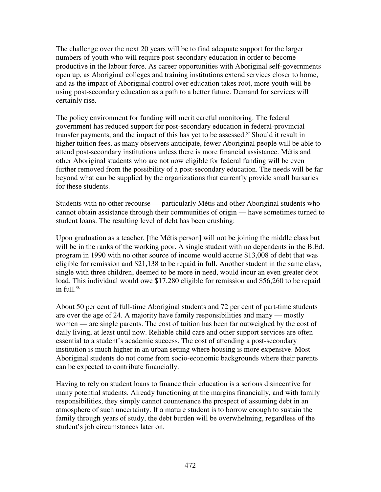The challenge over the next 20 years will be to find adequate support for the larger numbers of youth who will require post-secondary education in order to become productive in the labour force. As career opportunities with Aboriginal self-governments open up, as Aboriginal colleges and training institutions extend services closer to home, and as the impact of Aboriginal control over education takes root, more youth will be using post-secondary education as a path to a better future. Demand for services will certainly rise.

The policy environment for funding will merit careful monitoring. The federal government has reduced support for post-secondary education in federal-provincial transfer payments, and the impact of this has yet to be assessed. <sup>57</sup> Should it result in higher tuition fees, as many observers anticipate, fewer Aboriginal people will be able to attend post-secondary institutions unless there is more financial assistance. Métis and other Aboriginal students who are not now eligible for federal funding will be even further removed from the possibility of a post-secondary education. The needs will be far beyond what can be supplied by the organizations that currently provide small bursaries for these students.

Students with no other recourse — particularly Métis and other Aboriginal students who cannot obtain assistance through their communities of origin — have sometimes turned to student loans. The resulting level of debt has been crushing:

Upon graduation as a teacher, [the Métis person] will not be joining the middle class but will be in the ranks of the working poor. A single student with no dependents in the B.Ed. program in 1990 with no other source of income would accrue \$13,008 of debt that was eligible for remission and \$21,138 to be repaid in full. Another student in the same class, single with three children, deemed to be more in need, would incur an even greater debt load. This individual would owe \$17,280 eligible for remission and \$56,260 to be repaid in full. 58

About 50 per cent of full-time Aboriginal students and 72 per cent of part-time students are over the age of 24. A majority have family responsibilities and many — mostly women — are single parents. The cost of tuition has been far outweighed by the cost of daily living, at least until now. Reliable child care and other support services are often essential to a student's academic success. The cost of attending a post-secondary institution is much higher in an urban setting where housing is more expensive. Most Aboriginal students do not come from socio-economic backgrounds where their parents can be expected to contribute financially.

Having to rely on student loans to finance their education is a serious disincentive for many potential students. Already functioning at the margins financially, and with family responsibilities, they simply cannot countenance the prospect of assuming debt in an atmosphere of such uncertainty. If a mature student is to borrow enough to sustain the family through years of study, the debt burden will be overwhelming, regardless of the student's job circumstances later on.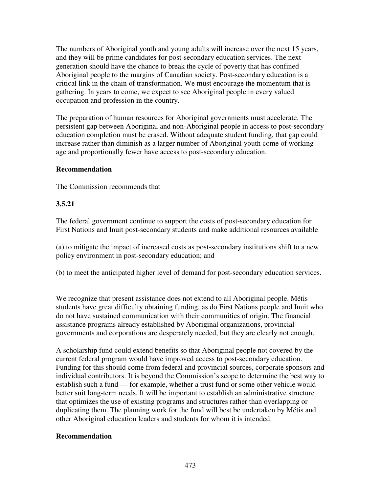The numbers of Aboriginal youth and young adults will increase over the next 15 years, and they will be prime candidates for post-secondary education services. The next generation should have the chance to break the cycle of poverty that has confined Aboriginal people to the margins of Canadian society. Post-secondary education is a critical link in the chain of transformation. We must encourage the momentum that is gathering. In years to come, we expect to see Aboriginal people in every valued occupation and profession in the country.

The preparation of human resources for Aboriginal governments must accelerate. The persistent gap between Aboriginal and non-Aboriginal people in access to post-secondary education completion must be erased. Without adequate student funding, that gap could increase rather than diminish as a larger number of Aboriginal youth come of working age and proportionally fewer have access to post-secondary education.

#### **Recommendation**

The Commission recommends that

#### **3.5.21**

The federal government continue to support the costs of post-secondary education for First Nations and Inuit post-secondary students and make additional resources available

(a) to mitigate the impact of increased costs as post-secondary institutions shift to a new policy environment in post-secondary education; and

(b) to meet the anticipated higher level of demand for post-secondary education services.

We recognize that present assistance does not extend to all Aboriginal people. Métis students have great difficulty obtaining funding, as do First Nations people and Inuit who do not have sustained communication with their communities of origin. The financial assistance programs already established by Aboriginal organizations, provincial governments and corporations are desperately needed, but they are clearly not enough.

A scholarship fund could extend benefits so that Aboriginal people not covered by the current federal program would have improved access to post-secondary education. Funding for this should come from federal and provincial sources, corporate sponsors and individual contributors. It is beyond the Commission's scope to determine the best way to establish such a fund — for example, whether a trust fund or some other vehicle would better suit long-term needs. It will be important to establish an administrative structure that optimizes the use of existing programs and structures rather than overlapping or duplicating them. The planning work for the fund will best be undertaken by Métis and other Aboriginal education leaders and students for whom it is intended.

#### **Recommendation**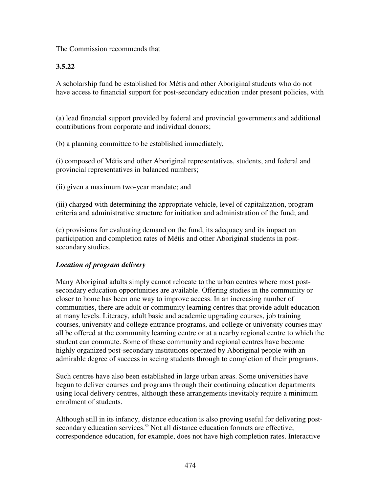The Commission recommends that

#### **3.5.22**

A scholarship fund be established for Métis and other Aboriginal students who do not have access to financial support for post-secondary education under present policies, with

(a) lead financial support provided by federal and provincial governments and additional contributions from corporate and individual donors;

(b) a planning committee to be established immediately,

(i) composed of Métis and other Aboriginal representatives, students, and federal and provincial representatives in balanced numbers;

(ii) given a maximum two-year mandate; and

(iii) charged with determining the appropriate vehicle, level of capitalization, program criteria and administrative structure for initiation and administration of the fund; and

(c) provisions for evaluating demand on the fund, its adequacy and its impact on participation and completion rates of Métis and other Aboriginal students in postsecondary studies.

#### *Location of program delivery*

Many Aboriginal adults simply cannot relocate to the urban centres where most postsecondary education opportunities are available. Offering studies in the community or closer to home has been one way to improve access. In an increasing number of communities, there are adult or community learning centres that provide adult education at many levels. Literacy, adult basic and academic upgrading courses, job training courses, university and college entrance programs, and college or university courses may all be offered at the community learning centre or at a nearby regional centre to which the student can commute. Some of these community and regional centres have become highly organized post-secondary institutions operated by Aboriginal people with an admirable degree of success in seeing students through to completion of their programs.

Such centres have also been established in large urban areas. Some universities have begun to deliver courses and programs through their continuing education departments using local delivery centres, although these arrangements inevitably require a minimum enrolment of students.

Although still in its infancy, distance education is also proving useful for delivering postsecondary education services.<sup>59</sup> Not all distance education formats are effective; correspondence education, for example, does not have high completion rates. Interactive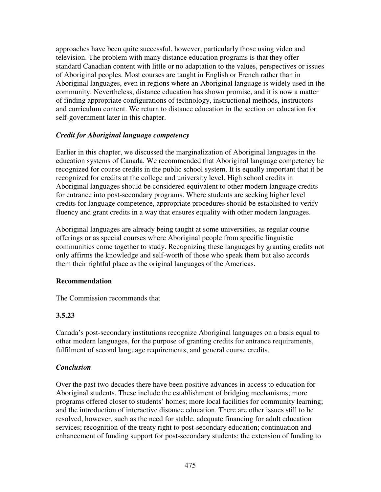approaches have been quite successful, however, particularly those using video and television. The problem with many distance education programs is that they offer standard Canadian content with little or no adaptation to the values, perspectives or issues of Aboriginal peoples. Most courses are taught in English or French rather than in Aboriginal languages, even in regions where an Aboriginal language is widely used in the community. Nevertheless, distance education has shown promise, and it is now a matter of finding appropriate configurations of technology, instructional methods, instructors and curriculum content. We return to distance education in the section on education for self-government later in this chapter.

### *Credit for Aboriginal language competency*

Earlier in this chapter, we discussed the marginalization of Aboriginal languages in the education systems of Canada. We recommended that Aboriginal language competency be recognized for course credits in the public school system. It is equally important that it be recognized for credits at the college and university level. High school credits in Aboriginal languages should be considered equivalent to other modern language credits for entrance into post-secondary programs. Where students are seeking higher level credits for language competence, appropriate procedures should be established to verify fluency and grant credits in a way that ensures equality with other modern languages.

Aboriginal languages are already being taught at some universities, as regular course offerings or as special courses where Aboriginal people from specific linguistic communities come together to study. Recognizing these languages by granting credits not only affirms the knowledge and self-worth of those who speak them but also accords them their rightful place as the original languages of the Americas.

#### **Recommendation**

The Commission recommends that

#### **3.5.23**

Canada's post-secondary institutions recognize Aboriginal languages on a basis equal to other modern languages, for the purpose of granting credits for entrance requirements, fulfilment of second language requirements, and general course credits.

#### *Conclusion*

Over the past two decades there have been positive advances in access to education for Aboriginal students. These include the establishment of bridging mechanisms; more programs offered closer to students' homes; more local facilities for community learning; and the introduction of interactive distance education. There are other issues still to be resolved, however, such as the need for stable, adequate financing for adult education services; recognition of the treaty right to post-secondary education; continuation and enhancement of funding support for post-secondary students; the extension of funding to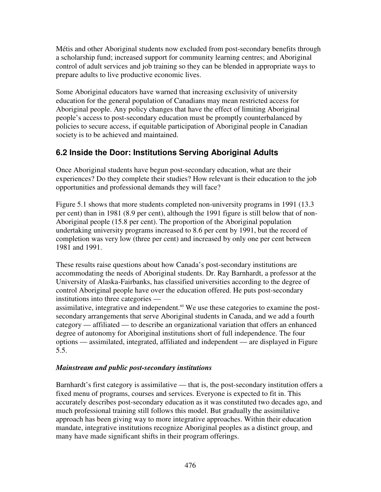Métis and other Aboriginal students now excluded from post-secondary benefits through a scholarship fund; increased support for community learning centres; and Aboriginal control of adult services and job training so they can be blended in appropriate ways to prepare adults to live productive economic lives.

Some Aboriginal educators have warned that increasing exclusivity of university education for the general population of Canadians may mean restricted access for Aboriginal people. Any policy changes that have the effect of limiting Aboriginal people's access to post-secondary education must be promptly counterbalanced by policies to secure access, if equitable participation of Aboriginal people in Canadian society is to be achieved and maintained.

## **6.2 Inside the Door: Institutions Serving Aboriginal Adults**

Once Aboriginal students have begun post-secondary education, what are their experiences? Do they complete their studies? How relevant is their education to the job opportunities and professional demands they will face?

Figure 5.1 shows that more students completed non-university programs in 1991 (13.3 per cent) than in 1981 (8.9 per cent), although the 1991 figure is still below that of non-Aboriginal people (15.8 per cent). The proportion of the Aboriginal population undertaking university programs increased to 8.6 per cent by 1991, but the record of completion was very low (three per cent) and increased by only one per cent between 1981 and 1991.

These results raise questions about how Canada's post-secondary institutions are accommodating the needs of Aboriginal students. Dr. Ray Barnhardt, a professor at the University of Alaska-Fairbanks, has classified universities according to the degree of control Aboriginal people have over the education offered. He puts post-secondary institutions into three categories —

assimilative, integrative and independent. <sup>60</sup> We use these categories to examine the postsecondary arrangements that serve Aboriginal students in Canada, and we add a fourth category — affiliated — to describe an organizational variation that offers an enhanced degree of autonomy for Aboriginal institutions short of full independence. The four options — assimilated, integrated, affiliated and independent — are displayed in Figure 5.5.

## *Mainstream and public post-secondary institutions*

Barnhardt's first category is assimilative — that is, the post-secondary institution offers a fixed menu of programs, courses and services. Everyone is expected to fit in. This accurately describes post-secondary education as it was constituted two decades ago, and much professional training still follows this model. But gradually the assimilative approach has been giving way to more integrative approaches. Within their education mandate, integrative institutions recognize Aboriginal peoples as a distinct group, and many have made significant shifts in their program offerings.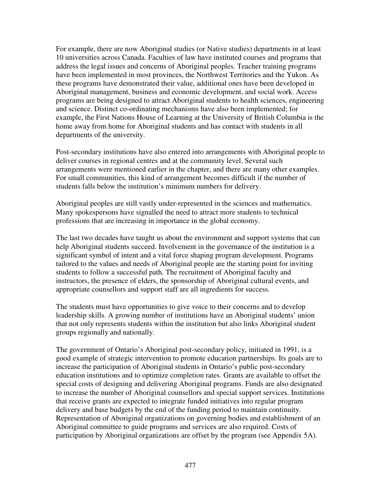For example, there are now Aboriginal studies (or Native studies) departments in at least 10 universities across Canada. Faculties of law have instituted courses and programs that address the legal issues and concerns of Aboriginal peoples. Teacher training programs have been implemented in most provinces, the Northwest Territories and the Yukon. As these programs have demonstrated their value, additional ones have been developed in Aboriginal management, business and economic development, and social work. Access programs are being designed to attract Aboriginal students to health sciences, engineering and science. Distinct co-ordinating mechanisms have also been implemented; for example, the First Nations House of Learning at the University of British Columbia is the home away from home for Aboriginal students and has contact with students in all departments of the university.

Post-secondary institutions have also entered into arrangements with Aboriginal people to deliver courses in regional centres and at the community level. Several such arrangements were mentioned earlier in the chapter, and there are many other examples. For small communities, this kind of arrangement becomes difficult if the number of students falls below the institution's minimum numbers for delivery.

Aboriginal peoples are still vastly under-represented in the sciences and mathematics. Many spokespersons have signalled the need to attract more students to technical professions that are increasing in importance in the global economy.

The last two decades have taught us about the environment and support systems that can help Aboriginal students succeed. Involvement in the governance of the institution is a significant symbol of intent and a vital force shaping program development. Programs tailored to the values and needs of Aboriginal people are the starting point for inviting students to follow a successful path. The recruitment of Aboriginal faculty and instructors, the presence of elders, the sponsorship of Aboriginal cultural events, and appropriate counsellors and support staff are all ingredients for success.

The students must have opportunities to give voice to their concerns and to develop leadership skills. A growing number of institutions have an Aboriginal students' union that not only represents students within the institution but also links Aboriginal student groups regionally and nationally.

The government of Ontario's Aboriginal post-secondary policy, initiated in 1991, is a good example of strategic intervention to promote education partnerships. Its goals are to increase the participation of Aboriginal students in Ontario's public post-secondary education institutions and to optimize completion rates. Grants are available to offset the special costs of designing and delivering Aboriginal programs. Funds are also designated to increase the number of Aboriginal counsellors and special support services. Institutions that receive grants are expected to integrate funded initiatives into regular program delivery and base budgets by the end of the funding period to maintain continuity. Representation of Aboriginal organizations on governing bodies and establishment of an Aboriginal committee to guide programs and services are also required. Costs of participation by Aboriginal organizations are offset by the program (see Appendix 5A).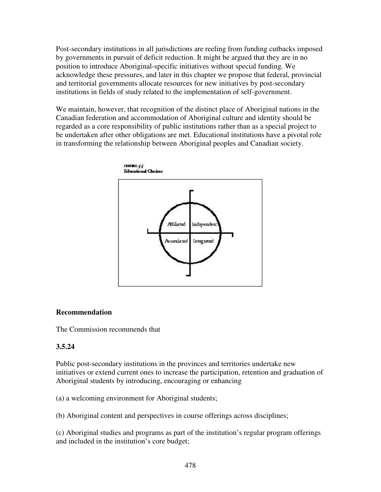Post-secondary institutions in all jurisdictions are reeling from funding cutbacks imposed by governments in pursuit of deficit reduction. It might be argued that they are in no position to introduce Aboriginal-specific initiatives without special funding. We acknowledge these pressures, and later in this chapter we propose that federal, provincial and territorial governments allocate resources for new initiatives by post-secondary institutions in fields of study related to the implementation of self-government.

We maintain, however, that recognition of the distinct place of Aboriginal nations in the Canadian federation and accommodation of Aboriginal culture and identity should be regarded as a core responsibility of public institutions rather than as a special project to be undertaken after other obligations are met. Educational institutions have a pivotal role in transforming the relationship between Aboriginal peoples and Canadian society.



### **Recommendation**

The Commission recommends that

### **3.5.24**

Public post-secondary institutions in the provinces and territories undertake new initiatives or extend current ones to increase the participation, retention and graduation of Aboriginal students by introducing, encouraging or enhancing

(a) a welcoming environment for Aboriginal students;

(b) Aboriginal content and perspectives in course offerings across disciplines;

(c) Aboriginal studies and programs as part of the institution's regular program offerings and included in the institution's core budget;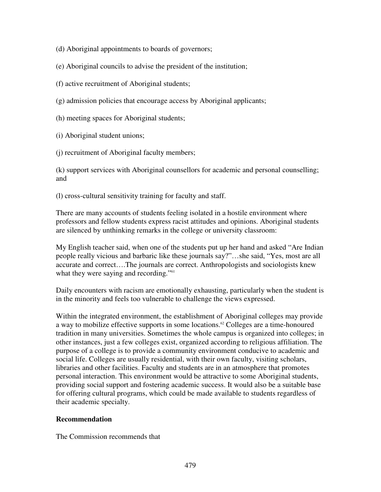- (d) Aboriginal appointments to boards of governors;
- (e) Aboriginal councils to advise the president of the institution;
- (f) active recruitment of Aboriginal students;
- (g) admission policies that encourage access by Aboriginal applicants;
- (h) meeting spaces for Aboriginal students;
- (i) Aboriginal student unions;
- (j) recruitment of Aboriginal faculty members;

(k) support services with Aboriginal counsellors for academic and personal counselling; and

(l) cross-cultural sensitivity training for faculty and staff.

There are many accounts of students feeling isolated in a hostile environment where professors and fellow students express racist attitudes and opinions. Aboriginal students are silenced by unthinking remarks in the college or university classroom:

My English teacher said, when one of the students put up her hand and asked "Are Indian people really vicious and barbaric like these journals say?"…she said, "Yes, most are all accurate and correct….The journals are correct. Anthropologists and sociologists knew what they were saying and recording."<sup>61</sup>

Daily encounters with racism are emotionally exhausting, particularly when the student is in the minority and feels too vulnerable to challenge the views expressed.

Within the integrated environment, the establishment of Aboriginal colleges may provide a way to mobilize effective supports in some locations. <sup>62</sup> Colleges are a time-honoured tradition in many universities. Sometimes the whole campus is organized into colleges; in other instances, just a few colleges exist, organized according to religious affiliation. The purpose of a college is to provide a community environment conducive to academic and social life. Colleges are usually residential, with their own faculty, visiting scholars, libraries and other facilities. Faculty and students are in an atmosphere that promotes personal interaction. This environment would be attractive to some Aboriginal students, providing social support and fostering academic success. It would also be a suitable base for offering cultural programs, which could be made available to students regardless of their academic specialty.

#### **Recommendation**

The Commission recommends that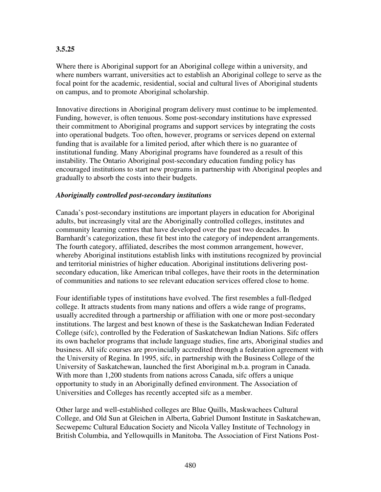### **3.5.25**

Where there is Aboriginal support for an Aboriginal college within a university, and where numbers warrant, universities act to establish an Aboriginal college to serve as the focal point for the academic, residential, social and cultural lives of Aboriginal students on campus, and to promote Aboriginal scholarship.

Innovative directions in Aboriginal program delivery must continue to be implemented. Funding, however, is often tenuous. Some post-secondary institutions have expressed their commitment to Aboriginal programs and support services by integrating the costs into operational budgets. Too often, however, programs or services depend on external funding that is available for a limited period, after which there is no guarantee of institutional funding. Many Aboriginal programs have foundered as a result of this instability. The Ontario Aboriginal post-secondary education funding policy has encouraged institutions to start new programs in partnership with Aboriginal peoples and gradually to absorb the costs into their budgets.

#### *Aboriginally controlled post-secondary institutions*

Canada's post-secondary institutions are important players in education for Aboriginal adults, but increasingly vital are the Aboriginally controlled colleges, institutes and community learning centres that have developed over the past two decades. In Barnhardt's categorization, these fit best into the category of independent arrangements. The fourth category, affiliated, describes the most common arrangement, however, whereby Aboriginal institutions establish links with institutions recognized by provincial and territorial ministries of higher education. Aboriginal institutions delivering postsecondary education, like American tribal colleges, have their roots in the determination of communities and nations to see relevant education services offered close to home.

Four identifiable types of institutions have evolved. The first resembles a full-fledged college. It attracts students from many nations and offers a wide range of programs, usually accredited through a partnership or affiliation with one or more post-secondary institutions. The largest and best known of these is the Saskatchewan Indian Federated College (sifc), controlled by the Federation of Saskatchewan Indian Nations. Sifc offers its own bachelor programs that include language studies, fine arts, Aboriginal studies and business. All sifc courses are provincially accredited through a federation agreement with the University of Regina. In 1995, sifc, in partnership with the Business College of the University of Saskatchewan, launched the first Aboriginal m.b.a. program in Canada. With more than 1,200 students from nations across Canada, sifc offers a unique opportunity to study in an Aboriginally defined environment. The Association of Universities and Colleges has recently accepted sifc as a member.

Other large and well-established colleges are Blue Quills, Maskwachees Cultural College, and Old Sun at Gleichen in Alberta, Gabriel Dumont Institute in Saskatchewan, Secwepemc Cultural Education Society and Nicola Valley Institute of Technology in British Columbia, and Yellowquills in Manitoba. The Association of First Nations Post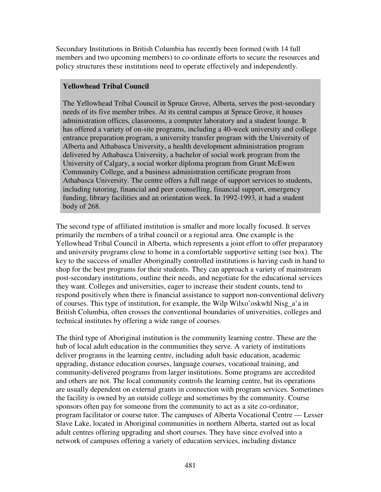Secondary Institutions in British Columbia has recently been formed (with 14 full members and two upcoming members) to co-ordinate efforts to secure the resources and policy structures these institutions need to operate effectively and independently.

#### **Yellowhead Tribal Council**

The Yellowhead Tribal Council in Spruce Grove, Alberta, serves the post-secondary needs of its five member tribes. At its central campus at Spruce Grove, it houses administration offices, classrooms, a computer laboratory and a student lounge. It has offered a variety of on-site programs, including a 40-week university and college entrance preparation program, a university transfer program with the University of Alberta and Athabasca University, a health development administration program delivered by Athabasca University, a bachelor of social work program from the University of Calgary, a social worker diploma program from Grant McEwen Community College, and a business administration certificate program from Athabasca University. The centre offers a full range of support services to students, including tutoring, financial and peer counselling, financial support, emergency funding, library facilities and an orientation week. In 1992-1993, it had a student body of 268.

The second type of affiliated institution is smaller and more locally focused. It serves primarily the members of a tribal council or a regional area. One example is the Yellowhead Tribal Council in Alberta, which represents a joint effort to offer preparatory and university programs close to home in a comfortable supportive setting (see box). The key to the success of smaller Aboriginally controlled institutions is having cash in hand to shop for the best programs for their students. They can approach a variety of mainstream post-secondary institutions, outline their needs, and negotiate for the educational services they want. Colleges and universities, eager to increase their student counts, tend to respond positively when there is financial assistance to support non-conventional delivery of courses. This type of institution, for example, the Wilp Wilxo'oskwhl Nisg\_a'a in British Columbia, often crosses the conventional boundaries of universities, colleges and technical institutes by offering a wide range of courses.

The third type of Aboriginal institution is the community learning centre. These are the hub of local adult education in the communities they serve. A variety of institutions deliver programs in the learning centre, including adult basic education, academic upgrading, distance education courses, language courses, vocational training, and community-delivered programs from larger institutions. Some programs are accredited and others are not. The local community controls the learning centre, but its operations are usually dependent on external grants in connection with program services. Sometimes the facility is owned by an outside college and sometimes by the community. Course sponsors often pay for someone from the community to act as a site co-ordinator, program facilitator or course tutor. The campuses of Alberta Vocational Centre — Lesser Slave Lake, located in Aboriginal communities in northern Alberta, started out as local adult centres offering upgrading and short courses. They have since evolved into a network of campuses offering a variety of education services, including distance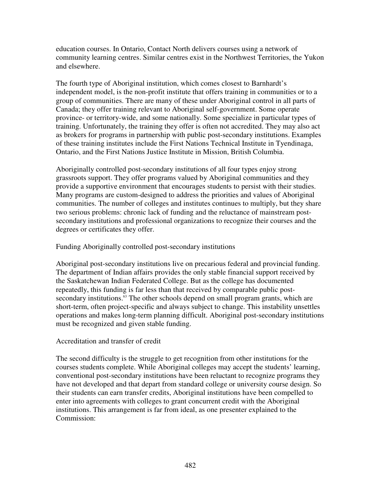education courses. In Ontario, Contact North delivers courses using a network of community learning centres. Similar centres exist in the Northwest Territories, the Yukon and elsewhere.

The fourth type of Aboriginal institution, which comes closest to Barnhardt's independent model, is the non-profit institute that offers training in communities or to a group of communities. There are many of these under Aboriginal control in all parts of Canada; they offer training relevant to Aboriginal self-government. Some operate province- or territory-wide, and some nationally. Some specialize in particular types of training. Unfortunately, the training they offer is often not accredited. They may also act as brokers for programs in partnership with public post-secondary institutions. Examples of these training institutes include the First Nations Technical Institute in Tyendinaga, Ontario, and the First Nations Justice Institute in Mission, British Columbia.

Aboriginally controlled post-secondary institutions of all four types enjoy strong grassroots support. They offer programs valued by Aboriginal communities and they provide a supportive environment that encourages students to persist with their studies. Many programs are custom-designed to address the priorities and values of Aboriginal communities. The number of colleges and institutes continues to multiply, but they share two serious problems: chronic lack of funding and the reluctance of mainstream postsecondary institutions and professional organizations to recognize their courses and the degrees or certificates they offer.

Funding Aboriginally controlled post-secondary institutions

Aboriginal post-secondary institutions live on precarious federal and provincial funding. The department of Indian affairs provides the only stable financial support received by the Saskatchewan Indian Federated College. But as the college has documented repeatedly, this funding is far less than that received by comparable public postsecondary institutions.<sup>63</sup> The other schools depend on small program grants, which are short-term, often project-specific and always subject to change. This instability unsettles operations and makes long-term planning difficult. Aboriginal post-secondary institutions must be recognized and given stable funding.

### Accreditation and transfer of credit

The second difficulty is the struggle to get recognition from other institutions for the courses students complete. While Aboriginal colleges may accept the students' learning, conventional post-secondary institutions have been reluctant to recognize programs they have not developed and that depart from standard college or university course design. So their students can earn transfer credits, Aboriginal institutions have been compelled to enter into agreements with colleges to grant concurrent credit with the Aboriginal institutions. This arrangement is far from ideal, as one presenter explained to the Commission: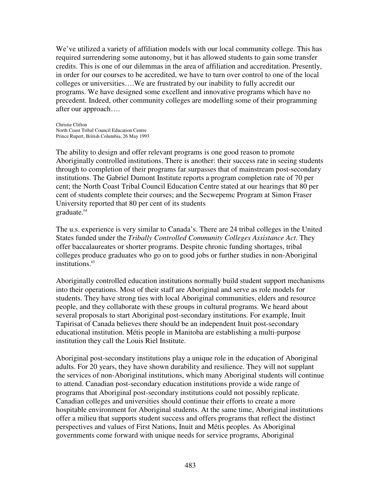We've utilized a variety of affiliation models with our local community college. This has required surrendering some autonomy, but it has allowed students to gain some transfer credits. This is one of our dilemmas in the area of affiliation and accreditation. Presently, in order for our courses to be accredited, we have to turn over control to one of the local colleges or universities….We are frustrated by our inability to fully accredit our programs. We have designed some excellent and innovative programs which have no precedent. Indeed, other community colleges are modelling some of their programming after our approach….

Christie Clifton North Coast Tribal Council Education Centre Prince Rupert, British Columbia, 26 May 1993

The ability to design and offer relevant programs is one good reason to promote Aboriginally controlled institutions. There is another: their success rate in seeing students through to completion of their programs far surpasses that of mainstream post-secondary institutions. The Gabriel Dumont Institute reports a program completion rate of 70 per cent; the North Coast Tribal Council Education Centre stated at our hearings that 80 per cent of students complete their courses; and the Secwepemc Program at Simon Fraser University reported that 80 per cent of its students graduate. 64

The u.s. experience is very similar to Canada's. There are 24 tribal colleges in the United States funded under the *Tribally Controlled Community Colleges Assistance Act*. They offer baccalaureates or shorter programs. Despite chronic funding shortages, tribal colleges produce graduates who go on to good jobs or further studies in non-Aboriginal institutions. 65

Aboriginally controlled education institutions normally build student support mechanisms into their operations. Most of their staff are Aboriginal and serve as role models for students. They have strong ties with local Aboriginal communities, elders and resource people, and they collaborate with these groups in cultural programs. We heard about several proposals to start Aboriginal post-secondary institutions. For example, Inuit Tapirisat of Canada believes there should be an independent Inuit post-secondary educational institution. Métis people in Manitoba are establishing a multi-purpose institution they call the Louis Riel Institute.

Aboriginal post-secondary institutions play a unique role in the education of Aboriginal adults. For 20 years, they have shown durability and resilience. They will not supplant the services of non-Aboriginal institutions, which many Aboriginal students will continue to attend. Canadian post-secondary education institutions provide a wide range of programs that Aboriginal post-secondary institutions could not possibly replicate. Canadian colleges and universities should continue their efforts to create a more hospitable environment for Aboriginal students. At the same time, Aboriginal institutions offer a milieu that supports student success and offers programs that reflect the distinct perspectives and values of First Nations, Inuit and Métis peoples. As Aboriginal governments come forward with unique needs for service programs, Aboriginal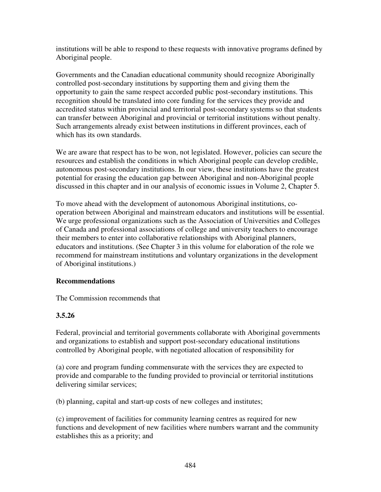institutions will be able to respond to these requests with innovative programs defined by Aboriginal people.

Governments and the Canadian educational community should recognize Aboriginally controlled post-secondary institutions by supporting them and giving them the opportunity to gain the same respect accorded public post-secondary institutions. This recognition should be translated into core funding for the services they provide and accredited status within provincial and territorial post-secondary systems so that students can transfer between Aboriginal and provincial or territorial institutions without penalty. Such arrangements already exist between institutions in different provinces, each of which has its own standards.

We are aware that respect has to be won, not legislated. However, policies can secure the resources and establish the conditions in which Aboriginal people can develop credible, autonomous post-secondary institutions. In our view, these institutions have the greatest potential for erasing the education gap between Aboriginal and non-Aboriginal people discussed in this chapter and in our analysis of economic issues in Volume 2, Chapter 5.

To move ahead with the development of autonomous Aboriginal institutions, cooperation between Aboriginal and mainstream educators and institutions will be essential. We urge professional organizations such as the Association of Universities and Colleges of Canada and professional associations of college and university teachers to encourage their members to enter into collaborative relationships with Aboriginal planners, educators and institutions. (See Chapter 3 in this volume for elaboration of the role we recommend for mainstream institutions and voluntary organizations in the development of Aboriginal institutions.)

### **Recommendations**

The Commission recommends that

## **3.5.26**

Federal, provincial and territorial governments collaborate with Aboriginal governments and organizations to establish and support post-secondary educational institutions controlled by Aboriginal people, with negotiated allocation of responsibility for

(a) core and program funding commensurate with the services they are expected to provide and comparable to the funding provided to provincial or territorial institutions delivering similar services;

(b) planning, capital and start-up costs of new colleges and institutes;

(c) improvement of facilities for community learning centres as required for new functions and development of new facilities where numbers warrant and the community establishes this as a priority; and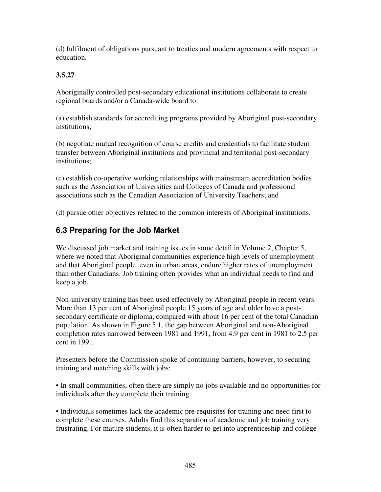(d) fulfilment of obligations pursuant to treaties and modern agreements with respect to education.

## **3.5.27**

Aboriginally controlled post-secondary educational institutions collaborate to create regional boards and/or a Canada-wide board to

(a) establish standards for accrediting programs provided by Aboriginal post-secondary institutions;

(b) negotiate mutual recognition of course credits and credentials to facilitate student transfer between Aboriginal institutions and provincial and territorial post-secondary institutions;

(c) establish co-operative working relationships with mainstream accreditation bodies such as the Association of Universities and Colleges of Canada and professional associations such as the Canadian Association of University Teachers; and

(d) pursue other objectives related to the common interests of Aboriginal institutions.

# **6.3 Preparing for the Job Market**

We discussed job market and training issues in some detail in Volume 2, Chapter 5, where we noted that Aboriginal communities experience high levels of unemployment and that Aboriginal people, even in urban areas, endure higher rates of unemployment than other Canadians. Job training often provides what an individual needs to find and keep a job.

Non-university training has been used effectively by Aboriginal people in recent years. More than 13 per cent of Aboriginal people 15 years of age and older have a postsecondary certificate or diploma, compared with about 16 per cent of the total Canadian population. As shown in Figure 5.1, the gap between Aboriginal and non-Aboriginal completion rates narrowed between 1981 and 1991, from 4.9 per cent in 1981 to 2.5 per cent in 1991.

Presenters before the Commission spoke of continuing barriers, however, to securing training and matching skills with jobs:

• In small communities, often there are simply no jobs available and no opportunities for individuals after they complete their training.

• Individuals sometimes lack the academic pre-requisites for training and need first to complete these courses. Adults find this separation of academic and job training very frustrating. For mature students, it is often harder to get into apprenticeship and college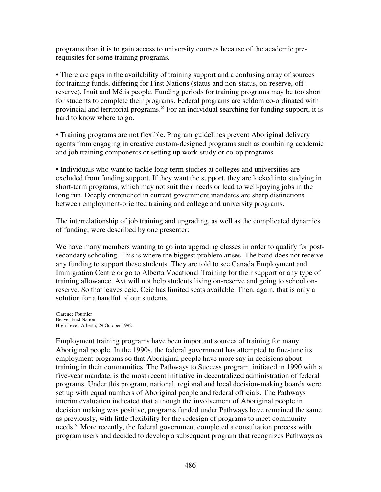programs than it is to gain access to university courses because of the academic prerequisites for some training programs.

• There are gaps in the availability of training support and a confusing array of sources for training funds, differing for First Nations (status and non-status, on-reserve, offreserve), Inuit and Métis people. Funding periods for training programs may be too short for students to complete their programs. Federal programs are seldom co-ordinated with provincial and territorial programs. <sup>66</sup> For an individual searching for funding support, it is hard to know where to go.

• Training programs are not flexible. Program guidelines prevent Aboriginal delivery agents from engaging in creative custom-designed programs such as combining academic and job training components or setting up work-study or co-op programs.

• Individuals who want to tackle long-term studies at colleges and universities are excluded from funding support. If they want the support, they are locked into studying in short-term programs, which may not suit their needs or lead to well-paying jobs in the long run. Deeply entrenched in current government mandates are sharp distinctions between employment-oriented training and college and university programs.

The interrelationship of job training and upgrading, as well as the complicated dynamics of funding, were described by one presenter:

We have many members wanting to go into upgrading classes in order to qualify for postsecondary schooling. This is where the biggest problem arises. The band does not receive any funding to support these students. They are told to see Canada Employment and Immigration Centre or go to Alberta Vocational Training for their support or any type of training allowance. Avt will not help students living on-reserve and going to school onreserve. So that leaves ceic. Ceic has limited seats available. Then, again, that is only a solution for a handful of our students.

Clarence Fournier Beaver First Nation High Level, Alberta, 29 October 1992

Employment training programs have been important sources of training for many Aboriginal people. In the 1990s, the federal government has attempted to fine-tune its employment programs so that Aboriginal people have more say in decisions about training in their communities. The Pathways to Success program, initiated in 1990 with a five-year mandate, is the most recent initiative in decentralized administration of federal programs. Under this program, national, regional and local decision-making boards were set up with equal numbers of Aboriginal people and federal officials. The Pathways interim evaluation indicated that although the involvement of Aboriginal people in decision making was positive, programs funded under Pathways have remained the same as previously, with little flexibility for the redesign of programs to meet community needs.<sup>67</sup> More recently, the federal government completed a consultation process with program users and decided to develop a subsequent program that recognizes Pathways as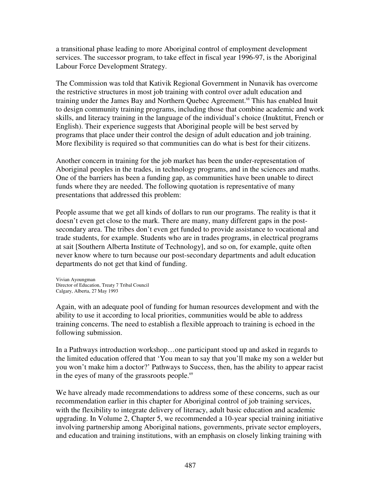a transitional phase leading to more Aboriginal control of employment development services. The successor program, to take effect in fiscal year 1996-97, is the Aboriginal Labour Force Development Strategy.

The Commission was told that Kativik Regional Government in Nunavik has overcome the restrictive structures in most job training with control over adult education and training under the James Bay and Northern Quebec Agreement. <sup>68</sup> This has enabled Inuit to design community training programs, including those that combine academic and work skills, and literacy training in the language of the individual's choice (Inuktitut, French or English). Their experience suggests that Aboriginal people will be best served by programs that place under their control the design of adult education and job training. More flexibility is required so that communities can do what is best for their citizens.

Another concern in training for the job market has been the under-representation of Aboriginal peoples in the trades, in technology programs, and in the sciences and maths. One of the barriers has been a funding gap, as communities have been unable to direct funds where they are needed. The following quotation is representative of many presentations that addressed this problem:

People assume that we get all kinds of dollars to run our programs. The reality is that it doesn't even get close to the mark. There are many, many different gaps in the postsecondary area. The tribes don't even get funded to provide assistance to vocational and trade students, for example. Students who are in trades programs, in electrical programs at sait [Southern Alberta Institute of Technology], and so on, for example, quite often never know where to turn because our post-secondary departments and adult education departments do not get that kind of funding.

Vivian Ayoungman Director of Education, Treaty 7 Tribal Council Calgary, Alberta, 27 May 1993

Again, with an adequate pool of funding for human resources development and with the ability to use it according to local priorities, communities would be able to address training concerns. The need to establish a flexible approach to training is echoed in the following submission.

In a Pathways introduction workshop…one participant stood up and asked in regards to the limited education offered that 'You mean to say that you'll make my son a welder but you won't make him a doctor?' Pathways to Success, then, has the ability to appear racist in the eyes of many of the grassroots people.<sup>69</sup>

We have already made recommendations to address some of these concerns, such as our recommendation earlier in this chapter for Aboriginal control of job training services, with the flexibility to integrate delivery of literacy, adult basic education and academic upgrading. In Volume 2, Chapter 5, we recommended a 10-year special training initiative involving partnership among Aboriginal nations, governments, private sector employers, and education and training institutions, with an emphasis on closely linking training with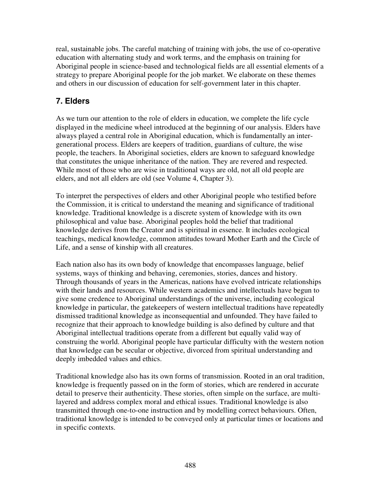real, sustainable jobs. The careful matching of training with jobs, the use of co-operative education with alternating study and work terms, and the emphasis on training for Aboriginal people in science-based and technological fields are all essential elements of a strategy to prepare Aboriginal people for the job market. We elaborate on these themes and others in our discussion of education for self-government later in this chapter.

# **7. Elders**

As we turn our attention to the role of elders in education, we complete the life cycle displayed in the medicine wheel introduced at the beginning of our analysis. Elders have always played a central role in Aboriginal education, which is fundamentally an intergenerational process. Elders are keepers of tradition, guardians of culture, the wise people, the teachers. In Aboriginal societies, elders are known to safeguard knowledge that constitutes the unique inheritance of the nation. They are revered and respected. While most of those who are wise in traditional ways are old, not all old people are elders, and not all elders are old (see Volume 4, Chapter 3).

To interpret the perspectives of elders and other Aboriginal people who testified before the Commission, it is critical to understand the meaning and significance of traditional knowledge. Traditional knowledge is a discrete system of knowledge with its own philosophical and value base. Aboriginal peoples hold the belief that traditional knowledge derives from the Creator and is spiritual in essence. It includes ecological teachings, medical knowledge, common attitudes toward Mother Earth and the Circle of Life, and a sense of kinship with all creatures.

Each nation also has its own body of knowledge that encompasses language, belief systems, ways of thinking and behaving, ceremonies, stories, dances and history. Through thousands of years in the Americas, nations have evolved intricate relationships with their lands and resources. While western academics and intellectuals have begun to give some credence to Aboriginal understandings of the universe, including ecological knowledge in particular, the gatekeepers of western intellectual traditions have repeatedly dismissed traditional knowledge as inconsequential and unfounded. They have failed to recognize that their approach to knowledge building is also defined by culture and that Aboriginal intellectual traditions operate from a different but equally valid way of construing the world. Aboriginal people have particular difficulty with the western notion that knowledge can be secular or objective, divorced from spiritual understanding and deeply imbedded values and ethics.

Traditional knowledge also has its own forms of transmission. Rooted in an oral tradition, knowledge is frequently passed on in the form of stories, which are rendered in accurate detail to preserve their authenticity. These stories, often simple on the surface, are multilayered and address complex moral and ethical issues. Traditional knowledge is also transmitted through one-to-one instruction and by modelling correct behaviours. Often, traditional knowledge is intended to be conveyed only at particular times or locations and in specific contexts.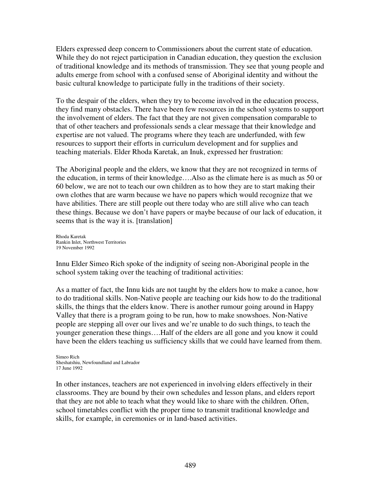Elders expressed deep concern to Commissioners about the current state of education. While they do not reject participation in Canadian education, they question the exclusion of traditional knowledge and its methods of transmission. They see that young people and adults emerge from school with a confused sense of Aboriginal identity and without the basic cultural knowledge to participate fully in the traditions of their society.

To the despair of the elders, when they try to become involved in the education process, they find many obstacles. There have been few resources in the school systems to support the involvement of elders. The fact that they are not given compensation comparable to that of other teachers and professionals sends a clear message that their knowledge and expertise are not valued. The programs where they teach are underfunded, with few resources to support their efforts in curriculum development and for supplies and teaching materials. Elder Rhoda Karetak, an Inuk, expressed her frustration:

The Aboriginal people and the elders, we know that they are not recognized in terms of the education, in terms of their knowledge….Also as the climate here is as much as 50 or 60 below, we are not to teach our own children as to how they are to start making their own clothes that are warm because we have no papers which would recognize that we have abilities. There are still people out there today who are still alive who can teach these things. Because we don't have papers or maybe because of our lack of education, it seems that is the way it is. [translation]

Rhoda Karetak Rankin Inlet, Northwest Territories 19 November 1992

Innu Elder Simeo Rich spoke of the indignity of seeing non-Aboriginal people in the school system taking over the teaching of traditional activities:

As a matter of fact, the Innu kids are not taught by the elders how to make a canoe, how to do traditional skills. Non-Native people are teaching our kids how to do the traditional skills, the things that the elders know. There is another rumour going around in Happy Valley that there is a program going to be run, how to make snowshoes. Non-Native people are stepping all over our lives and we're unable to do such things, to teach the younger generation these things….Half of the elders are all gone and you know it could have been the elders teaching us sufficiency skills that we could have learned from them.

Simeo Rich Sheshatshiu, Newfoundland and Labrador 17 June 1992

In other instances, teachers are not experienced in involving elders effectively in their classrooms. They are bound by their own schedules and lesson plans, and elders report that they are not able to teach what they would like to share with the children. Often, school timetables conflict with the proper time to transmit traditional knowledge and skills, for example, in ceremonies or in land-based activities.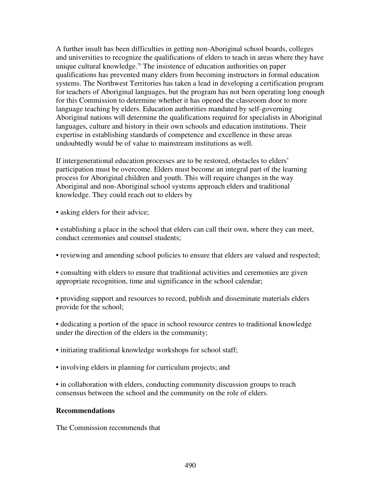A further insult has been difficulties in getting non-Aboriginal school boards, colleges and universities to recognize the qualifications of elders to teach in areas where they have unique cultural knowledge. <sup>70</sup> The insistence of education authorities on paper qualifications has prevented many elders from becoming instructors in formal education systems. The Northwest Territories has taken a lead in developing a certification program for teachers of Aboriginal languages, but the program has not been operating long enough for this Commission to determine whether it has opened the classroom door to more language teaching by elders. Education authorities mandated by self-governing Aboriginal nations will determine the qualifications required for specialists in Aboriginal languages, culture and history in their own schools and education institutions. Their expertise in establishing standards of competence and excellence in these areas undoubtedly would be of value to mainstream institutions as well.

If intergenerational education processes are to be restored, obstacles to elders' participation must be overcome. Elders must become an integral part of the learning process for Aboriginal children and youth. This will require changes in the way Aboriginal and non-Aboriginal school systems approach elders and traditional knowledge. They could reach out to elders by

• asking elders for their advice;

• establishing a place in the school that elders can call their own, where they can meet, conduct ceremonies and counsel students;

• reviewing and amending school policies to ensure that elders are valued and respected;

• consulting with elders to ensure that traditional activities and ceremonies are given appropriate recognition, time and significance in the school calendar;

• providing support and resources to record, publish and disseminate materials elders provide for the school;

• dedicating a portion of the space in school resource centres to traditional knowledge under the direction of the elders in the community;

• initiating traditional knowledge workshops for school staff;

• involving elders in planning for curriculum projects; and

• in collaboration with elders, conducting community discussion groups to reach consensus between the school and the community on the role of elders.

### **Recommendations**

The Commission recommends that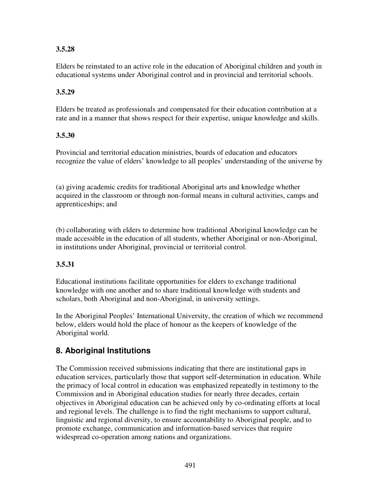## **3.5.28**

Elders be reinstated to an active role in the education of Aboriginal children and youth in educational systems under Aboriginal control and in provincial and territorial schools.

### **3.5.29**

Elders be treated as professionals and compensated for their education contribution at a rate and in a manner that shows respect for their expertise, unique knowledge and skills.

### **3.5.30**

Provincial and territorial education ministries, boards of education and educators recognize the value of elders' knowledge to all peoples' understanding of the universe by

(a) giving academic credits for traditional Aboriginal arts and knowledge whether acquired in the classroom or through non-formal means in cultural activities, camps and apprenticeships; and

(b) collaborating with elders to determine how traditional Aboriginal knowledge can be made accessible in the education of all students, whether Aboriginal or non-Aboriginal, in institutions under Aboriginal, provincial or territorial control.

### **3.5.31**

Educational institutions facilitate opportunities for elders to exchange traditional knowledge with one another and to share traditional knowledge with students and scholars, both Aboriginal and non-Aboriginal, in university settings.

In the Aboriginal Peoples' International University, the creation of which we recommend below, elders would hold the place of honour as the keepers of knowledge of the Aboriginal world.

# **8. Aboriginal Institutions**

The Commission received submissions indicating that there are institutional gaps in education services, particularly those that support self-determination in education. While the primacy of local control in education was emphasized repeatedly in testimony to the Commission and in Aboriginal education studies for nearly three decades, certain objectives in Aboriginal education can be achieved only by co-ordinating efforts at local and regional levels. The challenge is to find the right mechanisms to support cultural, linguistic and regional diversity, to ensure accountability to Aboriginal people, and to promote exchange, communication and information-based services that require widespread co-operation among nations and organizations.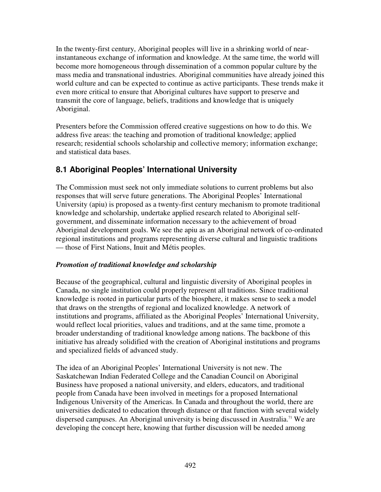In the twenty-first century, Aboriginal peoples will live in a shrinking world of nearinstantaneous exchange of information and knowledge. At the same time, the world will become more homogeneous through dissemination of a common popular culture by the mass media and transnational industries. Aboriginal communities have already joined this world culture and can be expected to continue as active participants. These trends make it even more critical to ensure that Aboriginal cultures have support to preserve and transmit the core of language, beliefs, traditions and knowledge that is uniquely Aboriginal.

Presenters before the Commission offered creative suggestions on how to do this. We address five areas: the teaching and promotion of traditional knowledge; applied research; residential schools scholarship and collective memory; information exchange; and statistical data bases.

# **8.1 Aboriginal Peoples' International University**

The Commission must seek not only immediate solutions to current problems but also responses that will serve future generations. The Aboriginal Peoples' International University (apiu) is proposed as a twenty-first century mechanism to promote traditional knowledge and scholarship, undertake applied research related to Aboriginal selfgovernment, and disseminate information necessary to the achievement of broad Aboriginal development goals. We see the apiu as an Aboriginal network of co-ordinated regional institutions and programs representing diverse cultural and linguistic traditions — those of First Nations, Inuit and Métis peoples.

## *Promotion of traditional knowledge and scholarship*

Because of the geographical, cultural and linguistic diversity of Aboriginal peoples in Canada, no single institution could properly represent all traditions. Since traditional knowledge is rooted in particular parts of the biosphere, it makes sense to seek a model that draws on the strengths of regional and localized knowledge. A network of institutions and programs, affiliated as the Aboriginal Peoples' International University, would reflect local priorities, values and traditions, and at the same time, promote a broader understanding of traditional knowledge among nations. The backbone of this initiative has already solidified with the creation of Aboriginal institutions and programs and specialized fields of advanced study.

The idea of an Aboriginal Peoples' International University is not new. The Saskatchewan Indian Federated College and the Canadian Council on Aboriginal Business have proposed a national university, and elders, educators, and traditional people from Canada have been involved in meetings for a proposed International Indigenous University of the Americas. In Canada and throughout the world, there are universities dedicated to education through distance or that function with several widely dispersed campuses. An Aboriginal university is being discussed in Australia. <sup>71</sup> We are developing the concept here, knowing that further discussion will be needed among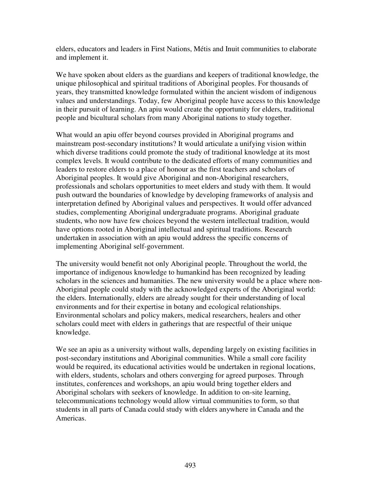elders, educators and leaders in First Nations, Métis and Inuit communities to elaborate and implement it.

We have spoken about elders as the guardians and keepers of traditional knowledge, the unique philosophical and spiritual traditions of Aboriginal peoples. For thousands of years, they transmitted knowledge formulated within the ancient wisdom of indigenous values and understandings. Today, few Aboriginal people have access to this knowledge in their pursuit of learning. An apiu would create the opportunity for elders, traditional people and bicultural scholars from many Aboriginal nations to study together.

What would an apiu offer beyond courses provided in Aboriginal programs and mainstream post-secondary institutions? It would articulate a unifying vision within which diverse traditions could promote the study of traditional knowledge at its most complex levels. It would contribute to the dedicated efforts of many communities and leaders to restore elders to a place of honour as the first teachers and scholars of Aboriginal peoples. It would give Aboriginal and non-Aboriginal researchers, professionals and scholars opportunities to meet elders and study with them. It would push outward the boundaries of knowledge by developing frameworks of analysis and interpretation defined by Aboriginal values and perspectives. It would offer advanced studies, complementing Aboriginal undergraduate programs. Aboriginal graduate students, who now have few choices beyond the western intellectual tradition, would have options rooted in Aboriginal intellectual and spiritual traditions. Research undertaken in association with an apiu would address the specific concerns of implementing Aboriginal self-government.

The university would benefit not only Aboriginal people. Throughout the world, the importance of indigenous knowledge to humankind has been recognized by leading scholars in the sciences and humanities. The new university would be a place where non-Aboriginal people could study with the acknowledged experts of the Aboriginal world: the elders. Internationally, elders are already sought for their understanding of local environments and for their expertise in botany and ecological relationships. Environmental scholars and policy makers, medical researchers, healers and other scholars could meet with elders in gatherings that are respectful of their unique knowledge.

We see an apiu as a university without walls, depending largely on existing facilities in post-secondary institutions and Aboriginal communities. While a small core facility would be required, its educational activities would be undertaken in regional locations, with elders, students, scholars and others converging for agreed purposes. Through institutes, conferences and workshops, an apiu would bring together elders and Aboriginal scholars with seekers of knowledge. In addition to on-site learning, telecommunications technology would allow virtual communities to form, so that students in all parts of Canada could study with elders anywhere in Canada and the Americas.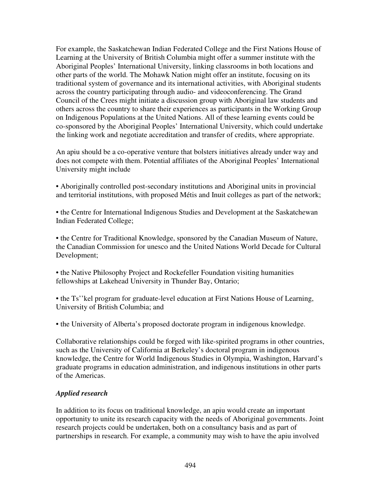For example, the Saskatchewan Indian Federated College and the First Nations House of Learning at the University of British Columbia might offer a summer institute with the Aboriginal Peoples' International University, linking classrooms in both locations and other parts of the world. The Mohawk Nation might offer an institute, focusing on its traditional system of governance and its international activities, with Aboriginal students across the country participating through audio- and videoconferencing. The Grand Council of the Crees might initiate a discussion group with Aboriginal law students and others across the country to share their experiences as participants in the Working Group on Indigenous Populations at the United Nations. All of these learning events could be co-sponsored by the Aboriginal Peoples' International University, which could undertake the linking work and negotiate accreditation and transfer of credits, where appropriate.

An apiu should be a co-operative venture that bolsters initiatives already under way and does not compete with them. Potential affiliates of the Aboriginal Peoples' International University might include

- Aboriginally controlled post-secondary institutions and Aboriginal units in provincial and territorial institutions, with proposed Métis and Inuit colleges as part of the network;
- the Centre for International Indigenous Studies and Development at the Saskatchewan Indian Federated College;

• the Centre for Traditional Knowledge, sponsored by the Canadian Museum of Nature, the Canadian Commission for unesco and the United Nations World Decade for Cultural Development;

• the Native Philosophy Project and Rockefeller Foundation visiting humanities fellowships at Lakehead University in Thunder Bay, Ontario;

• the Ts''kel program for graduate-level education at First Nations House of Learning, University of British Columbia; and

• the University of Alberta's proposed doctorate program in indigenous knowledge.

Collaborative relationships could be forged with like-spirited programs in other countries, such as the University of California at Berkeley's doctoral program in indigenous knowledge, the Centre for World Indigenous Studies in Olympia, Washington, Harvard's graduate programs in education administration, and indigenous institutions in other parts of the Americas.

### *Applied research*

In addition to its focus on traditional knowledge, an apiu would create an important opportunity to unite its research capacity with the needs of Aboriginal governments. Joint research projects could be undertaken, both on a consultancy basis and as part of partnerships in research. For example, a community may wish to have the apiu involved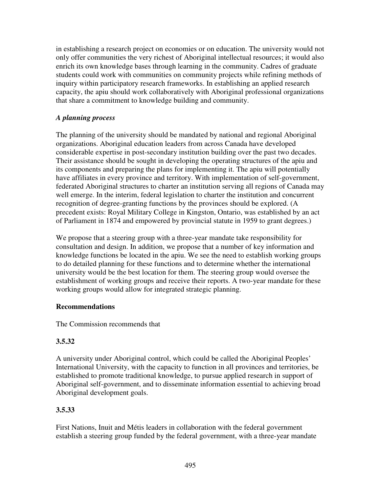in establishing a research project on economies or on education. The university would not only offer communities the very richest of Aboriginal intellectual resources; it would also enrich its own knowledge bases through learning in the community. Cadres of graduate students could work with communities on community projects while refining methods of inquiry within participatory research frameworks. In establishing an applied research capacity, the apiu should work collaboratively with Aboriginal professional organizations that share a commitment to knowledge building and community.

### *A planning process*

The planning of the university should be mandated by national and regional Aboriginal organizations. Aboriginal education leaders from across Canada have developed considerable expertise in post-secondary institution building over the past two decades. Their assistance should be sought in developing the operating structures of the apiu and its components and preparing the plans for implementing it. The apiu will potentially have affiliates in every province and territory. With implementation of self-government, federated Aboriginal structures to charter an institution serving all regions of Canada may well emerge. In the interim, federal legislation to charter the institution and concurrent recognition of degree-granting functions by the provinces should be explored. (A precedent exists: Royal Military College in Kingston, Ontario, was established by an act of Parliament in 1874 and empowered by provincial statute in 1959 to grant degrees.)

We propose that a steering group with a three-year mandate take responsibility for consultation and design. In addition, we propose that a number of key information and knowledge functions be located in the apiu. We see the need to establish working groups to do detailed planning for these functions and to determine whether the international university would be the best location for them. The steering group would oversee the establishment of working groups and receive their reports. A two-year mandate for these working groups would allow for integrated strategic planning.

### **Recommendations**

The Commission recommends that

## **3.5.32**

A university under Aboriginal control, which could be called the Aboriginal Peoples' International University, with the capacity to function in all provinces and territories, be established to promote traditional knowledge, to pursue applied research in support of Aboriginal self-government, and to disseminate information essential to achieving broad Aboriginal development goals.

## **3.5.33**

First Nations, Inuit and Métis leaders in collaboration with the federal government establish a steering group funded by the federal government, with a three-year mandate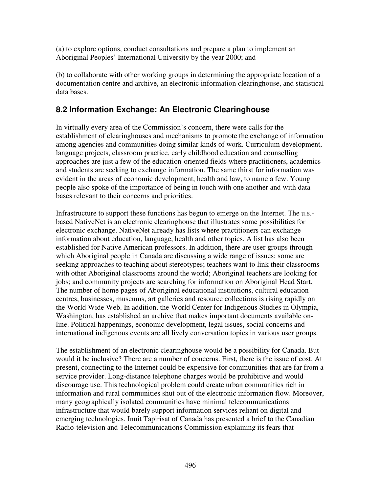(a) to explore options, conduct consultations and prepare a plan to implement an Aboriginal Peoples' International University by the year 2000; and

(b) to collaborate with other working groups in determining the appropriate location of a documentation centre and archive, an electronic information clearinghouse, and statistical data bases.

# **8.2 Information Exchange: An Electronic Clearinghouse**

In virtually every area of the Commission's concern, there were calls for the establishment of clearinghouses and mechanisms to promote the exchange of information among agencies and communities doing similar kinds of work. Curriculum development, language projects, classroom practice, early childhood education and counselling approaches are just a few of the education-oriented fields where practitioners, academics and students are seeking to exchange information. The same thirst for information was evident in the areas of economic development, health and law, to name a few. Young people also spoke of the importance of being in touch with one another and with data bases relevant to their concerns and priorities.

Infrastructure to support these functions has begun to emerge on the Internet. The u.s. based NativeNet is an electronic clearinghouse that illustrates some possibilities for electronic exchange. NativeNet already has lists where practitioners can exchange information about education, language, health and other topics. A list has also been established for Native American professors. In addition, there are user groups through which Aboriginal people in Canada are discussing a wide range of issues; some are seeking approaches to teaching about stereotypes; teachers want to link their classrooms with other Aboriginal classrooms around the world; Aboriginal teachers are looking for jobs; and community projects are searching for information on Aboriginal Head Start. The number of home pages of Aboriginal educational institutions, cultural education centres, businesses, museums, art galleries and resource collections is rising rapidly on the World Wide Web. In addition, the World Center for Indigenous Studies in Olympia, Washington, has established an archive that makes important documents available online. Political happenings, economic development, legal issues, social concerns and international indigenous events are all lively conversation topics in various user groups.

The establishment of an electronic clearinghouse would be a possibility for Canada. But would it be inclusive? There are a number of concerns. First, there is the issue of cost. At present, connecting to the Internet could be expensive for communities that are far from a service provider. Long-distance telephone charges would be prohibitive and would discourage use. This technological problem could create urban communities rich in information and rural communities shut out of the electronic information flow. Moreover, many geographically isolated communities have minimal telecommunications infrastructure that would barely support information services reliant on digital and emerging technologies. Inuit Tapirisat of Canada has presented a brief to the Canadian Radio-television and Telecommunications Commission explaining its fears that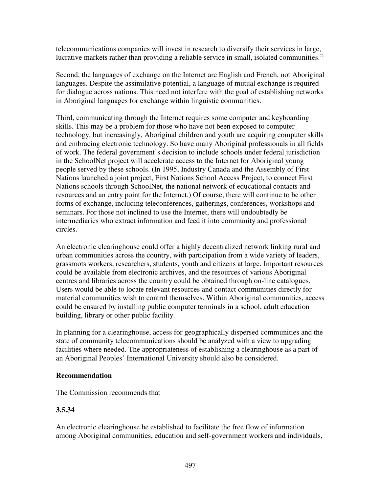telecommunications companies will invest in research to diversify their services in large, lucrative markets rather than providing a reliable service in small, isolated communities.<sup>72</sup>

Second, the languages of exchange on the Internet are English and French, not Aboriginal languages. Despite the assimilative potential, a language of mutual exchange is required for dialogue across nations. This need not interfere with the goal of establishing networks in Aboriginal languages for exchange within linguistic communities.

Third, communicating through the Internet requires some computer and keyboarding skills. This may be a problem for those who have not been exposed to computer technology, but increasingly, Aboriginal children and youth are acquiring computer skills and embracing electronic technology. So have many Aboriginal professionals in all fields of work. The federal government's decision to include schools under federal jurisdiction in the SchoolNet project will accelerate access to the Internet for Aboriginal young people served by these schools. (In 1995, Industry Canada and the Assembly of First Nations launched a joint project, First Nations School Access Project, to connect First Nations schools through SchoolNet, the national network of educational contacts and resources and an entry point for the Internet.) Of course, there will continue to be other forms of exchange, including teleconferences, gatherings, conferences, workshops and seminars. For those not inclined to use the Internet, there will undoubtedly be intermediaries who extract information and feed it into community and professional circles.

An electronic clearinghouse could offer a highly decentralized network linking rural and urban communities across the country, with participation from a wide variety of leaders, grassroots workers, researchers, students, youth and citizens at large. Important resources could be available from electronic archives, and the resources of various Aboriginal centres and libraries across the country could be obtained through on-line catalogues. Users would be able to locate relevant resources and contact communities directly for material communities wish to control themselves. Within Aboriginal communities, access could be ensured by installing public computer terminals in a school, adult education building, library or other public facility.

In planning for a clearinghouse, access for geographically dispersed communities and the state of community telecommunications should be analyzed with a view to upgrading facilities where needed. The appropriateness of establishing a clearinghouse as a part of an Aboriginal Peoples' International University should also be considered.

#### **Recommendation**

The Commission recommends that

### **3.5.34**

An electronic clearinghouse be established to facilitate the free flow of information among Aboriginal communities, education and self-government workers and individuals,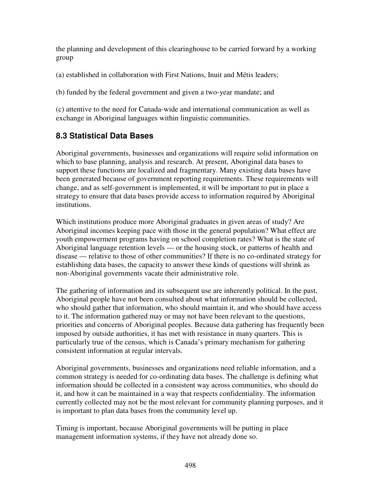the planning and development of this clearinghouse to be carried forward by a working group

(a) established in collaboration with First Nations, Inuit and Métis leaders;

(b) funded by the federal government and given a two-year mandate; and

(c) attentive to the need for Canada-wide and international communication as well as exchange in Aboriginal languages within linguistic communities.

# **8.3 Statistical Data Bases**

Aboriginal governments, businesses and organizations will require solid information on which to base planning, analysis and research. At present, Aboriginal data bases to support these functions are localized and fragmentary. Many existing data bases have been generated because of government reporting requirements. These requirements will change, and as self-government is implemented, it will be important to put in place a strategy to ensure that data bases provide access to information required by Aboriginal institutions.

Which institutions produce more Aboriginal graduates in given areas of study? Are Aboriginal incomes keeping pace with those in the general population? What effect are youth empowerment programs having on school completion rates? What is the state of Aboriginal language retention levels — or the housing stock, or patterns of health and disease — relative to those of other communities? If there is no co-ordinated strategy for establishing data bases, the capacity to answer these kinds of questions will shrink as non-Aboriginal governments vacate their administrative role.

The gathering of information and its subsequent use are inherently political. In the past, Aboriginal people have not been consulted about what information should be collected, who should gather that information, who should maintain it, and who should have access to it. The information gathered may or may not have been relevant to the questions, priorities and concerns of Aboriginal peoples. Because data gathering has frequently been imposed by outside authorities, it has met with resistance in many quarters. This is particularly true of the census, which is Canada's primary mechanism for gathering consistent information at regular intervals.

Aboriginal governments, businesses and organizations need reliable information, and a common strategy is needed for co-ordinating data bases. The challenge is defining what information should be collected in a consistent way across communities, who should do it, and how it can be maintained in a way that respects confidentiality. The information currently collected may not be the most relevant for community planning purposes, and it is important to plan data bases from the community level up.

Timing is important, because Aboriginal governments will be putting in place management information systems, if they have not already done so.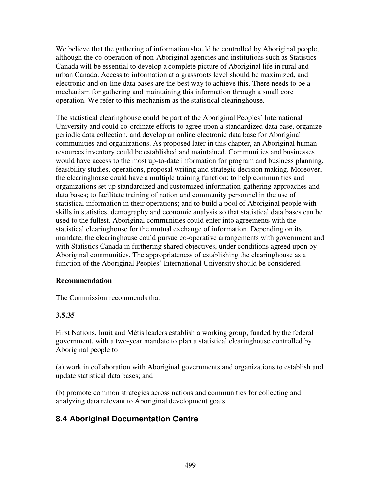We believe that the gathering of information should be controlled by Aboriginal people, although the co-operation of non-Aboriginal agencies and institutions such as Statistics Canada will be essential to develop a complete picture of Aboriginal life in rural and urban Canada. Access to information at a grassroots level should be maximized, and electronic and on-line data bases are the best way to achieve this. There needs to be a mechanism for gathering and maintaining this information through a small core operation. We refer to this mechanism as the statistical clearinghouse.

The statistical clearinghouse could be part of the Aboriginal Peoples' International University and could co-ordinate efforts to agree upon a standardized data base, organize periodic data collection, and develop an online electronic data base for Aboriginal communities and organizations. As proposed later in this chapter, an Aboriginal human resources inventory could be established and maintained. Communities and businesses would have access to the most up-to-date information for program and business planning, feasibility studies, operations, proposal writing and strategic decision making. Moreover, the clearinghouse could have a multiple training function: to help communities and organizations set up standardized and customized information-gathering approaches and data bases; to facilitate training of nation and community personnel in the use of statistical information in their operations; and to build a pool of Aboriginal people with skills in statistics, demography and economic analysis so that statistical data bases can be used to the fullest. Aboriginal communities could enter into agreements with the statistical clearinghouse for the mutual exchange of information. Depending on its mandate, the clearinghouse could pursue co-operative arrangements with government and with Statistics Canada in furthering shared objectives, under conditions agreed upon by Aboriginal communities. The appropriateness of establishing the clearinghouse as a function of the Aboriginal Peoples' International University should be considered.

#### **Recommendation**

The Commission recommends that

### **3.5.35**

First Nations, Inuit and Métis leaders establish a working group, funded by the federal government, with a two-year mandate to plan a statistical clearinghouse controlled by Aboriginal people to

(a) work in collaboration with Aboriginal governments and organizations to establish and update statistical data bases; and

(b) promote common strategies across nations and communities for collecting and analyzing data relevant to Aboriginal development goals.

## **8.4 Aboriginal Documentation Centre**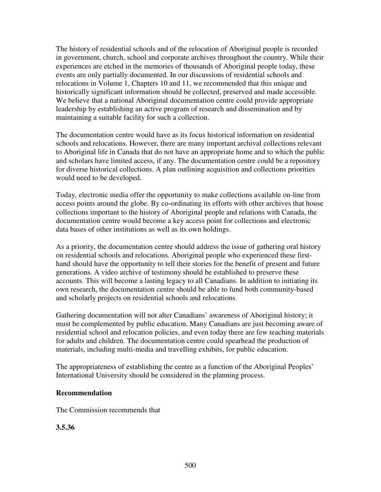The history of residential schools and of the relocation of Aboriginal people is recorded in government, church, school and corporate archives throughout the country. While their experiences are etched in the memories of thousands of Aboriginal people today, these events are only partially documented. In our discussions of residential schools and relocations in Volume 1, Chapters 10 and 11, we recommended that this unique and historically significant information should be collected, preserved and made accessible. We believe that a national Aboriginal documentation centre could provide appropriate leadership by establishing an active program of research and dissemination and by maintaining a suitable facility for such a collection.

The documentation centre would have as its focus historical information on residential schools and relocations. However, there are many important archival collections relevant to Aboriginal life in Canada that do not have an appropriate home and to which the public and scholars have limited access, if any. The documentation centre could be a repository for diverse historical collections. A plan outlining acquisition and collections priorities would need to be developed.

Today, electronic media offer the opportunity to make collections available on-line from access points around the globe. By co-ordinating its efforts with other archives that house collections important to the history of Aboriginal people and relations with Canada, the documentation centre would become a key access point for collections and electronic data bases of other institutions as well as its own holdings.

As a priority, the documentation centre should address the issue of gathering oral history on residential schools and relocations. Aboriginal people who experienced these firsthand should have the opportunity to tell their stories for the benefit of present and future generations. A video archive of testimony should be established to preserve these accounts. This will become a lasting legacy to all Canadians. In addition to initiating its own research, the documentation centre should be able to fund both community-based and scholarly projects on residential schools and relocations.

Gathering documentation will not alter Canadians' awareness of Aboriginal history; it must be complemented by public education. Many Canadians are just becoming aware of residential school and relocation policies, and even today there are few teaching materials for adults and children. The documentation centre could spearhead the production of materials, including multi-media and travelling exhibits, for public education.

The appropriateness of establishing the centre as a function of the Aboriginal Peoples' International University should be considered in the planning process.

### **Recommendation**

The Commission recommends that

### **3.5.36**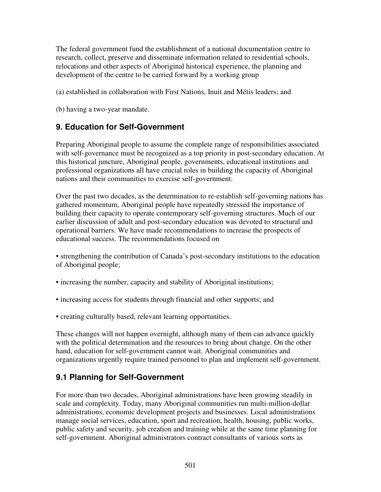The federal government fund the establishment of a national documentation centre to research, collect, preserve and disseminate information related to residential schools, relocations and other aspects of Aboriginal historical experience, the planning and development of the centre to be carried forward by a working group

(a) established in collaboration with First Nations, Inuit and Métis leaders; and

(b) having a two-year mandate.

## **9. Education for Self-Government**

Preparing Aboriginal people to assume the complete range of responsibilities associated with self-governance must be recognized as a top priority in post-secondary education. At this historical juncture, Aboriginal people, governments, educational institutions and professional organizations all have crucial roles in building the capacity of Aboriginal nations and their communities to exercise self-government.

Over the past two decades, as the determination to re-establish self-governing nations has gathered momentum, Aboriginal people have repeatedly stressed the importance of building their capacity to operate contemporary self-governing structures. Much of our earlier discussion of adult and post-secondary education was devoted to structural and operational barriers. We have made recommendations to increase the prospects of educational success. The recommendations focused on

• strengthening the contribution of Canada's post-secondary institutions to the education of Aboriginal people;

- increasing the number, capacity and stability of Aboriginal institutions;
- increasing access for students through financial and other supports; and
- creating culturally based, relevant learning opportunities.

These changes will not happen overnight, although many of them can advance quickly with the political determination and the resources to bring about change. On the other hand, education for self-government cannot wait. Aboriginal communities and organizations urgently require trained personnel to plan and implement self-government.

# **9.1 Planning for Self-Government**

For more than two decades, Aboriginal administrations have been growing steadily in scale and complexity. Today, many Aboriginal communities run multi-million-dollar administrations, economic development projects and businesses. Local administrations manage social services, education, sport and recreation, health, housing, public works, public safety and security, job creation and training while at the same time planning for self-government. Aboriginal administrators contract consultants of various sorts as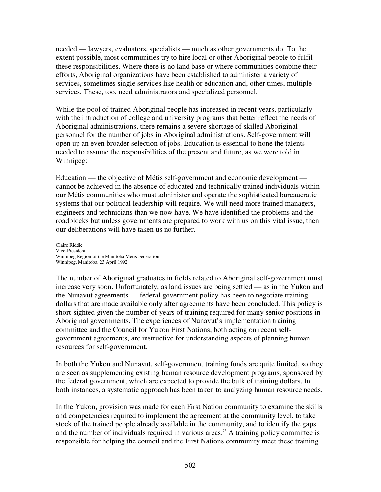needed — lawyers, evaluators, specialists — much as other governments do. To the extent possible, most communities try to hire local or other Aboriginal people to fulfil these responsibilities. Where there is no land base or where communities combine their efforts, Aboriginal organizations have been established to administer a variety of services, sometimes single services like health or education and, other times, multiple services. These, too, need administrators and specialized personnel.

While the pool of trained Aboriginal people has increased in recent years, particularly with the introduction of college and university programs that better reflect the needs of Aboriginal administrations, there remains a severe shortage of skilled Aboriginal personnel for the number of jobs in Aboriginal administrations. Self-government will open up an even broader selection of jobs. Education is essential to hone the talents needed to assume the responsibilities of the present and future, as we were told in Winnipeg:

Education — the objective of Métis self-government and economic development cannot be achieved in the absence of educated and technically trained individuals within our Métis communities who must administer and operate the sophisticated bureaucratic systems that our political leadership will require. We will need more trained managers, engineers and technicians than we now have. We have identified the problems and the roadblocks but unless governments are prepared to work with us on this vital issue, then our deliberations will have taken us no further.

Claire Riddle Vice-President Winnipeg Region of the Manitoba Metis Federation Winnipeg, Manitoba, 23 April 1992

The number of Aboriginal graduates in fields related to Aboriginal self-government must increase very soon. Unfortunately, as land issues are being settled — as in the Yukon and the Nunavut agreements — federal government policy has been to negotiate training dollars that are made available only after agreements have been concluded. This policy is short-sighted given the number of years of training required for many senior positions in Aboriginal governments. The experiences of Nunavut's implementation training committee and the Council for Yukon First Nations, both acting on recent selfgovernment agreements, are instructive for understanding aspects of planning human resources for self-government.

In both the Yukon and Nunavut, self-government training funds are quite limited, so they are seen as supplementing existing human resource development programs, sponsored by the federal government, which are expected to provide the bulk of training dollars. In both instances, a systematic approach has been taken to analyzing human resource needs.

In the Yukon, provision was made for each First Nation community to examine the skills and competencies required to implement the agreement at the community level, to take stock of the trained people already available in the community, and to identify the gaps and the number of individuals required in various areas. <sup>73</sup> A training policy committee is responsible for helping the council and the First Nations community meet these training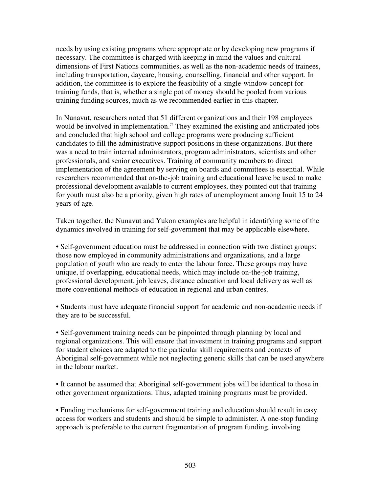needs by using existing programs where appropriate or by developing new programs if necessary. The committee is charged with keeping in mind the values and cultural dimensions of First Nations communities, as well as the non-academic needs of trainees, including transportation, daycare, housing, counselling, financial and other support. In addition, the committee is to explore the feasibility of a single-window concept for training funds, that is, whether a single pot of money should be pooled from various training funding sources, much as we recommended earlier in this chapter.

In Nunavut, researchers noted that 51 different organizations and their 198 employees would be involved in implementation.<sup>74</sup> They examined the existing and anticipated jobs and concluded that high school and college programs were producing sufficient candidates to fill the administrative support positions in these organizations. But there was a need to train internal administrators, program administrators, scientists and other professionals, and senior executives. Training of community members to direct implementation of the agreement by serving on boards and committees is essential. While researchers recommended that on-the-job training and educational leave be used to make professional development available to current employees, they pointed out that training for youth must also be a priority, given high rates of unemployment among Inuit 15 to 24 years of age.

Taken together, the Nunavut and Yukon examples are helpful in identifying some of the dynamics involved in training for self-government that may be applicable elsewhere.

• Self-government education must be addressed in connection with two distinct groups: those now employed in community administrations and organizations, and a large population of youth who are ready to enter the labour force. These groups may have unique, if overlapping, educational needs, which may include on-the-job training, professional development, job leaves, distance education and local delivery as well as more conventional methods of education in regional and urban centres.

• Students must have adequate financial support for academic and non-academic needs if they are to be successful.

• Self-government training needs can be pinpointed through planning by local and regional organizations. This will ensure that investment in training programs and support for student choices are adapted to the particular skill requirements and contexts of Aboriginal self-government while not neglecting generic skills that can be used anywhere in the labour market.

• It cannot be assumed that Aboriginal self-government jobs will be identical to those in other government organizations. Thus, adapted training programs must be provided.

• Funding mechanisms for self-government training and education should result in easy access for workers and students and should be simple to administer. A one-stop funding approach is preferable to the current fragmentation of program funding, involving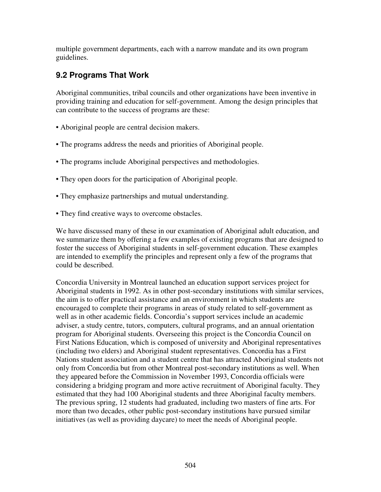multiple government departments, each with a narrow mandate and its own program guidelines.

## **9.2 Programs That Work**

Aboriginal communities, tribal councils and other organizations have been inventive in providing training and education for self-government. Among the design principles that can contribute to the success of programs are these:

- Aboriginal people are central decision makers.
- The programs address the needs and priorities of Aboriginal people.
- The programs include Aboriginal perspectives and methodologies.
- They open doors for the participation of Aboriginal people.
- They emphasize partnerships and mutual understanding.
- They find creative ways to overcome obstacles.

We have discussed many of these in our examination of Aboriginal adult education, and we summarize them by offering a few examples of existing programs that are designed to foster the success of Aboriginal students in self-government education. These examples are intended to exemplify the principles and represent only a few of the programs that could be described.

Concordia University in Montreal launched an education support services project for Aboriginal students in 1992. As in other post-secondary institutions with similar services, the aim is to offer practical assistance and an environment in which students are encouraged to complete their programs in areas of study related to self-government as well as in other academic fields. Concordia's support services include an academic adviser, a study centre, tutors, computers, cultural programs, and an annual orientation program for Aboriginal students. Overseeing this project is the Concordia Council on First Nations Education, which is composed of university and Aboriginal representatives (including two elders) and Aboriginal student representatives. Concordia has a First Nations student association and a student centre that has attracted Aboriginal students not only from Concordia but from other Montreal post-secondary institutions as well. When they appeared before the Commission in November 1993, Concordia officials were considering a bridging program and more active recruitment of Aboriginal faculty. They estimated that they had 100 Aboriginal students and three Aboriginal faculty members. The previous spring, 12 students had graduated, including two masters of fine arts. For more than two decades, other public post-secondary institutions have pursued similar initiatives (as well as providing daycare) to meet the needs of Aboriginal people.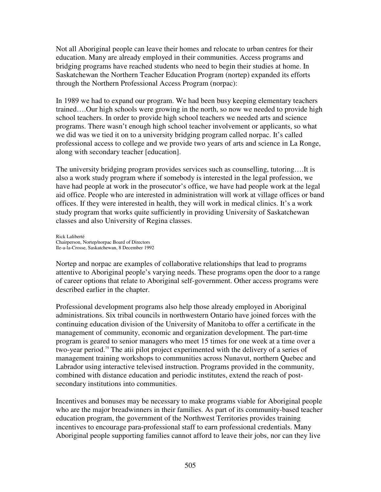Not all Aboriginal people can leave their homes and relocate to urban centres for their education. Many are already employed in their communities. Access programs and bridging programs have reached students who need to begin their studies at home. In Saskatchewan the Northern Teacher Education Program (nortep) expanded its efforts through the Northern Professional Access Program (norpac):

In 1989 we had to expand our program. We had been busy keeping elementary teachers trained….Our high schools were growing in the north, so now we needed to provide high school teachers. In order to provide high school teachers we needed arts and science programs. There wasn't enough high school teacher involvement or applicants, so what we did was we tied it on to a university bridging program called norpac. It's called professional access to college and we provide two years of arts and science in La Ronge, along with secondary teacher [education].

The university bridging program provides services such as counselling, tutoring….It is also a work study program where if somebody is interested in the legal profession, we have had people at work in the prosecutor's office, we have had people work at the legal aid office. People who are interested in administration will work at village offices or band offices. If they were interested in health, they will work in medical clinics. It's a work study program that works quite sufficiently in providing University of Saskatchewan classes and also University of Regina classes.

Rick Laliberté Chairperson, Nortep/norpac Board of Directors Ile-a-la-Crosse, Saskatchewan, 8 December 1992

Nortep and norpac are examples of collaborative relationships that lead to programs attentive to Aboriginal people's varying needs. These programs open the door to a range of career options that relate to Aboriginal self-government. Other access programs were described earlier in the chapter.

Professional development programs also help those already employed in Aboriginal administrations. Six tribal councils in northwestern Ontario have joined forces with the continuing education division of the University of Manitoba to offer a certificate in the management of community, economic and organization development. The part-time program is geared to senior managers who meet 15 times for one week at a time over a two-year period. <sup>75</sup> The atii pilot project experimented with the delivery of a series of management training workshops to communities across Nunavut, northern Quebec and Labrador using interactive televised instruction. Programs provided in the community, combined with distance education and periodic institutes, extend the reach of postsecondary institutions into communities.

Incentives and bonuses may be necessary to make programs viable for Aboriginal people who are the major breadwinners in their families. As part of its community-based teacher education program, the government of the Northwest Territories provides training incentives to encourage para-professional staff to earn professional credentials. Many Aboriginal people supporting families cannot afford to leave their jobs, nor can they live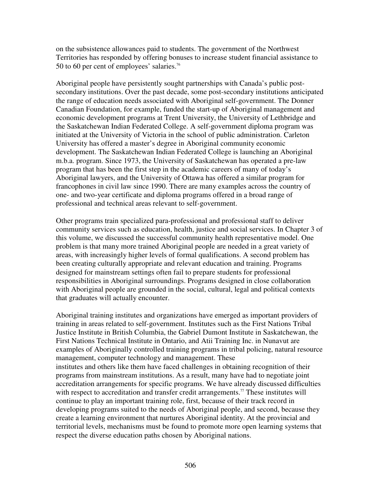on the subsistence allowances paid to students. The government of the Northwest Territories has responded by offering bonuses to increase student financial assistance to 50 to 60 per cent of employees' salaries.<sup>76</sup>

Aboriginal people have persistently sought partnerships with Canada's public postsecondary institutions. Over the past decade, some post-secondary institutions anticipated the range of education needs associated with Aboriginal self-government. The Donner Canadian Foundation, for example, funded the start-up of Aboriginal management and economic development programs at Trent University, the University of Lethbridge and the Saskatchewan Indian Federated College. A self-government diploma program was initiated at the University of Victoria in the school of public administration. Carleton University has offered a master's degree in Aboriginal community economic development. The Saskatchewan Indian Federated College is launching an Aboriginal m.b.a. program. Since 1973, the University of Saskatchewan has operated a pre-law program that has been the first step in the academic careers of many of today's Aboriginal lawyers, and the University of Ottawa has offered a similar program for francophones in civil law since 1990. There are many examples across the country of one- and two-year certificate and diploma programs offered in a broad range of professional and technical areas relevant to self-government.

Other programs train specialized para-professional and professional staff to deliver community services such as education, health, justice and social services. In Chapter 3 of this volume, we discussed the successful community health representative model. One problem is that many more trained Aboriginal people are needed in a great variety of areas, with increasingly higher levels of formal qualifications. A second problem has been creating culturally appropriate and relevant education and training. Programs designed for mainstream settings often fail to prepare students for professional responsibilities in Aboriginal surroundings. Programs designed in close collaboration with Aboriginal people are grounded in the social, cultural, legal and political contexts that graduates will actually encounter.

Aboriginal training institutes and organizations have emerged as important providers of training in areas related to self-government. Institutes such as the First Nations Tribal Justice Institute in British Columbia, the Gabriel Dumont Institute in Saskatchewan, the First Nations Technical Institute in Ontario, and Atii Training Inc. in Nunavut are examples of Aboriginally controlled training programs in tribal policing, natural resource management, computer technology and management. These institutes and others like them have faced challenges in obtaining recognition of their programs from mainstream institutions. As a result, many have had to negotiate joint accreditation arrangements for specific programs. We have already discussed difficulties with respect to accreditation and transfer credit arrangements.<sup>77</sup> These institutes will continue to play an important training role, first, because of their track record in developing programs suited to the needs of Aboriginal people, and second, because they create a learning environment that nurtures Aboriginal identity. At the provincial and territorial levels, mechanisms must be found to promote more open learning systems that respect the diverse education paths chosen by Aboriginal nations.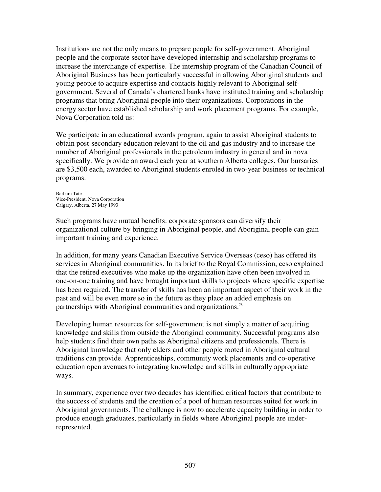Institutions are not the only means to prepare people for self-government. Aboriginal people and the corporate sector have developed internship and scholarship programs to increase the interchange of expertise. The internship program of the Canadian Council of Aboriginal Business has been particularly successful in allowing Aboriginal students and young people to acquire expertise and contacts highly relevant to Aboriginal selfgovernment. Several of Canada's chartered banks have instituted training and scholarship programs that bring Aboriginal people into their organizations. Corporations in the energy sector have established scholarship and work placement programs. For example, Nova Corporation told us:

We participate in an educational awards program, again to assist Aboriginal students to obtain post-secondary education relevant to the oil and gas industry and to increase the number of Aboriginal professionals in the petroleum industry in general and in nova specifically. We provide an award each year at southern Alberta colleges. Our bursaries are \$3,500 each, awarded to Aboriginal students enroled in two-year business or technical programs.

Barbara Tate Vice-President, Nova Corporation Calgary, Alberta, 27 May 1993

Such programs have mutual benefits: corporate sponsors can diversify their organizational culture by bringing in Aboriginal people, and Aboriginal people can gain important training and experience.

In addition, for many years Canadian Executive Service Overseas (ceso) has offered its services in Aboriginal communities. In its brief to the Royal Commission, ceso explained that the retired executives who make up the organization have often been involved in one-on-one training and have brought important skills to projects where specific expertise has been required. The transfer of skills has been an important aspect of their work in the past and will be even more so in the future as they place an added emphasis on partnerships with Aboriginal communities and organizations.<sup>78</sup>

Developing human resources for self-government is not simply a matter of acquiring knowledge and skills from outside the Aboriginal community. Successful programs also help students find their own paths as Aboriginal citizens and professionals. There is Aboriginal knowledge that only elders and other people rooted in Aboriginal cultural traditions can provide. Apprenticeships, community work placements and co-operative education open avenues to integrating knowledge and skills in culturally appropriate ways.

In summary, experience over two decades has identified critical factors that contribute to the success of students and the creation of a pool of human resources suited for work in Aboriginal governments. The challenge is now to accelerate capacity building in order to produce enough graduates, particularly in fields where Aboriginal people are underrepresented.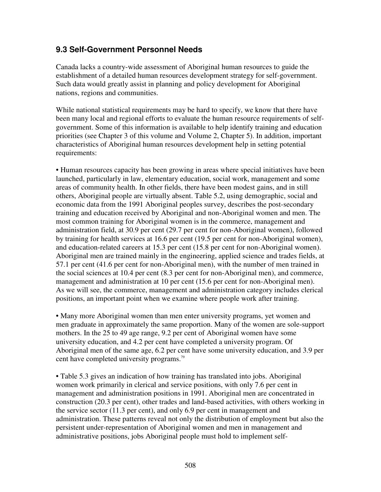## **9.3 Self-Government Personnel Needs**

Canada lacks a country-wide assessment of Aboriginal human resources to guide the establishment of a detailed human resources development strategy for self-government. Such data would greatly assist in planning and policy development for Aboriginal nations, regions and communities.

While national statistical requirements may be hard to specify, we know that there have been many local and regional efforts to evaluate the human resource requirements of selfgovernment. Some of this information is available to help identify training and education priorities (see Chapter 3 of this volume and Volume 2, Chapter 5). In addition, important characteristics of Aboriginal human resources development help in setting potential requirements:

• Human resources capacity has been growing in areas where special initiatives have been launched, particularly in law, elementary education, social work, management and some areas of community health. In other fields, there have been modest gains, and in still others, Aboriginal people are virtually absent. Table 5.2, using demographic, social and economic data from the 1991 Aboriginal peoples survey, describes the post-secondary training and education received by Aboriginal and non-Aboriginal women and men. The most common training for Aboriginal women is in the commerce, management and administration field, at 30.9 per cent (29.7 per cent for non-Aboriginal women), followed by training for health services at 16.6 per cent (19.5 per cent for non-Aboriginal women), and education-related careers at 15.3 per cent (15.8 per cent for non-Aboriginal women). Aboriginal men are trained mainly in the engineering, applied science and trades fields, at 57.1 per cent (41.6 per cent for non-Aboriginal men), with the number of men trained in the social sciences at 10.4 per cent (8.3 per cent for non-Aboriginal men), and commerce, management and administration at 10 per cent (15.6 per cent for non-Aboriginal men). As we will see, the commerce, management and administration category includes clerical positions, an important point when we examine where people work after training.

• Many more Aboriginal women than men enter university programs, yet women and men graduate in approximately the same proportion. Many of the women are sole-support mothers. In the 25 to 49 age range, 9.2 per cent of Aboriginal women have some university education, and 4.2 per cent have completed a university program. Of Aboriginal men of the same age, 6.2 per cent have some university education, and 3.9 per cent have completed university programs. 79

• Table 5.3 gives an indication of how training has translated into jobs. Aboriginal women work primarily in clerical and service positions, with only 7.6 per cent in management and administration positions in 1991. Aboriginal men are concentrated in construction (20.3 per cent), other trades and land-based activities, with others working in the service sector (11.3 per cent), and only 6.9 per cent in management and administration. These patterns reveal not only the distribution of employment but also the persistent under-representation of Aboriginal women and men in management and administrative positions, jobs Aboriginal people must hold to implement self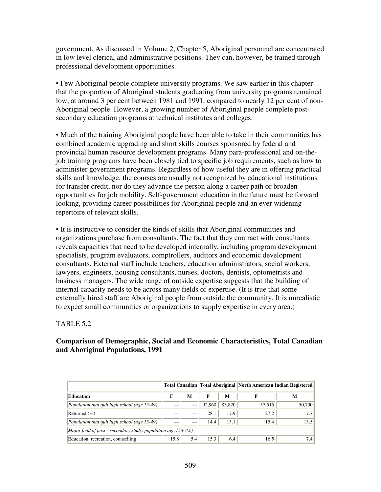government. As discussed in Volume 2, Chapter 5, Aboriginal personnel are concentrated in low level clerical and administrative positions. They can, however, be trained through professional development opportunities.

• Few Aboriginal people complete university programs. We saw earlier in this chapter that the proportion of Aboriginal students graduating from university programs remained low, at around 3 per cent between 1981 and 1991, compared to nearly 12 per cent of non-Aboriginal people. However, a growing number of Aboriginal people complete postsecondary education programs at technical institutes and colleges.

• Much of the training Aboriginal people have been able to take in their communities has combined academic upgrading and short skills courses sponsored by federal and provincial human resource development programs. Many para-professional and on-thejob training programs have been closely tied to specific job requirements, such as how to administer government programs. Regardless of how useful they are in offering practical skills and knowledge, the courses are usually not recognized by educational institutions for transfer credit, nor do they advance the person along a career path or broaden opportunities for job mobility. Self-government education in the future must be forward looking, providing career possibilities for Aboriginal people and an ever widening repertoire of relevant skills.

• It is instructive to consider the kinds of skills that Aboriginal communities and organizations purchase from consultants. The fact that they contract with consultants reveals capacities that need to be developed internally, including program development specialists, program evaluators, comptrollers, auditors and economic development consultants. External staff include teachers, education administrators, social workers, lawyers, engineers, housing consultants, nurses, doctors, dentists, optometrists and business managers. The wide range of outside expertise suggests that the building of internal capacity needs to be across many fields of expertise. (It is true that some externally hired staff are Aboriginal people from outside the community. It is unrealistic to expect small communities or organizations to supply expertise in every area.)

### TABLE 5.2

### **Comparison of Demographic, Social and Economic Characteristics, Total Canadian and Aboriginal Populations, 1991**

|                                                                 |      |     |        |        | Total Canadian Total Aboriginal North American Indian Registered |        |  |  |  |
|-----------------------------------------------------------------|------|-----|--------|--------|------------------------------------------------------------------|--------|--|--|--|
| Education                                                       | F    | М   |        | М      |                                                                  | М      |  |  |  |
| Population that quit high school (age $15-49$ )                 |      |     | 92,960 | 83,820 | 57,515                                                           | 50,700 |  |  |  |
| Returned $(\% )$                                                |      |     | 28.1   | 17.9   | 27.2                                                             | 17.7   |  |  |  |
| Population that quit high school (age $15-49$ )                 |      |     | 14.4   | 13.1   | 15.4                                                             | 13.5   |  |  |  |
| Major field of post—secondary study, population age $15 + (\%)$ |      |     |        |        |                                                                  |        |  |  |  |
| Education, recreation, counselling                              | 15.8 | 5.4 | 15.3   | 6.4    | 16.5                                                             | 7.4    |  |  |  |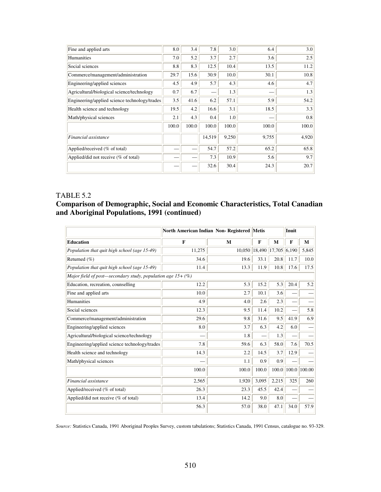| Fine and applied arts                         | 8.0   | 3.4   | 7.8    | 3.0   | 6.4   | 3.0   |
|-----------------------------------------------|-------|-------|--------|-------|-------|-------|
| <b>Humanities</b>                             | 7.0   | 5.2   | 3.7    | 2.7   | 3.6   | 2.5   |
| Social sciences                               | 8.8   | 8.3   | 12.5   | 10.4  | 13.5  | 11.2  |
| Commerce/management/administration            | 29.7  | 15.6  | 30.9   | 10.0  | 30.1  | 10.8  |
| Engineering/applied sciences                  | 4.5   | 4.9   | 5.7    | 4.3   | 4.6   | 4.7   |
| Agricultural/biological science/technology    | 0.7   | 6.7   |        | 1.3   |       | 1.3   |
| Engineering/applied science technology/trades | 3.5   | 41.6  | 6.2    | 57.1  | 5.9   | 54.2  |
| Health science and technology                 | 19.5  | 4.2   | 16.6   | 3.1   | 18.5  | 3.3   |
| Math/physical sciences                        | 2.1   | 4.3   | 0.4    | 1.0   |       | 0.8   |
|                                               | 100.0 | 100.0 | 100.0  | 100.0 | 100.0 | 100.0 |
| Financial assistance                          |       |       | 14,519 | 9,250 | 9,755 | 4,920 |
| Applied/received (% of total)                 |       |       | 54.7   | 57.2  | 65.2  | 65.8  |
| Applied/did not receive (% of total)          |       |       | 7.3    | 10.9  | 5.6   | 9.7   |
|                                               |       |       | 32.6   | 30.4  | 24.3  | 20.7  |

### TABLE 5.2

**Comparison of Demographic, Social and Economic Characteristics, Total Canadian and Aboriginal Populations, 1991 (continued)**

|                                                               | North American Indian Non-Registered Metis |       |               | Inuit        |       |        |  |  |  |
|---------------------------------------------------------------|--------------------------------------------|-------|---------------|--------------|-------|--------|--|--|--|
| <b>Education</b>                                              | $\mathbf{F}$                               | M     | F             | M            | F     | M      |  |  |  |
| Population that quit high school (age 15-49)                  | 11,275                                     |       | 10,050 18,490 | 17,705 6,190 |       | 5.845  |  |  |  |
| Returned (%)                                                  | 34.6                                       | 19.6  | 33.1          | 20.8         | 11.7  | 10.0   |  |  |  |
| Population that quit high school (age 15-49)                  | 11.4                                       | 13.3  | 11.9          | 10.8         | 17.6  | 17.5   |  |  |  |
| Major field of post—secondary study, population age $15+$ (%) |                                            |       |               |              |       |        |  |  |  |
| Education, recreation, counselling                            | 12.2                                       | 5.3   | 15.2          | 5.3          | 20.4  | 5.2    |  |  |  |
| Fine and applied arts                                         | 10.0                                       | 2.7   | 10.1          | 3.6          |       |        |  |  |  |
| <b>Humanities</b>                                             | 4.9                                        | 4.0   | 2.6           | 2.3          |       |        |  |  |  |
| Social sciences                                               | 12.3                                       | 9.5   | 11.4          | 10.2         |       | 5.8    |  |  |  |
| Commerce/management/administration                            | 29.6                                       | 9.8   | 31.6          | 9.5          | 41.9  | 6.9    |  |  |  |
| Engineering/applied sciences                                  | 8.0                                        | 3.7   | 6.3           | 4.2          | 6.0   |        |  |  |  |
| Agricultural/biological science/technology                    |                                            | 1.8   |               | 1.3          |       |        |  |  |  |
| Engineering/applied science technology/trades                 | 7.8                                        | 59.6  | 6.3           | 58.0         | 7.6   | 70.5   |  |  |  |
| Health science and technology                                 | 14.3                                       | 2.2   | 14.5          | 3.7          | 12.9  |        |  |  |  |
| Math/physical sciences                                        |                                            | 1.1   | 0.9           | 0.9          |       |        |  |  |  |
|                                                               | 100.0                                      | 100.0 | 100.0         | 100.0        | 100.0 | 100.00 |  |  |  |
| Financial assistance                                          | 2,565                                      | 1,920 | 3,095         | 2,215        | 325   | 260    |  |  |  |
| Applied/received (% of total)                                 | 26.3                                       | 23.3  | 45.5          | 42.4         |       |        |  |  |  |
| Applied/did not receive (% of total)                          | 13.4                                       | 14.2  | 9.0           | 8.0          |       |        |  |  |  |
|                                                               | 56.3                                       | 57.0  | 38.0          | 47.1         | 34.0  | 57.9   |  |  |  |

*Source:* Statistics Canada, 1991 Aboriginal Peoples Survey, custom tabulations; Statistics Canada, 1991 Census, catalogue no. 93-329.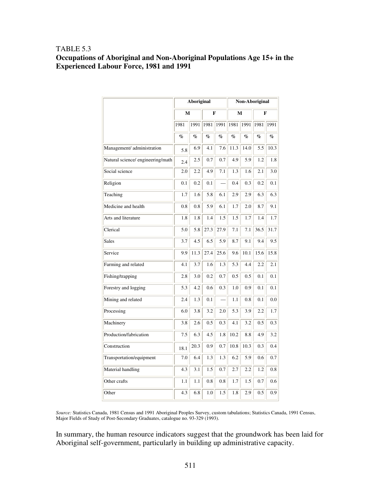#### TABLE 5.3

### **Occupations of Aboriginal and Non-Aboriginal Populations Age 15+ in the Experienced Labour Force, 1981 and 1991**

|                                   | <b>Aboriginal</b> | Non-Aboriginal |      |      |      |      |      |      |
|-----------------------------------|-------------------|----------------|------|------|------|------|------|------|
|                                   | M                 |                | F    |      | M    |      | F    |      |
|                                   | 1981              | 1991           | 1981 | 1991 | 1981 | 1991 | 1981 | 1991 |
|                                   | $\%$              | $\%$           | $\%$ | $\%$ | $\%$ | $\%$ | $\%$ | $\%$ |
| Management/ administration        | 5.8               | 6.9            | 4.1  | 7.6  | 11.3 | 14.0 | 5.5  | 10.3 |
| Natural science/ engineering/math | 2.4               | 2.5            | 0.7  | 0.7  | 4.9  | 5.9  | 1.2  | 1.8  |
| Social science                    | 2.0               | 2.2            | 4.9  | 7.1  | 1.3  | 1.6  | 2.1  | 3.0  |
| Religion                          | 0.1               | 0.2            | 0.1  |      | 0.4  | 0.3  | 0.2  | 0.1  |
| Teaching                          | 1.7               | 1.6            | 5.8  | 6.1  | 2.9  | 2.9  | 6.3  | 6.3  |
| Medicine and health               | 0.8               | 0.8            | 5.9  | 6.1  | 1.7  | 2.0  | 8.7  | 9.1  |
| Arts and literature               | 1.8               | 1.8            | 1.4  | 1.5  | 1.5  | 1.7  | 1.4  | 1.7  |
| Clerical                          | 5.0               | 5.8            | 27.3 | 27.9 | 7.1  | 7.1  | 36.5 | 31.7 |
| <b>Sales</b>                      | 3.7               | 4.5            | 6.5  | 5.9  | 8.7  | 9.1  | 9.4  | 9.5  |
| Service                           | 9.9               | 11.3           | 27.4 | 25.6 | 9.6  | 10.1 | 15.6 | 15.8 |
| Farming and related               | 4.1               | 3.7            | 1.6  | 1.3  | 5.3  | 4.4  | 2.2  | 2.1  |
| Fishing/trapping                  | 2.8               | 3.0            | 0.2  | 0.7  | 0.5  | 0.5  | 0.1  | 0.1  |
| Forestry and logging              | 5.3               | 4.2            | 0.6  | 0.3  | 1.0  | 0.9  | 0.1  | 0.1  |
| Mining and related                | 2.4               | 1.3            | 0.1  |      | 1.1  | 0.8  | 0.1  | 0.0  |
| Processing                        | 6.0               | 3.8            | 3.2  | 2.0  | 5.3  | 3.9  | 2.2  | 1.7  |
| Machinery                         | 3.8               | 2.6            | 0.5  | 0.3  | 4.1  | 3.2  | 0.5  | 0.3  |
| Production/fabrication            | 7.5               | 6.3            | 4.5  | 1.8  | 10.2 | 8.8  | 4.9  | 3.2  |
| Construction                      | 18.1              | 20.3           | 0.9  | 0.7  | 10.8 | 10.3 | 0.3  | 0.4  |
| Transportation/equipment          | 7.0               | 6.4            | 1.3  | 1.3  | 6.2  | 5.9  | 0.6  | 0.7  |
| Material handling                 | 4.3               | 3.1            | 1.5  | 0.7  | 2.7  | 2.2  | 1.2  | 0.8  |
| Other crafts                      | 1.1               | 1.1            | 0.8  | 0.8  | 1.7  | 1.5  | 0.7  | 0.6  |
| Other                             | 4.3               | 6.8            | 1.0  | 1.5  | 1.8  | 2.9  | 0.5  | 0.9  |

*Source:* Statistics Canada, 1981 Census and 1991 Aboriginal Peoples Survey, custom tabulations; Statistics Canada, 1991 Census, Major Fields of Study of Post-Secondary Graduates, catalogue no. 93-329 (1993).

In summary, the human resource indicators suggest that the groundwork has been laid for Aboriginal self-government, particularly in building up administrative capacity.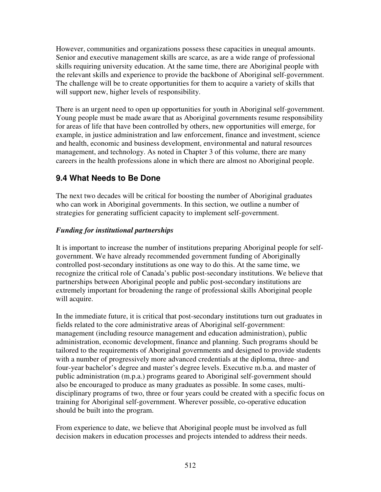However, communities and organizations possess these capacities in unequal amounts. Senior and executive management skills are scarce, as are a wide range of professional skills requiring university education. At the same time, there are Aboriginal people with the relevant skills and experience to provide the backbone of Aboriginal self-government. The challenge will be to create opportunities for them to acquire a variety of skills that will support new, higher levels of responsibility.

There is an urgent need to open up opportunities for youth in Aboriginal self-government. Young people must be made aware that as Aboriginal governments resume responsibility for areas of life that have been controlled by others, new opportunities will emerge, for example, in justice administration and law enforcement, finance and investment, science and health, economic and business development, environmental and natural resources management, and technology. As noted in Chapter 3 of this volume, there are many careers in the health professions alone in which there are almost no Aboriginal people.

# **9.4 What Needs to Be Done**

The next two decades will be critical for boosting the number of Aboriginal graduates who can work in Aboriginal governments. In this section, we outline a number of strategies for generating sufficient capacity to implement self-government.

## *Funding for institutional partnerships*

It is important to increase the number of institutions preparing Aboriginal people for selfgovernment. We have already recommended government funding of Aboriginally controlled post-secondary institutions as one way to do this. At the same time, we recognize the critical role of Canada's public post-secondary institutions. We believe that partnerships between Aboriginal people and public post-secondary institutions are extremely important for broadening the range of professional skills Aboriginal people will acquire.

In the immediate future, it is critical that post-secondary institutions turn out graduates in fields related to the core administrative areas of Aboriginal self-government: management (including resource management and education administration), public administration, economic development, finance and planning. Such programs should be tailored to the requirements of Aboriginal governments and designed to provide students with a number of progressively more advanced credentials at the diploma, three- and four-year bachelor's degree and master's degree levels. Executive m.b.a. and master of public administration (m.p.a.) programs geared to Aboriginal self-government should also be encouraged to produce as many graduates as possible. In some cases, multidisciplinary programs of two, three or four years could be created with a specific focus on training for Aboriginal self-government. Wherever possible, co-operative education should be built into the program.

From experience to date, we believe that Aboriginal people must be involved as full decision makers in education processes and projects intended to address their needs.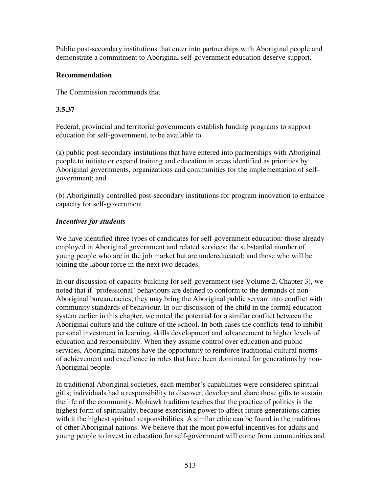Public post-secondary institutions that enter into partnerships with Aboriginal people and demonstrate a commitment to Aboriginal self-government education deserve support.

## **Recommendation**

The Commission recommends that

# **3.5.37**

Federal, provincial and territorial governments establish funding programs to support education for self-government, to be available to

(a) public post-secondary institutions that have entered into partnerships with Aboriginal people to initiate or expand training and education in areas identified as priorities by Aboriginal governments, organizations and communities for the implementation of selfgovernment; and

(b) Aboriginally controlled post-secondary institutions for program innovation to enhance capacity for self-government.

## *Incentives for students*

We have identified three types of candidates for self-government education: those already employed in Aboriginal government and related services; the substantial number of young people who are in the job market but are undereducated; and those who will be joining the labour force in the next two decades.

In our discussion of capacity building for self-government (see Volume 2, Chapter 3), we noted that if 'professional' behaviours are defined to conform to the demands of non-Aboriginal bureaucracies, they may bring the Aboriginal public servant into conflict with community standards of behaviour. In our discussion of the child in the formal education system earlier in this chapter, we noted the potential for a similar conflict between the Aboriginal culture and the culture of the school. In both cases the conflicts tend to inhibit personal investment in learning, skills development and advancement to higher levels of education and responsibility. When they assume control over education and public services, Aboriginal nations have the opportunity to reinforce traditional cultural norms of achievement and excellence in roles that have been dominated for generations by non-Aboriginal people.

In traditional Aboriginal societies, each member's capabilities were considered spiritual gifts; individuals had a responsibility to discover, develop and share those gifts to sustain the life of the community. Mohawk tradition teaches that the practice of politics is the highest form of spirituality, because exercising power to affect future generations carries with it the highest spiritual responsibilities. A similar ethic can be found in the traditions of other Aboriginal nations. We believe that the most powerful incentives for adults and young people to invest in education for self-government will come from communities and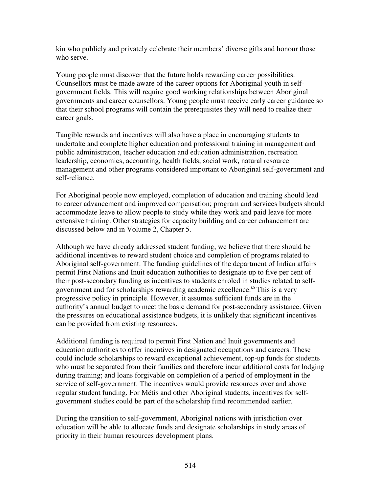kin who publicly and privately celebrate their members' diverse gifts and honour those who serve.

Young people must discover that the future holds rewarding career possibilities. Counsellors must be made aware of the career options for Aboriginal youth in selfgovernment fields. This will require good working relationships between Aboriginal governments and career counsellors. Young people must receive early career guidance so that their school programs will contain the prerequisites they will need to realize their career goals.

Tangible rewards and incentives will also have a place in encouraging students to undertake and complete higher education and professional training in management and public administration, teacher education and education administration, recreation leadership, economics, accounting, health fields, social work, natural resource management and other programs considered important to Aboriginal self-government and self-reliance.

For Aboriginal people now employed, completion of education and training should lead to career advancement and improved compensation; program and services budgets should accommodate leave to allow people to study while they work and paid leave for more extensive training. Other strategies for capacity building and career enhancement are discussed below and in Volume 2, Chapter 5.

Although we have already addressed student funding, we believe that there should be additional incentives to reward student choice and completion of programs related to Aboriginal self-government. The funding guidelines of the department of Indian affairs permit First Nations and Inuit education authorities to designate up to five per cent of their post-secondary funding as incentives to students enroled in studies related to selfgovernment and for scholarships rewarding academic excellence. <sup>80</sup> This is a very progressive policy in principle. However, it assumes sufficient funds are in the authority's annual budget to meet the basic demand for post-secondary assistance. Given the pressures on educational assistance budgets, it is unlikely that significant incentives can be provided from existing resources.

Additional funding is required to permit First Nation and Inuit governments and education authorities to offer incentives in designated occupations and careers. These could include scholarships to reward exceptional achievement, top-up funds for students who must be separated from their families and therefore incur additional costs for lodging during training; and loans forgivable on completion of a period of employment in the service of self-government. The incentives would provide resources over and above regular student funding. For Métis and other Aboriginal students, incentives for selfgovernment studies could be part of the scholarship fund recommended earlier.

During the transition to self-government, Aboriginal nations with jurisdiction over education will be able to allocate funds and designate scholarships in study areas of priority in their human resources development plans.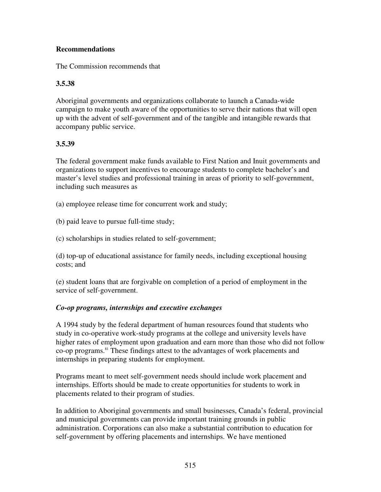#### **Recommendations**

The Commission recommends that

## **3.5.38**

Aboriginal governments and organizations collaborate to launch a Canada-wide campaign to make youth aware of the opportunities to serve their nations that will open up with the advent of self-government and of the tangible and intangible rewards that accompany public service.

## **3.5.39**

The federal government make funds available to First Nation and Inuit governments and organizations to support incentives to encourage students to complete bachelor's and master's level studies and professional training in areas of priority to self-government, including such measures as

(a) employee release time for concurrent work and study;

(b) paid leave to pursue full-time study;

(c) scholarships in studies related to self-government;

(d) top-up of educational assistance for family needs, including exceptional housing costs; and

(e) student loans that are forgivable on completion of a period of employment in the service of self-government.

#### *Co-op programs, internships and executive exchanges*

A 1994 study by the federal department of human resources found that students who study in co-operative work-study programs at the college and university levels have higher rates of employment upon graduation and earn more than those who did not follow co-op programs. <sup>81</sup> These findings attest to the advantages of work placements and internships in preparing students for employment.

Programs meant to meet self-government needs should include work placement and internships. Efforts should be made to create opportunities for students to work in placements related to their program of studies.

In addition to Aboriginal governments and small businesses, Canada's federal, provincial and municipal governments can provide important training grounds in public administration. Corporations can also make a substantial contribution to education for self-government by offering placements and internships. We have mentioned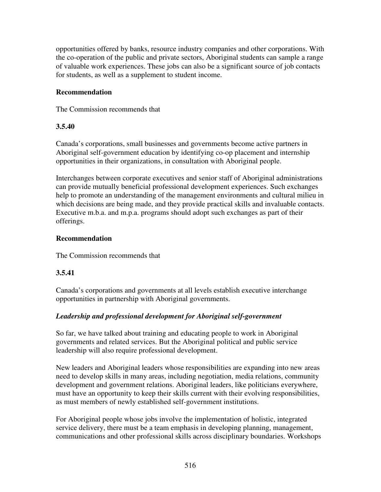opportunities offered by banks, resource industry companies and other corporations. With the co-operation of the public and private sectors, Aboriginal students can sample a range of valuable work experiences. These jobs can also be a significant source of job contacts for students, as well as a supplement to student income.

#### **Recommendation**

The Commission recommends that

#### **3.5.40**

Canada's corporations, small businesses and governments become active partners in Aboriginal self-government education by identifying co-op placement and internship opportunities in their organizations, in consultation with Aboriginal people.

Interchanges between corporate executives and senior staff of Aboriginal administrations can provide mutually beneficial professional development experiences. Such exchanges help to promote an understanding of the management environments and cultural milieu in which decisions are being made, and they provide practical skills and invaluable contacts. Executive m.b.a. and m.p.a. programs should adopt such exchanges as part of their offerings.

#### **Recommendation**

The Commission recommends that

## **3.5.41**

Canada's corporations and governments at all levels establish executive interchange opportunities in partnership with Aboriginal governments.

## *Leadership and professional development for Aboriginal self-government*

So far, we have talked about training and educating people to work in Aboriginal governments and related services. But the Aboriginal political and public service leadership will also require professional development.

New leaders and Aboriginal leaders whose responsibilities are expanding into new areas need to develop skills in many areas, including negotiation, media relations, community development and government relations. Aboriginal leaders, like politicians everywhere, must have an opportunity to keep their skills current with their evolving responsibilities, as must members of newly established self-government institutions.

For Aboriginal people whose jobs involve the implementation of holistic, integrated service delivery, there must be a team emphasis in developing planning, management, communications and other professional skills across disciplinary boundaries. Workshops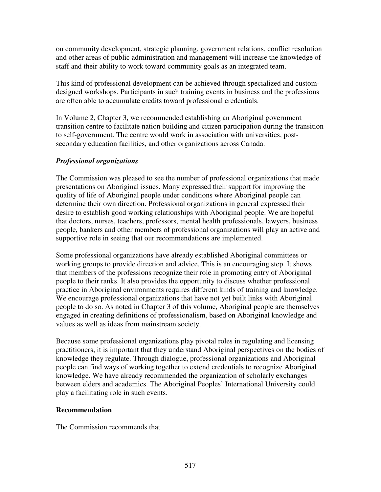on community development, strategic planning, government relations, conflict resolution and other areas of public administration and management will increase the knowledge of staff and their ability to work toward community goals as an integrated team.

This kind of professional development can be achieved through specialized and customdesigned workshops. Participants in such training events in business and the professions are often able to accumulate credits toward professional credentials.

In Volume 2, Chapter 3, we recommended establishing an Aboriginal government transition centre to facilitate nation building and citizen participation during the transition to self-government. The centre would work in association with universities, postsecondary education facilities, and other organizations across Canada.

#### *Professional organizations*

The Commission was pleased to see the number of professional organizations that made presentations on Aboriginal issues. Many expressed their support for improving the quality of life of Aboriginal people under conditions where Aboriginal people can determine their own direction. Professional organizations in general expressed their desire to establish good working relationships with Aboriginal people. We are hopeful that doctors, nurses, teachers, professors, mental health professionals, lawyers, business people, bankers and other members of professional organizations will play an active and supportive role in seeing that our recommendations are implemented.

Some professional organizations have already established Aboriginal committees or working groups to provide direction and advice. This is an encouraging step. It shows that members of the professions recognize their role in promoting entry of Aboriginal people to their ranks. It also provides the opportunity to discuss whether professional practice in Aboriginal environments requires different kinds of training and knowledge. We encourage professional organizations that have not yet built links with Aboriginal people to do so. As noted in Chapter 3 of this volume, Aboriginal people are themselves engaged in creating definitions of professionalism, based on Aboriginal knowledge and values as well as ideas from mainstream society.

Because some professional organizations play pivotal roles in regulating and licensing practitioners, it is important that they understand Aboriginal perspectives on the bodies of knowledge they regulate. Through dialogue, professional organizations and Aboriginal people can find ways of working together to extend credentials to recognize Aboriginal knowledge. We have already recommended the organization of scholarly exchanges between elders and academics. The Aboriginal Peoples' International University could play a facilitating role in such events.

#### **Recommendation**

The Commission recommends that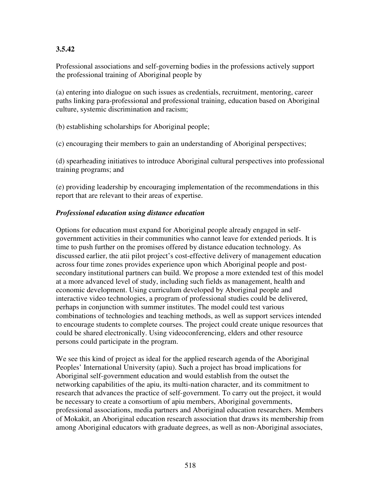### **3.5.42**

Professional associations and self-governing bodies in the professions actively support the professional training of Aboriginal people by

(a) entering into dialogue on such issues as credentials, recruitment, mentoring, career paths linking para-professional and professional training, education based on Aboriginal culture, systemic discrimination and racism;

(b) establishing scholarships for Aboriginal people;

(c) encouraging their members to gain an understanding of Aboriginal perspectives;

(d) spearheading initiatives to introduce Aboriginal cultural perspectives into professional training programs; and

(e) providing leadership by encouraging implementation of the recommendations in this report that are relevant to their areas of expertise.

#### *Professional education using distance education*

Options for education must expand for Aboriginal people already engaged in selfgovernment activities in their communities who cannot leave for extended periods. It is time to push further on the promises offered by distance education technology. As discussed earlier, the atii pilot project's cost-effective delivery of management education across four time zones provides experience upon which Aboriginal people and postsecondary institutional partners can build. We propose a more extended test of this model at a more advanced level of study, including such fields as management, health and economic development. Using curriculum developed by Aboriginal people and interactive video technologies, a program of professional studies could be delivered, perhaps in conjunction with summer institutes. The model could test various combinations of technologies and teaching methods, as well as support services intended to encourage students to complete courses. The project could create unique resources that could be shared electronically. Using videoconferencing, elders and other resource persons could participate in the program.

We see this kind of project as ideal for the applied research agenda of the Aboriginal Peoples' International University (apiu). Such a project has broad implications for Aboriginal self-government education and would establish from the outset the networking capabilities of the apiu, its multi-nation character, and its commitment to research that advances the practice of self-government. To carry out the project, it would be necessary to create a consortium of apiu members, Aboriginal governments, professional associations, media partners and Aboriginal education researchers. Members of Mokakit, an Aboriginal education research association that draws its membership from among Aboriginal educators with graduate degrees, as well as non-Aboriginal associates,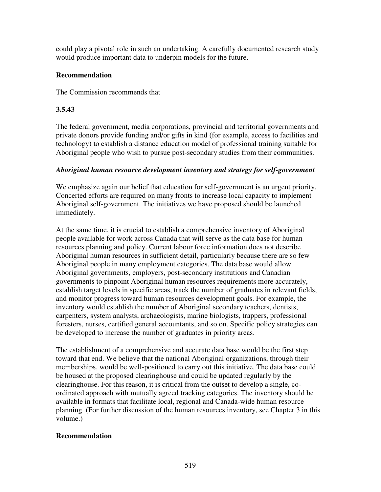could play a pivotal role in such an undertaking. A carefully documented research study would produce important data to underpin models for the future.

## **Recommendation**

The Commission recommends that

## **3.5.43**

The federal government, media corporations, provincial and territorial governments and private donors provide funding and/or gifts in kind (for example, access to facilities and technology) to establish a distance education model of professional training suitable for Aboriginal people who wish to pursue post-secondary studies from their communities.

#### *Aboriginal human resource development inventory and strategy for self-government*

We emphasize again our belief that education for self-government is an urgent priority. Concerted efforts are required on many fronts to increase local capacity to implement Aboriginal self-government. The initiatives we have proposed should be launched immediately.

At the same time, it is crucial to establish a comprehensive inventory of Aboriginal people available for work across Canada that will serve as the data base for human resources planning and policy. Current labour force information does not describe Aboriginal human resources in sufficient detail, particularly because there are so few Aboriginal people in many employment categories. The data base would allow Aboriginal governments, employers, post-secondary institutions and Canadian governments to pinpoint Aboriginal human resources requirements more accurately, establish target levels in specific areas, track the number of graduates in relevant fields, and monitor progress toward human resources development goals. For example, the inventory would establish the number of Aboriginal secondary teachers, dentists, carpenters, system analysts, archaeologists, marine biologists, trappers, professional foresters, nurses, certified general accountants, and so on. Specific policy strategies can be developed to increase the number of graduates in priority areas.

The establishment of a comprehensive and accurate data base would be the first step toward that end. We believe that the national Aboriginal organizations, through their memberships, would be well-positioned to carry out this initiative. The data base could be housed at the proposed clearinghouse and could be updated regularly by the clearinghouse. For this reason, it is critical from the outset to develop a single, coordinated approach with mutually agreed tracking categories. The inventory should be available in formats that facilitate local, regional and Canada-wide human resource planning. (For further discussion of the human resources inventory, see Chapter 3 in this volume.)

## **Recommendation**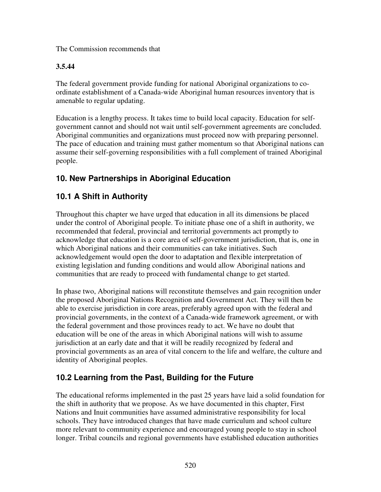The Commission recommends that

#### **3.5.44**

The federal government provide funding for national Aboriginal organizations to coordinate establishment of a Canada-wide Aboriginal human resources inventory that is amenable to regular updating.

Education is a lengthy process. It takes time to build local capacity. Education for selfgovernment cannot and should not wait until self-government agreements are concluded. Aboriginal communities and organizations must proceed now with preparing personnel. The pace of education and training must gather momentum so that Aboriginal nations can assume their self-governing responsibilities with a full complement of trained Aboriginal people.

# **10. New Partnerships in Aboriginal Education**

# **10.1 A Shift in Authority**

Throughout this chapter we have urged that education in all its dimensions be placed under the control of Aboriginal people. To initiate phase one of a shift in authority, we recommended that federal, provincial and territorial governments act promptly to acknowledge that education is a core area of self-government jurisdiction, that is, one in which Aboriginal nations and their communities can take initiatives. Such acknowledgement would open the door to adaptation and flexible interpretation of existing legislation and funding conditions and would allow Aboriginal nations and communities that are ready to proceed with fundamental change to get started.

In phase two, Aboriginal nations will reconstitute themselves and gain recognition under the proposed Aboriginal Nations Recognition and Government Act. They will then be able to exercise jurisdiction in core areas, preferably agreed upon with the federal and provincial governments, in the context of a Canada-wide framework agreement, or with the federal government and those provinces ready to act. We have no doubt that education will be one of the areas in which Aboriginal nations will wish to assume jurisdiction at an early date and that it will be readily recognized by federal and provincial governments as an area of vital concern to the life and welfare, the culture and identity of Aboriginal peoples.

# **10.2 Learning from the Past, Building for the Future**

The educational reforms implemented in the past 25 years have laid a solid foundation for the shift in authority that we propose. As we have documented in this chapter, First Nations and Inuit communities have assumed administrative responsibility for local schools. They have introduced changes that have made curriculum and school culture more relevant to community experience and encouraged young people to stay in school longer. Tribal councils and regional governments have established education authorities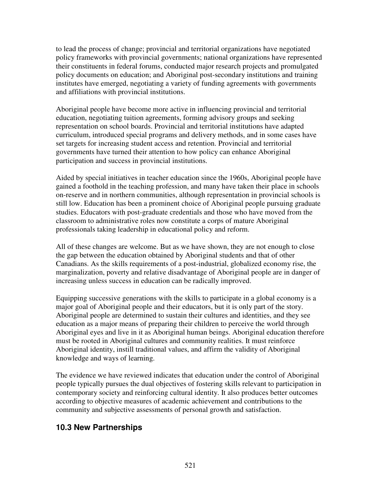to lead the process of change; provincial and territorial organizations have negotiated policy frameworks with provincial governments; national organizations have represented their constituents in federal forums, conducted major research projects and promulgated policy documents on education; and Aboriginal post-secondary institutions and training institutes have emerged, negotiating a variety of funding agreements with governments and affiliations with provincial institutions.

Aboriginal people have become more active in influencing provincial and territorial education, negotiating tuition agreements, forming advisory groups and seeking representation on school boards. Provincial and territorial institutions have adapted curriculum, introduced special programs and delivery methods, and in some cases have set targets for increasing student access and retention. Provincial and territorial governments have turned their attention to how policy can enhance Aboriginal participation and success in provincial institutions.

Aided by special initiatives in teacher education since the 1960s, Aboriginal people have gained a foothold in the teaching profession, and many have taken their place in schools on-reserve and in northern communities, although representation in provincial schools is still low. Education has been a prominent choice of Aboriginal people pursuing graduate studies. Educators with post-graduate credentials and those who have moved from the classroom to administrative roles now constitute a corps of mature Aboriginal professionals taking leadership in educational policy and reform.

All of these changes are welcome. But as we have shown, they are not enough to close the gap between the education obtained by Aboriginal students and that of other Canadians. As the skills requirements of a post-industrial, globalized economy rise, the marginalization, poverty and relative disadvantage of Aboriginal people are in danger of increasing unless success in education can be radically improved.

Equipping successive generations with the skills to participate in a global economy is a major goal of Aboriginal people and their educators, but it is only part of the story. Aboriginal people are determined to sustain their cultures and identities, and they see education as a major means of preparing their children to perceive the world through Aboriginal eyes and live in it as Aboriginal human beings. Aboriginal education therefore must be rooted in Aboriginal cultures and community realities. It must reinforce Aboriginal identity, instill traditional values, and affirm the validity of Aboriginal knowledge and ways of learning.

The evidence we have reviewed indicates that education under the control of Aboriginal people typically pursues the dual objectives of fostering skills relevant to participation in contemporary society and reinforcing cultural identity. It also produces better outcomes according to objective measures of academic achievement and contributions to the community and subjective assessments of personal growth and satisfaction.

# **10.3 New Partnerships**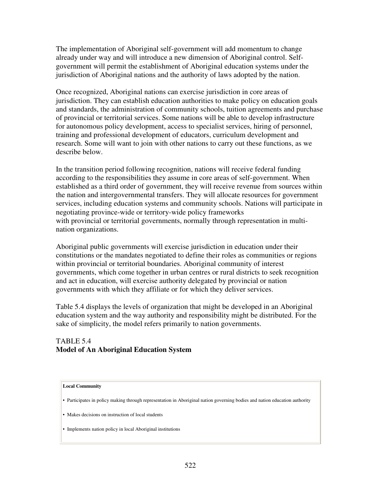The implementation of Aboriginal self-government will add momentum to change already under way and will introduce a new dimension of Aboriginal control. Selfgovernment will permit the establishment of Aboriginal education systems under the jurisdiction of Aboriginal nations and the authority of laws adopted by the nation.

Once recognized, Aboriginal nations can exercise jurisdiction in core areas of jurisdiction. They can establish education authorities to make policy on education goals and standards, the administration of community schools, tuition agreements and purchase of provincial or territorial services. Some nations will be able to develop infrastructure for autonomous policy development, access to specialist services, hiring of personnel, training and professional development of educators, curriculum development and research. Some will want to join with other nations to carry out these functions, as we describe below.

In the transition period following recognition, nations will receive federal funding according to the responsibilities they assume in core areas of self-government. When established as a third order of government, they will receive revenue from sources within the nation and intergovernmental transfers. They will allocate resources for government services, including education systems and community schools. Nations will participate in negotiating province-wide or territory-wide policy frameworks with provincial or territorial governments, normally through representation in multination organizations.

Aboriginal public governments will exercise jurisdiction in education under their constitutions or the mandates negotiated to define their roles as communities or regions within provincial or territorial boundaries. Aboriginal community of interest governments, which come together in urban centres or rural districts to seek recognition and act in education, will exercise authority delegated by provincial or nation governments with which they affiliate or for which they deliver services.

Table 5.4 displays the levels of organization that might be developed in an Aboriginal education system and the way authority and responsibility might be distributed. For the sake of simplicity, the model refers primarily to nation governments.

#### TABLE 5.4 **Model of An Aboriginal Education System**

#### **Local Community**

- Participates in policy making through representation in Aboriginal nation governing bodies and nation education authority
- Makes decisions on instruction of local students
- Implements nation policy in local Aboriginal institutions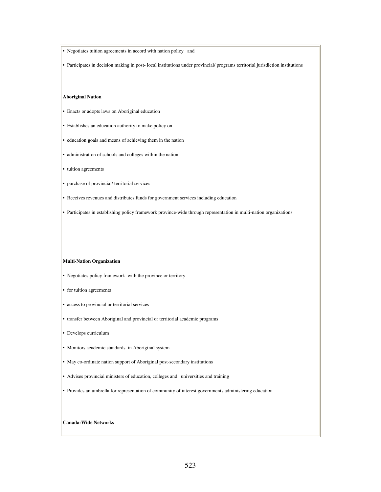- Negotiates tuition agreements in accord with nation policy and
- Participates in decision making in post- local institutions under provincial/ programs territorial jurisdiction institutions

#### **Aboriginal Nation**

- Enacts or adopts laws on Aboriginal education
- Establishes an education authority to make policy on
- education goals and means of achieving them in the nation
- administration of schools and colleges within the nation
- tuition agreements
- purchase of provincial/ territorial services
- Receives revenues and distributes funds for government services including education
- Participates in establishing policy framework province-wide through representation in multi-nation organizations

#### **Multi-Nation Organization**

- Negotiates policy framework with the province or territory
- for tuition agreements
- access to provincial or territorial services
- transfer between Aboriginal and provincial or territorial academic programs
- Develops curriculum
- Monitors academic standards in Aboriginal system
- May co-ordinate nation support of Aboriginal post-secondary institutions
- Advises provincial ministers of education, colleges and universities and training
- Provides an umbrella for representation of community of interest governments administering education

#### **Canada-Wide Networks**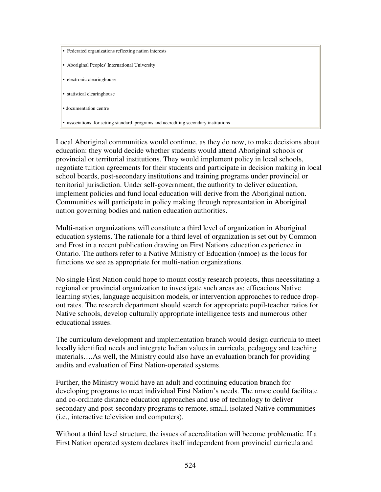

Local Aboriginal communities would continue, as they do now, to make decisions about education: they would decide whether students would attend Aboriginal schools or provincial or territorial institutions. They would implement policy in local schools, negotiate tuition agreements for their students and participate in decision making in local school boards, post-secondary institutions and training programs under provincial or territorial jurisdiction. Under self-government, the authority to deliver education, implement policies and fund local education will derive from the Aboriginal nation. Communities will participate in policy making through representation in Aboriginal nation governing bodies and nation education authorities.

Multi-nation organizations will constitute a third level of organization in Aboriginal education systems. The rationale for a third level of organization is set out by Common and Frost in a recent publication drawing on First Nations education experience in Ontario. The authors refer to a Native Ministry of Education (nmoe) as the locus for functions we see as appropriate for multi-nation organizations.

No single First Nation could hope to mount costly research projects, thus necessitating a regional or provincial organization to investigate such areas as: efficacious Native learning styles, language acquisition models, or intervention approaches to reduce dropout rates. The research department should search for appropriate pupil-teacher ratios for Native schools, develop culturally appropriate intelligence tests and numerous other educational issues.

The curriculum development and implementation branch would design curricula to meet locally identified needs and integrate Indian values in curricula, pedagogy and teaching materials….As well, the Ministry could also have an evaluation branch for providing audits and evaluation of First Nation-operated systems.

Further, the Ministry would have an adult and continuing education branch for developing programs to meet individual First Nation's needs. The nmoe could facilitate and co-ordinate distance education approaches and use of technology to deliver secondary and post-secondary programs to remote, small, isolated Native communities (i.e., interactive television and computers).

Without a third level structure, the issues of accreditation will become problematic. If a First Nation operated system declares itself independent from provincial curricula and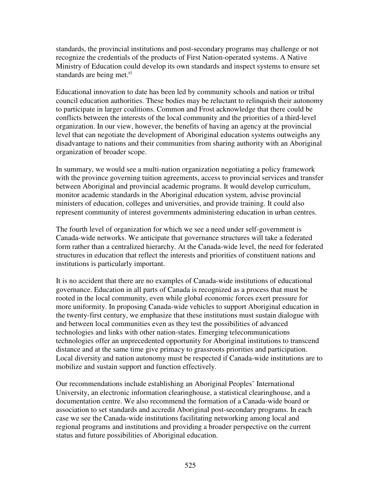standards, the provincial institutions and post-secondary programs may challenge or not recognize the credentials of the products of First Nation-operated systems. A Native Ministry of Education could develop its own standards and inspect systems to ensure set standards are being met. 82

Educational innovation to date has been led by community schools and nation or tribal council education authorities. These bodies may be reluctant to relinquish their autonomy to participate in larger coalitions. Common and Frost acknowledge that there could be conflicts between the interests of the local community and the priorities of a third-level organization. In our view, however, the benefits of having an agency at the provincial level that can negotiate the development of Aboriginal education systems outweighs any disadvantage to nations and their communities from sharing authority with an Aboriginal organization of broader scope.

In summary, we would see a multi-nation organization negotiating a policy framework with the province governing tuition agreements, access to provincial services and transfer between Aboriginal and provincial academic programs. It would develop curriculum, monitor academic standards in the Aboriginal education system, advise provincial ministers of education, colleges and universities, and provide training. It could also represent community of interest governments administering education in urban centres.

The fourth level of organization for which we see a need under self-government is Canada-wide networks. We anticipate that governance structures will take a federated form rather than a centralized hierarchy. At the Canada-wide level, the need for federated structures in education that reflect the interests and priorities of constituent nations and institutions is particularly important.

It is no accident that there are no examples of Canada-wide institutions of educational governance. Education in all parts of Canada is recognized as a process that must be rooted in the local community, even while global economic forces exert pressure for more uniformity. In proposing Canada-wide vehicles to support Aboriginal education in the twenty-first century, we emphasize that these institutions must sustain dialogue with and between local communities even as they test the possibilities of advanced technologies and links with other nation-states. Emerging telecommunications technologies offer an unprecedented opportunity for Aboriginal institutions to transcend distance and at the same time give primacy to grassroots priorities and participation. Local diversity and nation autonomy must be respected if Canada-wide institutions are to mobilize and sustain support and function effectively.

Our recommendations include establishing an Aboriginal Peoples' International University, an electronic information clearinghouse, a statistical clearinghouse, and a documentation centre. We also recommend the formation of a Canada-wide board or association to set standards and accredit Aboriginal post-secondary programs. In each case we see the Canada-wide institutions facilitating networking among local and regional programs and institutions and providing a broader perspective on the current status and future possibilities of Aboriginal education.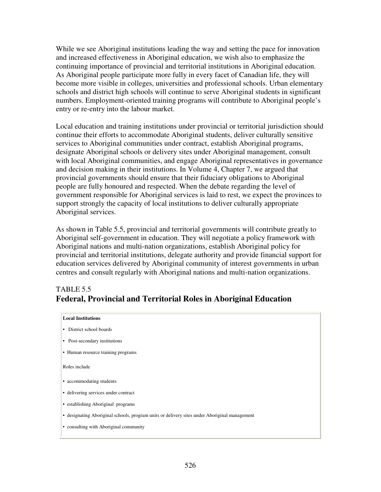While we see Aboriginal institutions leading the way and setting the pace for innovation and increased effectiveness in Aboriginal education, we wish also to emphasize the continuing importance of provincial and territorial institutions in Aboriginal education. As Aboriginal people participate more fully in every facet of Canadian life, they will become more visible in colleges, universities and professional schools. Urban elementary schools and district high schools will continue to serve Aboriginal students in significant numbers. Employment-oriented training programs will contribute to Aboriginal people's entry or re-entry into the labour market.

Local education and training institutions under provincial or territorial jurisdiction should continue their efforts to accommodate Aboriginal students, deliver culturally sensitive services to Aboriginal communities under contract, establish Aboriginal programs, designate Aboriginal schools or delivery sites under Aboriginal management, consult with local Aboriginal communities, and engage Aboriginal representatives in governance and decision making in their institutions. In Volume 4, Chapter 7, we argued that provincial governments should ensure that their fiduciary obligations to Aboriginal people are fully honoured and respected. When the debate regarding the level of government responsible for Aboriginal services is laid to rest, we expect the provinces to support strongly the capacity of local institutions to deliver culturally appropriate Aboriginal services.

As shown in Table 5.5, provincial and territorial governments will contribute greatly to Aboriginal self-government in education. They will negotiate a policy framework with Aboriginal nations and multi-nation organizations, establish Aboriginal policy for provincial and territorial institutions, delegate authority and provide financial support for education services delivered by Aboriginal community of interest governments in urban centres and consult regularly with Aboriginal nations and multi-nation organizations.

# TABLE 5.5 **Federal, Provincial and Territorial Roles in Aboriginal Education**

#### **Local Institutions**

- District school boards
- Post-secondary institutions
- Human resource training programs

Roles include

- accommodating students
- delivering services under contract
- establishing Aboriginal programs
- designating Aboriginal schools, program units or delivery sites under Aboriginal management
- consulting with Aboriginal community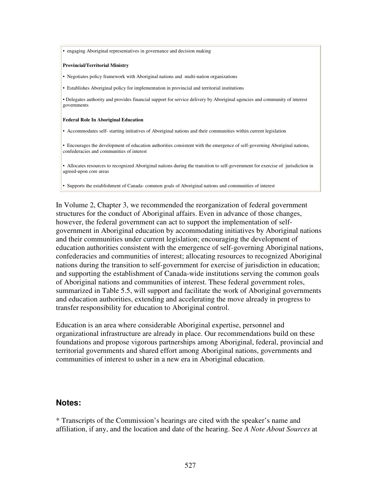• engaging Aboriginal representatives in governance and decision making **Provincial/Territorial Ministry** • Negotiates policy framework with Aboriginal nations and multi-nation organizations • Establishes Aboriginal policy for implementation in provincial and territorial institutions • Delegates authority and provides financial support for service delivery by Aboriginal agencies and community of interest governments **Federal Role In Aboriginal Education** • Accommodates self- starting initiatives of Aboriginal nations and their communities within current legislation • Encourages the development of education authorities consistent with the emergence of self-governing Aboriginal nations, confederacies and communities of interest • Allocates resources to recognized Aboriginal nations during the transition to self-government for exercise of jurisdiction in agreed-upon core areas

• Supports the establishment of Canada- common goals of Aboriginal nations and communities of interest

In Volume 2, Chapter 3, we recommended the reorganization of federal government structures for the conduct of Aboriginal affairs. Even in advance of those changes, however, the federal government can act to support the implementation of selfgovernment in Aboriginal education by accommodating initiatives by Aboriginal nations and their communities under current legislation; encouraging the development of education authorities consistent with the emergence of self-governing Aboriginal nations, confederacies and communities of interest; allocating resources to recognized Aboriginal nations during the transition to self-government for exercise of jurisdiction in education; and supporting the establishment of Canada-wide institutions serving the common goals of Aboriginal nations and communities of interest. These federal government roles, summarized in Table 5.5, will support and facilitate the work of Aboriginal governments and education authorities, extending and accelerating the move already in progress to transfer responsibility for education to Aboriginal control.

Education is an area where considerable Aboriginal expertise, personnel and organizational infrastructure are already in place. Our recommendations build on these foundations and propose vigorous partnerships among Aboriginal, federal, provincial and territorial governments and shared effort among Aboriginal nations, governments and communities of interest to usher in a new era in Aboriginal education.

## **Notes:**

\* Transcripts of the Commission's hearings are cited with the speaker's name and affiliation, if any, and the location and date of the hearing. See *A Note About Sources* at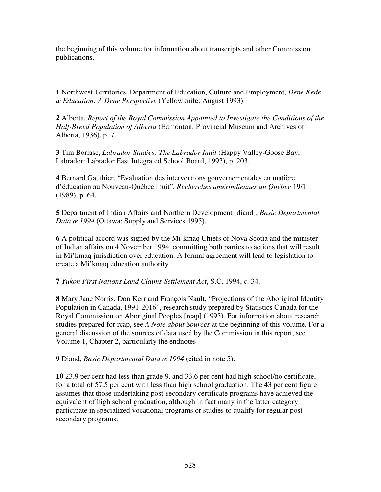the beginning of this volume for information about transcripts and other Commission publications.

**1** Northwest Territories, Department of Education, Culture and Employment, *Dene Kede æ Education: A Dene Perspective* (Yellowknife: August 1993).

**2** Alberta, *Report of the Royal Commission Appointed to Investigate the Conditions of the Half-Breed Population of Alberta* (Edmonton: Provincial Museum and Archives of Alberta, 1936), p. 7.

**3** Tim Borlase, *Labrador Studies: The Labrador Inuit* (Happy Valley-Goose Bay, Labrador: Labrador East Integrated School Board, 1993), p. 203.

**4** Bernard Gauthier, "Évaluation des interventions gouvernementales en matière d'éducation au Nouveau-Québec inuit", *Recherches amérindiennes au Québec* 19/1 (1989), p. 64.

**5** Department of Indian Affairs and Northern Development [diand], *Basic Departmental Data æ 1994* (Ottawa: Supply and Services 1995).

**6** A political accord was signed by the Mi'kmaq Chiefs of Nova Scotia and the minister of Indian affairs on 4 November 1994, committing both parties to actions that will result in Mi'kmaq jurisdiction over education. A formal agreement will lead to legislation to create a Mi'kmaq education authority.

#### **7** *Yukon First Nations Land Claims Settlement Act*, S.C. 1994, c. 34.

**8** Mary Jane Norris, Don Kerr and François Nault, "Projections of the Aboriginal Identity Population in Canada, 1991-2016", research study prepared by Statistics Canada for the Royal Commission on Aboriginal Peoples [rcap] (1995). For information about research studies prepared for rcap, see *A Note about Sources* at the beginning of this volume. For a general discussion of the sources of data used by the Commission in this report, see Volume 1, Chapter 2, particularly the endnotes

**9** Diand, *Basic Departmental Data æ 1994* (cited in note 5).

**10** 23.9 per cent had less than grade 9, and 33.6 per cent had high school/no certificate, for a total of 57.5 per cent with less than high school graduation. The 43 per cent figure assumes that those undertaking post-secondary certificate programs have achieved the equivalent of high school graduation, although in fact many in the latter category participate in specialized vocational programs or studies to qualify for regular postsecondary programs.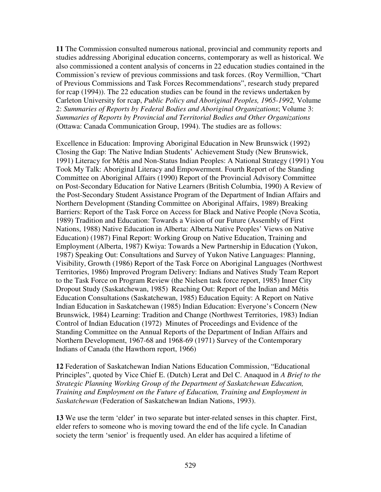**11** The Commission consulted numerous national, provincial and community reports and studies addressing Aboriginal education concerns, contemporary as well as historical. We also commissioned a content analysis of concerns in 22 education studies contained in the Commission's review of previous commissions and task forces. (Roy Vermillion, "Chart of Previous Commissions and Task Forces Recommendations", research study prepared for rcap (1994)). The 22 education studies can be found in the reviews undertaken by Carleton University for rcap, *Public Policy and Aboriginal Peoples, 1965-1992,* Volume 2: *Summaries of Reports by Federal Bodies and Aboriginal Organizations*; Volume 3: *Summaries of Reports by Provincial and Territorial Bodies and Other Organizations* (Ottawa: Canada Communication Group, 1994). The studies are as follows:

Excellence in Education: Improving Aboriginal Education in New Brunswick (1992) Closing the Gap: The Native Indian Students' Achievement Study (New Brunswick, 1991) Literacy for Métis and Non-Status Indian Peoples: A National Strategy (1991) You Took My Talk: Aboriginal Literacy and Empowerment. Fourth Report of the Standing Committee on Aboriginal Affairs (1990) Report of the Provincial Advisory Committee on Post-Secondary Education for Native Learners (British Columbia, 1990) A Review of the Post-Secondary Student Assistance Program of the Department of Indian Affairs and Northern Development (Standing Committee on Aboriginal Affairs, 1989) Breaking Barriers: Report of the Task Force on Access for Black and Native People (Nova Scotia, 1989) Tradition and Education: Towards a Vision of our Future (Assembly of First Nations, 1988) Native Education in Alberta: Alberta Native Peoples' Views on Native Education) (1987) Final Report: Working Group on Native Education, Training and Employment (Alberta, 1987) Kwiya: Towards a New Partnership in Education (Yukon, 1987) Speaking Out: Consultations and Survey of Yukon Native Languages: Planning, Visibility, Growth (1986) Report of the Task Force on Aboriginal Languages (Northwest Territories, 1986) Improved Program Delivery: Indians and Natives Study Team Report to the Task Force on Program Review (the Nielsen task force report, 1985) Inner City Dropout Study (Saskatchewan, 1985) Reaching Out: Report of the Indian and Métis Education Consultations (Saskatchewan, 1985) Education Equity: A Report on Native Indian Education in Saskatchewan (1985) Indian Education: Everyone's Concern (New Brunswick, 1984) Learning: Tradition and Change (Northwest Territories, 1983) Indian Control of Indian Education (1972) Minutes of Proceedings and Evidence of the Standing Committee on the Annual Reports of the Department of Indian Affairs and Northern Development, 1967-68 and 1968-69 (1971) Survey of the Contemporary Indians of Canada (the Hawthorn report, 1966)

**12** Federation of Saskatchewan Indian Nations Education Commission, "Educational Principles", quoted by Vice Chief E. (Dutch) Lerat and Del C. Anaquod in *A Brief to the Strategic Planning Working Group of the Department of Saskatchewan Education, Training and Employment on the Future of Education, Training and Employment in Saskatchewan* (Federation of Saskatchewan Indian Nations, 1993).

**13** We use the term 'elder' in two separate but inter-related senses in this chapter. First, elder refers to someone who is moving toward the end of the life cycle. In Canadian society the term 'senior' is frequently used. An elder has acquired a lifetime of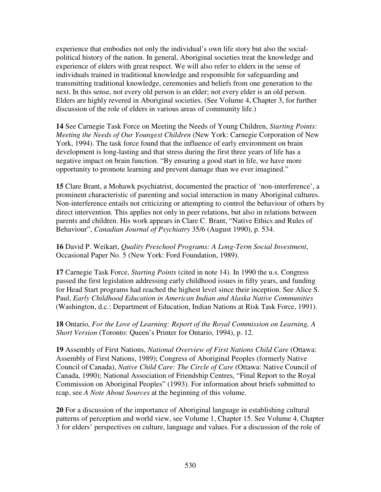experience that embodies not only the individual's own life story but also the socialpolitical history of the nation. In general, Aboriginal societies treat the knowledge and experience of elders with great respect. We will also refer to elders in the sense of individuals trained in traditional knowledge and responsible for safeguarding and transmitting traditional knowledge, ceremonies and beliefs from one generation to the next. In this sense, not every old person is an elder; not every elder is an old person. Elders are highly revered in Aboriginal societies. (See Volume 4, Chapter 3, for further discussion of the role of elders in various areas of community life.)

**14** See Carnegie Task Force on Meeting the Needs of Young Children, *Starting Points: Meeting the Needs of Our Youngest Children* (New York: Carnegie Corporation of New York, 1994). The task force found that the influence of early environment on brain development is long-lasting and that stress during the first three years of life has a negative impact on brain function. "By ensuring a good start in life, we have more opportunity to promote learning and prevent damage than we ever imagined."

**15** Clare Brant, a Mohawk psychiatrist, documented the practice of 'non-interference', a prominent characteristic of parenting and social interaction in many Aboriginal cultures. Non-interference entails not criticizing or attempting to control the behaviour of others by direct intervention. This applies not only in peer relations, but also in relations between parents and children. His work appears in Clare C. Brant, "Native Ethics and Rules of Behaviour", *Canadian Journal of Psychiatry* 35/6 (August 1990), p. 534.

**16** David P. Weikart, *Quality Preschool Programs: A Long-Term Social Investment*, Occasional Paper No. 5 (New York: Ford Foundation, 1989).

**17** Carnegie Task Force, *Starting Points* (cited in note 14). In 1990 the u.s. Congress passed the first legislation addressing early childhood issues in fifty years, and funding for Head Start programs had reached the highest level since their inception. See Alice S. Paul, *Early Childhood Education in American Indian and Alaska Native Communities* (Washington, d.c.: Department of Education, Indian Nations at Risk Task Force, 1991).

**18** Ontario, *For the Love of Learning: Report of the Royal Commission on Learning, A Short Version* (Toronto: Queen's Printer for Ontario, 1994), p. 12.

**19** Assembly of First Nations, *National Overview of First Nations Child Care* (Ottawa: Assembly of First Nations, 1989); Congress of Aboriginal Peoples (formerly Native Council of Canada), *Native Child Care: The Circle of Care* (Ottawa: Native Council of Canada, 1990); National Association of Friendship Centres, "Final Report to the Royal Commission on Aboriginal Peoples" (1993). For information about briefs submitted to rcap, see *A Note About Sources* at the beginning of this volume.

**20** For a discussion of the importance of Aboriginal language in establishing cultural patterns of perception and world view, see Volume 1, Chapter 15. See Volume 4, Chapter 3 for elders' perspectives on culture, language and values. For a discussion of the role of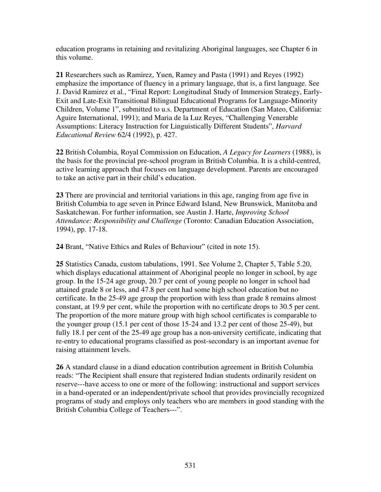education programs in retaining and revitalizing Aboriginal languages, see Chapter 6 in this volume.

**21** Researchers such as Ramirez, Yuen, Ramey and Pasta (1991) and Reyes (1992) emphasize the importance of fluency in a primary language, that is, a first language. See J. David Ramirez et al., "Final Report: Longitudinal Study of Immersion Strategy, Early-Exit and Late-Exit Transitional Bilingual Educational Programs for Language-Minority Children, Volume 1", submitted to u.s. Department of Education (San Mateo, California: Aguire International, 1991); and Maria de la Luz Reyes, "Challenging Venerable Assumptions: Literacy Instruction for Linguistically Different Students", *Harvard Educational Review* 62/4 (1992), p. 427.

**22** British Columbia, Royal Commission on Education, *A Legacy for Learners* (1988), is the basis for the provincial pre-school program in British Columbia. It is a child-centred, active learning approach that focuses on language development. Parents are encouraged to take an active part in their child's education.

**23** There are provincial and territorial variations in this age, ranging from age five in British Columbia to age seven in Prince Edward Island, New Brunswick, Manitoba and Saskatchewan. For further information, see Austin J. Harte, *Improving School Attendance: Responsibility and Challenge* (Toronto: Canadian Education Association, 1994), pp. 17-18.

**24** Brant, "Native Ethics and Rules of Behaviour" (cited in note 15).

**25** Statistics Canada, custom tabulations, 1991. See Volume 2, Chapter 5, Table 5.20, which displays educational attainment of Aboriginal people no longer in school, by age group. In the 15-24 age group, 20.7 per cent of young people no longer in school had attained grade 8 or less, and 47.8 per cent had some high school education but no certificate. In the 25-49 age group the proportion with less than grade 8 remains almost constant, at 19.9 per cent, while the proportion with no certificate drops to 30.5 per cent. The proportion of the more mature group with high school certificates is comparable to the younger group (15.1 per cent of those 15-24 and 13.2 per cent of those 25-49), but fully 18.1 per cent of the 25-49 age group has a non-university certificate, indicating that re-entry to educational programs classified as post-secondary is an important avenue for raising attainment levels.

**26** A standard clause in a diand education contribution agreement in British Columbia reads: "The Recipient shall ensure that registered Indian students ordinarily resident on reserve---have access to one or more of the following: instructional and support services in a band-operated or an independent/private school that provides provincially recognized programs of study and employs only teachers who are members in good standing with the British Columbia College of Teachers---".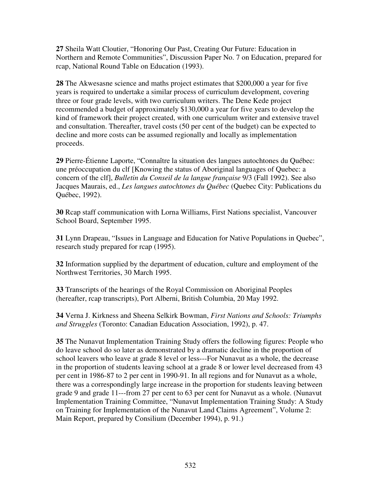**27** Sheila Watt Cloutier, "Honoring Our Past, Creating Our Future: Education in Northern and Remote Communities", Discussion Paper No. 7 on Education, prepared for rcap, National Round Table on Education (1993).

**28** The Akwesasne science and maths project estimates that \$200,000 a year for five years is required to undertake a similar process of curriculum development, covering three or four grade levels, with two curriculum writers. The Dene Kede project recommended a budget of approximately \$130,000 a year for five years to develop the kind of framework their project created, with one curriculum writer and extensive travel and consultation. Thereafter, travel costs (50 per cent of the budget) can be expected to decline and more costs can be assumed regionally and locally as implementation proceeds.

**29** Pierre-Étienne Laporte, "Connaître la situation des langues autochtones du Québec: une préoccupation du clf [Knowing the status of Aboriginal languages of Quebec: a concern of the clf], *Bulletin du Conseil de la langue française* 9/3 (Fall 1992). See also Jacques Maurais, ed., *Les langues autochtones du Québec* (Quebec City: Publications du Québec, 1992).

**30** Rcap staff communication with Lorna Williams, First Nations specialist, Vancouver School Board, September 1995.

**31** Lynn Drapeau, "Issues in Language and Education for Native Populations in Quebec", research study prepared for rcap (1995).

**32** Information supplied by the department of education, culture and employment of the Northwest Territories, 30 March 1995.

**33** Transcripts of the hearings of the Royal Commission on Aboriginal Peoples (hereafter, rcap transcripts), Port Alberni, British Columbia, 20 May 1992.

**34** Verna J. Kirkness and Sheena Selkirk Bowman, *First Nations and Schools: Triumphs and Struggles* (Toronto: Canadian Education Association, 1992), p. 47.

**35** The Nunavut Implementation Training Study offers the following figures: People who do leave school do so later as demonstrated by a dramatic decline in the proportion of school leavers who leave at grade 8 level or less---For Nunavut as a whole, the decrease in the proportion of students leaving school at a grade 8 or lower level decreased from 43 per cent in 1986-87 to 2 per cent in 1990-91. In all regions and for Nunavut as a whole, there was a correspondingly large increase in the proportion for students leaving between grade 9 and grade 11---from 27 per cent to 63 per cent for Nunavut as a whole. (Nunavut Implementation Training Committee, "Nunavut Implementation Training Study: A Study on Training for Implementation of the Nunavut Land Claims Agreement", Volume 2: Main Report, prepared by Consilium (December 1994), p. 91.)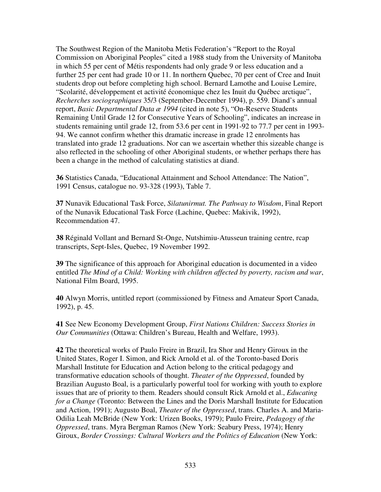The Southwest Region of the Manitoba Metis Federation's "Report to the Royal Commission on Aboriginal Peoples" cited a 1988 study from the University of Manitoba in which 55 per cent of Métis respondents had only grade 9 or less education and a further 25 per cent had grade 10 or 11. In northern Quebec, 70 per cent of Cree and Inuit students drop out before completing high school. Bernard Lamothe and Louise Lemire, "Scolarité, développement et activité économique chez les Inuit du Québec arctique", *Recherches sociographiques* 35/3 (September-December 1994), p. 559. Diand's annual report, *Basic Departmental Data æ 1994* (cited in note 5), "On-Reserve Students Remaining Until Grade 12 for Consecutive Years of Schooling", indicates an increase in students remaining until grade 12, from 53.6 per cent in 1991-92 to 77.7 per cent in 1993- 94. We cannot confirm whether this dramatic increase in grade 12 enrolments has translated into grade 12 graduations. Nor can we ascertain whether this sizeable change is also reflected in the schooling of other Aboriginal students, or whether perhaps there has been a change in the method of calculating statistics at diand.

**36** Statistics Canada, "Educational Attainment and School Attendance: The Nation", 1991 Census, catalogue no. 93-328 (1993), Table 7.

**37** Nunavik Educational Task Force, *Silatunirmut. The Pathway to Wisdom*, Final Report of the Nunavik Educational Task Force (Lachine, Quebec: Makivik, 1992), Recommendation 47.

**38** Réginald Vollant and Bernard St-Onge, Nutshimiu-Atusseun training centre, rcap transcripts, Sept-Isles, Quebec, 19 November 1992.

**39** The significance of this approach for Aboriginal education is documented in a video entitled *The Mind of a Child: Working with children affected by poverty, racism and war*, National Film Board, 1995.

**40** Alwyn Morris, untitled report (commissioned by Fitness and Amateur Sport Canada, 1992), p. 45.

**41** See New Economy Development Group, *First Nations Children: Success Stories in Our Communities* (Ottawa: Children's Bureau, Health and Welfare, 1993).

**42** The theoretical works of Paulo Freire in Brazil, Ira Shor and Henry Giroux in the United States, Roger I. Simon, and Rick Arnold et al. of the Toronto-based Doris Marshall Institute for Education and Action belong to the critical pedagogy and transformative education schools of thought. *Theater of the Oppressed*, founded by Brazilian Augusto Boal, is a particularly powerful tool for working with youth to explore issues that are of priority to them. Readers should consult Rick Arnold et al., *Educating for a Change* (Toronto: Between the Lines and the Doris Marshall Institute for Education and Action, 1991); Augusto Boal, *Theater of the Oppressed*, trans. Charles A. and Maria-Odilia Leah McBride (New York: Urizen Books, 1979); Paulo Freire, *Pedagogy of the Oppressed*, trans. Myra Bergman Ramos (New York: Seabury Press, 1974); Henry Giroux, *Border Crossings: Cultural Workers and the Politics of Education* (New York: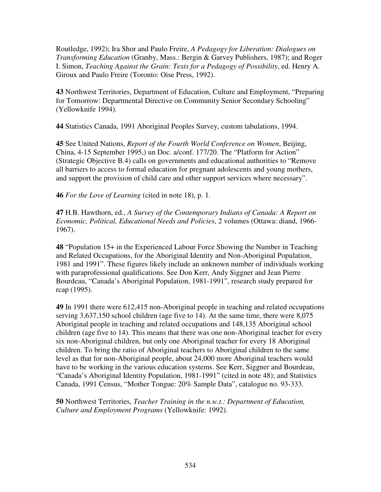Routledge, 1992); Ira Shor and Paulo Freire, *A Pedagogy for Liberation: Dialogues on Transforming Education* (Granby, Mass.: Bergin & Garvey Publishers, 1987); and Roger I. Simon, *Teaching Against the Grain: Texts for a Pedagogy of Possibility*, ed. Henry A. Giroux and Paulo Freire (Toronto: Oise Press, 1992).

**43** Northwest Territories, Department of Education, Culture and Employment, "Preparing for Tomorrow: Departmental Directive on Community Senior Secondary Schooling" (Yellowknife 1994).

**44** Statistics Canada, 1991 Aboriginal Peoples Survey, custom tabulations, 1994.

**45** See United Nations, *Report of the Fourth World Conference on Women*, Beijing, China, 4-15 September 1995,) un Doc. a/conf. 177/20. The "Platform for Action" (Strategic Objective B.4) calls on governments and educational authorities to "Remove all barriers to access to formal education for pregnant adolescents and young mothers, and support the provision of child care and other support services where necessary".

**46** *For the Love of Learning* (cited in note 18), p. 1.

**47** H.B. Hawthorn, ed., *A Survey of the Contemporary Indians of Canada: A Report on Economic, Political, Educational Needs and Policies*, 2 volumes (Ottawa: diand, 1966- 1967).

**48** "Population 15+ in the Experienced Labour Force Showing the Number in Teaching and Related Occupations, for the Aboriginal Identity and Non-Aboriginal Population, 1981 and 1991". These figures likely include an unknown number of individuals working with paraprofessional qualifications. See Don Kerr, Andy Siggner and Jean Pierre Bourdeau, "Canada's Aboriginal Population, 1981-1991", research study prepared for rcap (1995).

**49** In 1991 there were 612,415 non-Aboriginal people in teaching and related occupations serving 3,637,150 school children (age five to 14). At the same time, there were 8,075 Aboriginal people in teaching and related occupations and 148,135 Aboriginal school children (age five to 14). This means that there was one non-Aboriginal teacher for every six non-Aboriginal children, but only one Aboriginal teacher for every 18 Aboriginal children. To bring the ratio of Aboriginal teachers to Aboriginal children to the same level as that for non-Aboriginal people, about 24,000 more Aboriginal teachers would have to be working in the various education systems. See Kerr, Siggner and Bourdeau, "Canada's Aboriginal Identity Population, 1981-1991" (cited in note 48); and Statistics Canada, 1991 Census, "Mother Tongue: 20% Sample Data", catalogue no. 93-333.

**50** Northwest Territories, *Teacher Training in the n.w.t.: Department of Education, Culture and Employment Programs* (Yellowknife: 1992).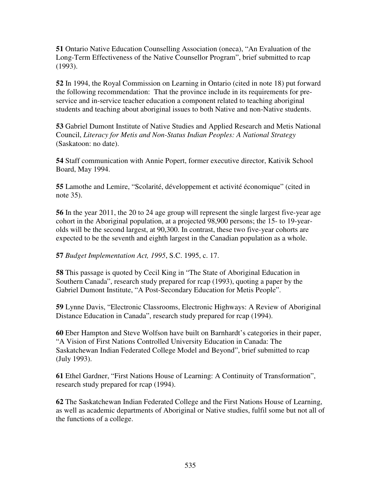**51** Ontario Native Education Counselling Association (oneca), "An Evaluation of the Long-Term Effectiveness of the Native Counsellor Program", brief submitted to rcap (1993).

**52** In 1994, the Royal Commission on Learning in Ontario (cited in note 18) put forward the following recommendation: That the province include in its requirements for preservice and in-service teacher education a component related to teaching aboriginal students and teaching about aboriginal issues to both Native and non-Native students.

**53** Gabriel Dumont Institute of Native Studies and Applied Research and Metis National Council, *Literacy for Metis and Non-Status Indian Peoples: A National Strategy* (Saskatoon: no date).

**54** Staff communication with Annie Popert, former executive director, Kativik School Board, May 1994.

**55** Lamothe and Lemire, "Scolarité, développement et activité économique" (cited in note 35).

**56** In the year 2011, the 20 to 24 age group will represent the single largest five-year age cohort in the Aboriginal population, at a projected 98,900 persons; the 15- to 19-yearolds will be the second largest, at 90,300. In contrast, these two five-year cohorts are expected to be the seventh and eighth largest in the Canadian population as a whole.

**57** *Budget Implementation Act, 1995*, S.C. 1995, c. 17.

**58** This passage is quoted by Cecil King in "The State of Aboriginal Education in Southern Canada", research study prepared for rcap (1993), quoting a paper by the Gabriel Dumont Institute, "A Post-Secondary Education for Metis People".

**59** Lynne Davis, "Electronic Classrooms, Electronic Highways: A Review of Aboriginal Distance Education in Canada", research study prepared for rcap (1994).

**60** Eber Hampton and Steve Wolfson have built on Barnhardt's categories in their paper, "A Vision of First Nations Controlled University Education in Canada: The Saskatchewan Indian Federated College Model and Beyond", brief submitted to rcap (July 1993).

**61** Ethel Gardner, "First Nations House of Learning: A Continuity of Transformation", research study prepared for rcap (1994).

**62** The Saskatchewan Indian Federated College and the First Nations House of Learning, as well as academic departments of Aboriginal or Native studies, fulfil some but not all of the functions of a college.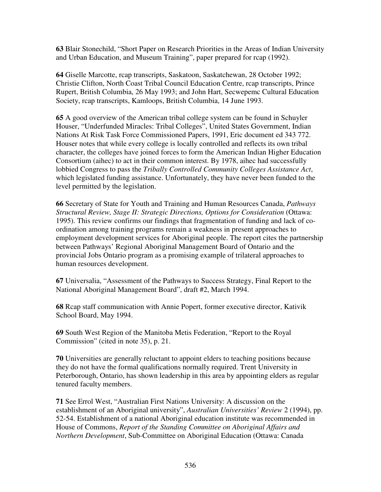**63** Blair Stonechild, "Short Paper on Research Priorities in the Areas of Indian University and Urban Education, and Museum Training", paper prepared for rcap (1992).

**64** Giselle Marcotte, rcap transcripts, Saskatoon, Saskatchewan, 28 October 1992; Christie Clifton, North Coast Tribal Council Education Centre, rcap transcripts, Prince Rupert, British Columbia, 26 May 1993; and John Hart, Secwepemc Cultural Education Society, rcap transcripts, Kamloops, British Columbia, 14 June 1993.

**65** A good overview of the American tribal college system can be found in Schuyler Houser, "Underfunded Miracles: Tribal Colleges", United States Government, Indian Nations At Risk Task Force Commissioned Papers, 1991, Eric document ed 343 772. Houser notes that while every college is locally controlled and reflects its own tribal character, the colleges have joined forces to form the American Indian Higher Education Consortium (aihec) to act in their common interest. By 1978, aihec had successfully lobbied Congress to pass the *Tribally Controlled Community Colleges Assistance Act*, which legislated funding assistance. Unfortunately, they have never been funded to the level permitted by the legislation.

**66** Secretary of State for Youth and Training and Human Resources Canada, *Pathways Structural Review, Stage II: Strategic Directions, Options for Consideration* (Ottawa: 1995). This review confirms our findings that fragmentation of funding and lack of coordination among training programs remain a weakness in present approaches to employment development services for Aboriginal people. The report cites the partnership between Pathways' Regional Aboriginal Management Board of Ontario and the provincial Jobs Ontario program as a promising example of trilateral approaches to human resources development.

**67** Universalia, "Assessment of the Pathways to Success Strategy, Final Report to the National Aboriginal Management Board", draft #2, March 1994.

**68** Rcap staff communication with Annie Popert, former executive director, Kativik School Board, May 1994.

**69** South West Region of the Manitoba Metis Federation, "Report to the Royal Commission" (cited in note 35), p. 21.

**70** Universities are generally reluctant to appoint elders to teaching positions because they do not have the formal qualifications normally required. Trent University in Peterborough, Ontario, has shown leadership in this area by appointing elders as regular tenured faculty members.

**71** See Errol West, "Australian First Nations University: A discussion on the establishment of an Aboriginal university", *Australian Universities' Review* 2 (1994), pp. 52-54. Establishment of a national Aboriginal education institute was recommended in House of Commons, *Report of the Standing Committee on Aboriginal Affairs and Northern Development*, Sub-Committee on Aboriginal Education (Ottawa: Canada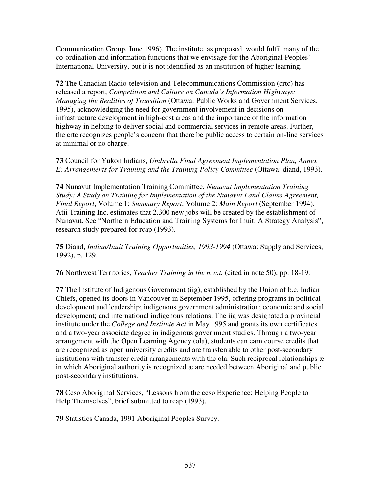Communication Group, June 1996). The institute, as proposed, would fulfil many of the co-ordination and information functions that we envisage for the Aboriginal Peoples' International University, but it is not identified as an institution of higher learning.

**72** The Canadian Radio-television and Telecommunications Commission (crtc) has released a report, *Competition and Culture on Canada's Information Highways: Managing the Realities of Transition* (Ottawa: Public Works and Government Services, 1995), acknowledging the need for government involvement in decisions on infrastructure development in high-cost areas and the importance of the information highway in helping to deliver social and commercial services in remote areas. Further, the crtc recognizes people's concern that there be public access to certain on-line services at minimal or no charge.

**73** Council for Yukon Indians, *Umbrella Final Agreement Implementation Plan, Annex E: Arrangements for Training and the Training Policy Committee* (Ottawa: diand, 1993).

**74** Nunavut Implementation Training Committee, *Nunavut Implementation Training Study: A Study on Training for Implementation of the Nunavut Land Claims Agreement, Final Report*, Volume 1: *Summary Report*, Volume 2: *Main Report* (September 1994). Atii Training Inc. estimates that 2,300 new jobs will be created by the establishment of Nunavut. See "Northern Education and Training Systems for Inuit: A Strategy Analysis", research study prepared for rcap (1993).

**75** Diand, *Indian/Inuit Training Opportunities, 1993-1994* (Ottawa: Supply and Services, 1992), p. 129.

**76** Northwest Territories, *Teacher Training in the n.w.t.* (cited in note 50), pp. 18-19.

**77** The Institute of Indigenous Government (iig), established by the Union of b.c. Indian Chiefs, opened its doors in Vancouver in September 1995, offering programs in political development and leadership; indigenous government administration; economic and social development; and international indigenous relations. The iig was designated a provincial institute under the *College and Institute Act* in May 1995 and grants its own certificates and a two-year associate degree in indigenous government studies. Through a two-year arrangement with the Open Learning Agency (ola), students can earn course credits that are recognized as open university credits and are transferrable to other post-secondary institutions with transfer credit arrangements with the ola. Such reciprocal relationships æ in which Aboriginal authority is recognized æ are needed between Aboriginal and public post-secondary institutions.

**78** Ceso Aboriginal Services, "Lessons from the ceso Experience: Helping People to Help Themselves", brief submitted to rcap (1993).

**79** Statistics Canada, 1991 Aboriginal Peoples Survey.